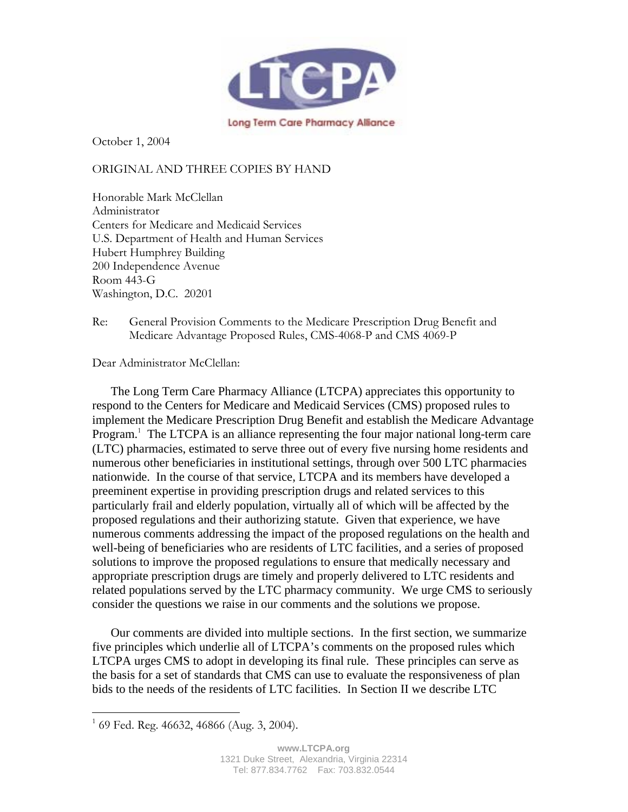

October 1, 2004

# ORIGINAL AND THREE COPIES BY HAND

Honorable Mark McClellan Administrator Centers for Medicare and Medicaid Services U.S. Department of Health and Human Services Hubert Humphrey Building 200 Independence Avenue Room 443-G Washington, D.C. 20201

Dear Administrator McClellan:

The Long Term Care Pharmacy Alliance (LTCPA) appreciates this opportunity to respond to the Centers for Medicare and Medicaid Services (CMS) proposed rules to implement the Medicare Prescription Drug Benefit and establish the Medicare Advantage Program.<sup>1</sup> The LTCPA is an alliance representing the four major national long-term care (LTC) pharmacies, estimated to serve three out of every five nursing home residents and numerous other beneficiaries in institutional settings, through over 500 LTC pharmacies nationwide. In the course of that service, LTCPA and its members have developed a preeminent expertise in providing prescription drugs and related services to this particularly frail and elderly population, virtually all of which will be affected by the proposed regulations and their authorizing statute. Given that experience, we have numerous comments addressing the impact of the proposed regulations on the health and well-being of beneficiaries who are residents of LTC facilities, and a series of proposed solutions to improve the proposed regulations to ensure that medically necessary and appropriate prescription drugs are timely and properly delivered to LTC residents and related populations served by the LTC pharmacy community. We urge CMS to seriously consider the questions we raise in our comments and the solutions we propose.

Our comments are divided into multiple sections. In the first section, we summarize five principles which underlie all of LTCPA's comments on the proposed rules which LTCPA urges CMS to adopt in developing its final rule. These principles can serve as the basis for a set of standards that CMS can use to evaluate the responsiveness of plan bids to the needs of the residents of LTC facilities. In Section II we describe LTC

 $\overline{a}$ 

Re: General Provision Comments to the Medicare Prescription Drug Benefit and Medicare Advantage Proposed Rules, CMS-4068-P and CMS 4069-P

 $1$  69 Fed. Reg. 46632, 46866 (Aug. 3, 2004).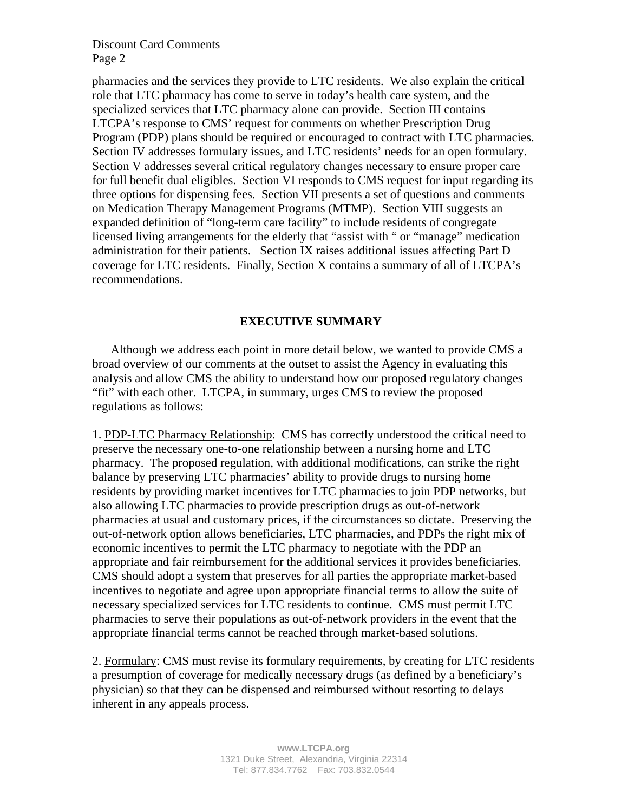pharmacies and the services they provide to LTC residents. We also explain the critical role that LTC pharmacy has come to serve in today's health care system, and the specialized services that LTC pharmacy alone can provide. Section III contains LTCPA's response to CMS' request for comments on whether Prescription Drug Program (PDP) plans should be required or encouraged to contract with LTC pharmacies. Section IV addresses formulary issues, and LTC residents' needs for an open formulary. Section V addresses several critical regulatory changes necessary to ensure proper care for full benefit dual eligibles. Section VI responds to CMS request for input regarding its three options for dispensing fees. Section VII presents a set of questions and comments on Medication Therapy Management Programs (MTMP). Section VIII suggests an expanded definition of "long-term care facility" to include residents of congregate licensed living arrangements for the elderly that "assist with " or "manage" medication administration for their patients. Section IX raises additional issues affecting Part D coverage for LTC residents. Finally, Section X contains a summary of all of LTCPA's recommendations.

#### **EXECUTIVE SUMMARY**

Although we address each point in more detail below, we wanted to provide CMS a broad overview of our comments at the outset to assist the Agency in evaluating this analysis and allow CMS the ability to understand how our proposed regulatory changes "fit" with each other. LTCPA, in summary, urges CMS to review the proposed regulations as follows:

1. PDP-LTC Pharmacy Relationship: CMS has correctly understood the critical need to preserve the necessary one-to-one relationship between a nursing home and LTC pharmacy. The proposed regulation, with additional modifications, can strike the right balance by preserving LTC pharmacies' ability to provide drugs to nursing home residents by providing market incentives for LTC pharmacies to join PDP networks, but also allowing LTC pharmacies to provide prescription drugs as out-of-network pharmacies at usual and customary prices, if the circumstances so dictate. Preserving the out-of-network option allows beneficiaries, LTC pharmacies, and PDPs the right mix of economic incentives to permit the LTC pharmacy to negotiate with the PDP an appropriate and fair reimbursement for the additional services it provides beneficiaries. CMS should adopt a system that preserves for all parties the appropriate market-based incentives to negotiate and agree upon appropriate financial terms to allow the suite of necessary specialized services for LTC residents to continue. CMS must permit LTC pharmacies to serve their populations as out-of-network providers in the event that the appropriate financial terms cannot be reached through market-based solutions.

2. Formulary: CMS must revise its formulary requirements, by creating for LTC residents a presumption of coverage for medically necessary drugs (as defined by a beneficiary's physician) so that they can be dispensed and reimbursed without resorting to delays inherent in any appeals process.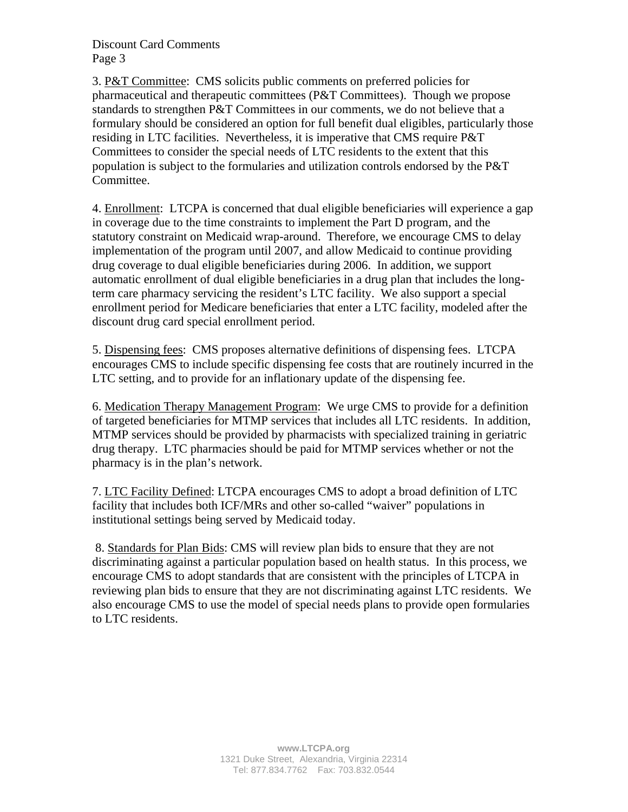3. P&T Committee: CMS solicits public comments on preferred policies for pharmaceutical and therapeutic committees (P&T Committees). Though we propose standards to strengthen P&T Committees in our comments, we do not believe that a formulary should be considered an option for full benefit dual eligibles, particularly those residing in LTC facilities. Nevertheless, it is imperative that CMS require P&T Committees to consider the special needs of LTC residents to the extent that this population is subject to the formularies and utilization controls endorsed by the P&T Committee.

4. Enrollment: LTCPA is concerned that dual eligible beneficiaries will experience a gap in coverage due to the time constraints to implement the Part D program, and the statutory constraint on Medicaid wrap-around. Therefore, we encourage CMS to delay implementation of the program until 2007, and allow Medicaid to continue providing drug coverage to dual eligible beneficiaries during 2006. In addition, we support automatic enrollment of dual eligible beneficiaries in a drug plan that includes the longterm care pharmacy servicing the resident's LTC facility. We also support a special enrollment period for Medicare beneficiaries that enter a LTC facility, modeled after the discount drug card special enrollment period.

5. Dispensing fees: CMS proposes alternative definitions of dispensing fees. LTCPA encourages CMS to include specific dispensing fee costs that are routinely incurred in the LTC setting, and to provide for an inflationary update of the dispensing fee.

6. Medication Therapy Management Program: We urge CMS to provide for a definition of targeted beneficiaries for MTMP services that includes all LTC residents. In addition, MTMP services should be provided by pharmacists with specialized training in geriatric drug therapy. LTC pharmacies should be paid for MTMP services whether or not the pharmacy is in the plan's network.

7. LTC Facility Defined: LTCPA encourages CMS to adopt a broad definition of LTC facility that includes both ICF/MRs and other so-called "waiver" populations in institutional settings being served by Medicaid today.

 8. Standards for Plan Bids: CMS will review plan bids to ensure that they are not discriminating against a particular population based on health status. In this process, we encourage CMS to adopt standards that are consistent with the principles of LTCPA in reviewing plan bids to ensure that they are not discriminating against LTC residents. We also encourage CMS to use the model of special needs plans to provide open formularies to LTC residents.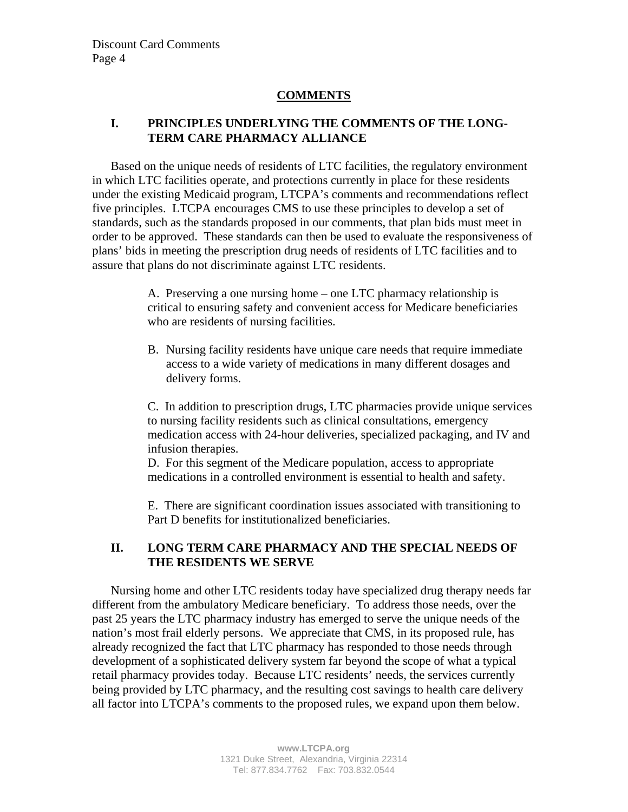# **COMMENTS**

# **I. PRINCIPLES UNDERLYING THE COMMENTS OF THE LONG-TERM CARE PHARMACY ALLIANCE**

Based on the unique needs of residents of LTC facilities, the regulatory environment in which LTC facilities operate, and protections currently in place for these residents under the existing Medicaid program, LTCPA's comments and recommendations reflect five principles. LTCPA encourages CMS to use these principles to develop a set of standards, such as the standards proposed in our comments, that plan bids must meet in order to be approved. These standards can then be used to evaluate the responsiveness of plans' bids in meeting the prescription drug needs of residents of LTC facilities and to assure that plans do not discriminate against LTC residents.

> A. Preserving a one nursing home – one LTC pharmacy relationship is critical to ensuring safety and convenient access for Medicare beneficiaries who are residents of nursing facilities.

B. Nursing facility residents have unique care needs that require immediate access to a wide variety of medications in many different dosages and delivery forms.

C. In addition to prescription drugs, LTC pharmacies provide unique services to nursing facility residents such as clinical consultations, emergency medication access with 24-hour deliveries, specialized packaging, and IV and infusion therapies.

D. For this segment of the Medicare population, access to appropriate medications in a controlled environment is essential to health and safety.

E. There are significant coordination issues associated with transitioning to Part D benefits for institutionalized beneficiaries.

## **II. LONG TERM CARE PHARMACY AND THE SPECIAL NEEDS OF THE RESIDENTS WE SERVE**

Nursing home and other LTC residents today have specialized drug therapy needs far different from the ambulatory Medicare beneficiary. To address those needs, over the past 25 years the LTC pharmacy industry has emerged to serve the unique needs of the nation's most frail elderly persons. We appreciate that CMS, in its proposed rule, has already recognized the fact that LTC pharmacy has responded to those needs through development of a sophisticated delivery system far beyond the scope of what a typical retail pharmacy provides today. Because LTC residents' needs, the services currently being provided by LTC pharmacy, and the resulting cost savings to health care delivery all factor into LTCPA's comments to the proposed rules, we expand upon them below.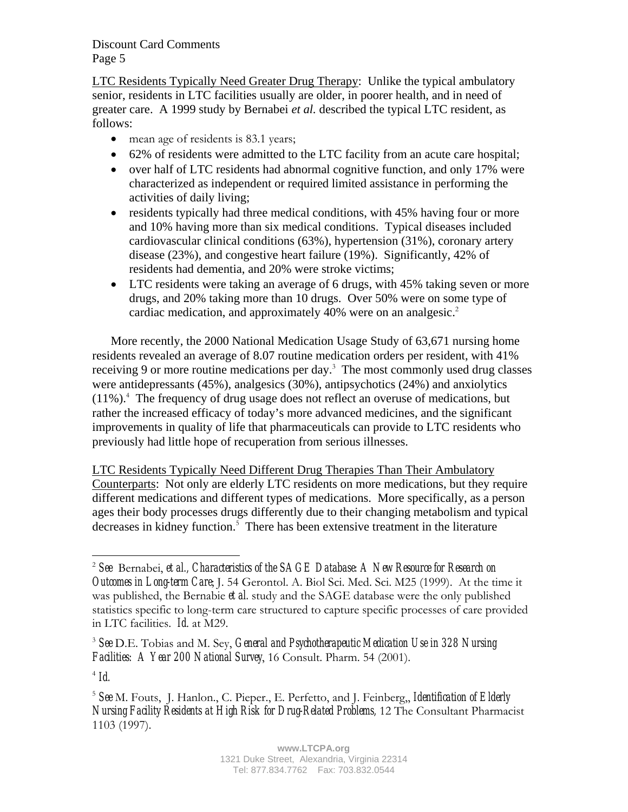LTC Residents Typically Need Greater Drug Therapy: Unlike the typical ambulatory senior, residents in LTC facilities usually are older, in poorer health, and in need of greater care. A 1999 study by Bernabei *et al.* described the typical LTC resident, as follows:

- mean age of residents is 83.1 years;
- 62% of residents were admitted to the LTC facility from an acute care hospital;
- over half of LTC residents had abnormal cognitive function, and only 17% were characterized as independent or required limited assistance in performing the activities of daily living;
- residents typically had three medical conditions, with 45% having four or more and 10% having more than six medical conditions. Typical diseases included cardiovascular clinical conditions (63%), hypertension (31%), coronary artery disease (23%), and congestive heart failure (19%). Significantly, 42% of residents had dementia, and 20% were stroke victims;
- LTC residents were taking an average of 6 drugs, with 45% taking seven or more drugs, and 20% taking more than 10 drugs. Over 50% were on some type of cardiac medication, and approximately 40% were on an analgesic.<sup>2</sup>

More recently, the 2000 National Medication Usage Study of 63,671 nursing home residents revealed an average of 8.07 routine medication orders per resident, with 41% receiving 9 or more routine medications per day. $3$  The most commonly used drug classes were antidepressants (45%), analgesics (30%), antipsychotics (24%) and anxiolytics (11%).<sup>4</sup> The frequency of drug usage does not reflect an overuse of medications, but rather the increased efficacy of today's more advanced medicines, and the significant improvements in quality of life that pharmaceuticals can provide to LTC residents who previously had little hope of recuperation from serious illnesses.

LTC Residents Typically Need Different Drug Therapies Than Their Ambulatory Counterparts: Not only are elderly LTC residents on more medications, but they require different medications and different types of medications. More specifically, as a person ages their body processes drugs differently due to their changing metabolism and typical decreases in kidney function.<sup>5</sup> There has been extensive treatment in the literature

 $4$  *Id.* 

 $\overline{a}$ 

<sup>2</sup> *See* Bernabei, *et al., Characteristics of the SAGE Database: A New Resource for Research on Outcomes in Long-term Care*; J. 54 Gerontol. A. Biol Sci. Med. Sci. M25 (1999). At the time it was published, the Bernabie *et al.* study and the SAGE database were the only published statistics specific to long-term care structured to capture specific processes of care provided in LTC facilities. *Id*. at M29.

<sup>3</sup> *See* D.E. Tobias and M. Sey, *General and Psychotherapeutic Medication Use in 328 Nursing Facilities: A Year 200 National Survey*, 16 Consult. Pharm. 54 (2001).

<sup>5</sup> *See* M. Fouts, J. Hanlon., C. Pieper., E. Perfetto, and J. Feinberg,, *Identification of Elderly Nursing Facility Residents at High Risk for Drug-Related Problems, 12 The Consultant Pharmacist* 1103 (1997).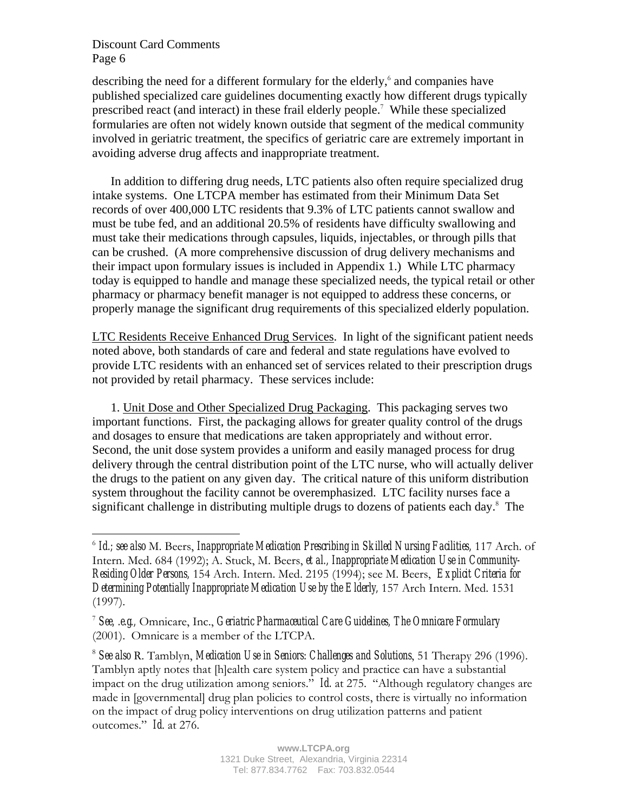1

describing the need for a different formulary for the elderly, and companies have published specialized care guidelines documenting exactly how different drugs typically prescribed react (and interact) in these frail elderly people.<sup>7</sup> While these specialized formularies are often not widely known outside that segment of the medical community involved in geriatric treatment, the specifics of geriatric care are extremely important in avoiding adverse drug affects and inappropriate treatment.

In addition to differing drug needs, LTC patients also often require specialized drug intake systems. One LTCPA member has estimated from their Minimum Data Set records of over 400,000 LTC residents that 9.3% of LTC patients cannot swallow and must be tube fed, and an additional 20.5% of residents have difficulty swallowing and must take their medications through capsules, liquids, injectables, or through pills that can be crushed. (A more comprehensive discussion of drug delivery mechanisms and their impact upon formulary issues is included in Appendix 1.) While LTC pharmacy today is equipped to handle and manage these specialized needs, the typical retail or other pharmacy or pharmacy benefit manager is not equipped to address these concerns, or properly manage the significant drug requirements of this specialized elderly population.

LTC Residents Receive Enhanced Drug Services. In light of the significant patient needs noted above, both standards of care and federal and state regulations have evolved to provide LTC residents with an enhanced set of services related to their prescription drugs not provided by retail pharmacy. These services include:

1. Unit Dose and Other Specialized Drug Packaging. This packaging serves two important functions. First, the packaging allows for greater quality control of the drugs and dosages to ensure that medications are taken appropriately and without error. Second, the unit dose system provides a uniform and easily managed process for drug delivery through the central distribution point of the LTC nurse, who will actually deliver the drugs to the patient on any given day. The critical nature of this uniform distribution system throughout the facility cannot be overemphasized. LTC facility nurses face a significant challenge in distributing multiple drugs to dozens of patients each day. $8$  The

<sup>6</sup> *Id.; see also* M. Beers, *Inappropriate Medication Prescribing in Skilled Nursing Facilities,* 117 Arch. of Intern. Med. 684 (1992); A. Stuck, M. Beers, *et al., Inappropriate Medication Use in Community-Residing Older Persons,* 154 Arch. Intern. Med. 2195 (1994); see M. Beers, *Explicit Criteria for Determining Potentially Inappropriate Medication Use by the Elderly,* 157 Arch Intern. Med. 1531 (1997).

<sup>7</sup> *See, .e.g.,* Omnicare, Inc., *Geriatric Pharmaceutical Care Guidelines, The Omnicare Formulary* (2001). Omnicare is a member of the LTCPA.

<sup>8</sup> *See also* R. Tamblyn, *Medication Use in Seniors: Challenges and Solutions*, 51 Therapy 296 (1996). Tamblyn aptly notes that [h]ealth care system policy and practice can have a substantial impact on the drug utilization among seniors.<sup> $\dot{H}$ </sup> Id. at 275. "Although regulatory changes are made in [governmental] drug plan policies to control costs, there is virtually no information on the impact of drug policy interventions on drug utilization patterns and patient outcomes." *Id.* at 276.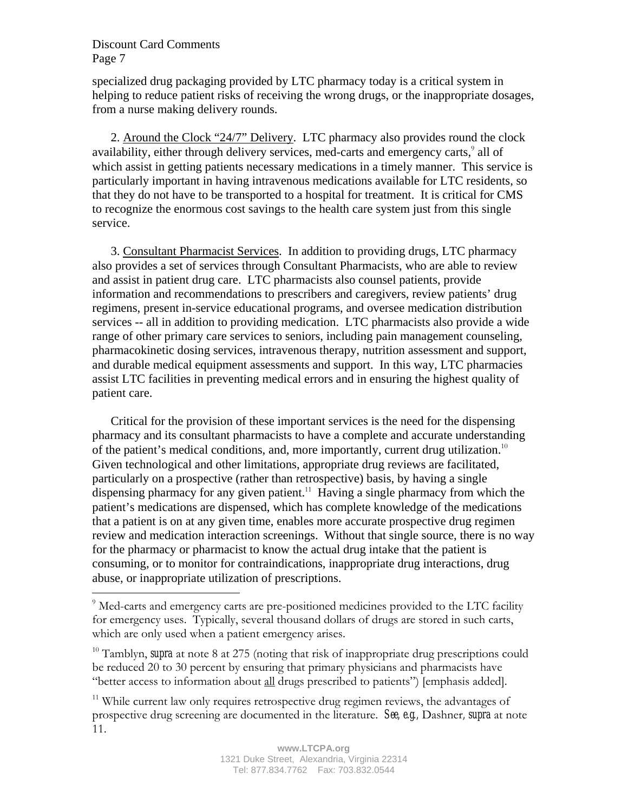$\overline{a}$ 

specialized drug packaging provided by LTC pharmacy today is a critical system in helping to reduce patient risks of receiving the wrong drugs, or the inappropriate dosages, from a nurse making delivery rounds.

2. Around the Clock "24/7" Delivery. LTC pharmacy also provides round the clock availability, either through delivery services, med-carts and emergency carts,<sup>9</sup> all of which assist in getting patients necessary medications in a timely manner. This service is particularly important in having intravenous medications available for LTC residents, so that they do not have to be transported to a hospital for treatment. It is critical for CMS to recognize the enormous cost savings to the health care system just from this single service.

3. Consultant Pharmacist Services. In addition to providing drugs, LTC pharmacy also provides a set of services through Consultant Pharmacists, who are able to review and assist in patient drug care. LTC pharmacists also counsel patients, provide information and recommendations to prescribers and caregivers, review patients' drug regimens, present in-service educational programs, and oversee medication distribution services -- all in addition to providing medication. LTC pharmacists also provide a wide range of other primary care services to seniors, including pain management counseling, pharmacokinetic dosing services, intravenous therapy, nutrition assessment and support, and durable medical equipment assessments and support. In this way, LTC pharmacies assist LTC facilities in preventing medical errors and in ensuring the highest quality of patient care.

Critical for the provision of these important services is the need for the dispensing pharmacy and its consultant pharmacists to have a complete and accurate understanding of the patient's medical conditions, and, more importantly, current drug utilization.<sup>10</sup> Given technological and other limitations, appropriate drug reviews are facilitated, particularly on a prospective (rather than retrospective) basis, by having a single dispensing pharmacy for any given patient.<sup>11</sup> Having a single pharmacy from which the patient's medications are dispensed, which has complete knowledge of the medications that a patient is on at any given time, enables more accurate prospective drug regimen review and medication interaction screenings. Without that single source, there is no way for the pharmacy or pharmacist to know the actual drug intake that the patient is consuming, or to monitor for contraindications, inappropriate drug interactions, drug abuse, or inappropriate utilization of prescriptions.

<sup>&</sup>lt;sup>9</sup> Med-carts and emergency carts are pre-positioned medicines provided to the LTC facility for emergency uses. Typically, several thousand dollars of drugs are stored in such carts, which are only used when a patient emergency arises.

<sup>&</sup>lt;sup>10</sup> Tamblyn, *supra* at note 8 at 275 (noting that risk of inappropriate drug prescriptions could be reduced 20 to 30 percent by ensuring that primary physicians and pharmacists have ìbetter access to information about all drugs prescribed to patientsî) [emphasis added].

<sup>&</sup>lt;sup>11</sup> While current law only requires retrospective drug regimen reviews, the advantages of prospective drug screening are documented in the literature. *See, e.g.,* Dashner*, supra* at note 11.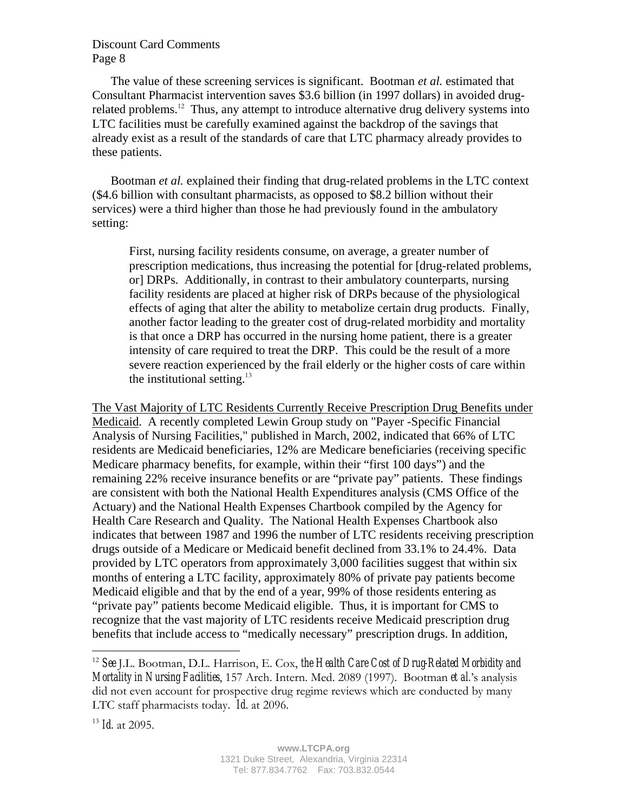The value of these screening services is significant. Bootman *et al.* estimated that Consultant Pharmacist intervention saves \$3.6 billion (in 1997 dollars) in avoided drugrelated problems.<sup>12</sup> Thus, any attempt to introduce alternative drug delivery systems into LTC facilities must be carefully examined against the backdrop of the savings that already exist as a result of the standards of care that LTC pharmacy already provides to these patients.

Bootman *et al.* explained their finding that drug-related problems in the LTC context (\$4.6 billion with consultant pharmacists, as opposed to \$8.2 billion without their services) were a third higher than those he had previously found in the ambulatory setting:

First, nursing facility residents consume, on average, a greater number of prescription medications, thus increasing the potential for [drug-related problems, or] DRPs. Additionally, in contrast to their ambulatory counterparts, nursing facility residents are placed at higher risk of DRPs because of the physiological effects of aging that alter the ability to metabolize certain drug products. Finally, another factor leading to the greater cost of drug-related morbidity and mortality is that once a DRP has occurred in the nursing home patient, there is a greater intensity of care required to treat the DRP. This could be the result of a more severe reaction experienced by the frail elderly or the higher costs of care within the institutional setting.<sup>13</sup>

The Vast Majority of LTC Residents Currently Receive Prescription Drug Benefits under Medicaid. A recently completed Lewin Group study on "Payer -Specific Financial Analysis of Nursing Facilities," published in March, 2002, indicated that 66% of LTC residents are Medicaid beneficiaries, 12% are Medicare beneficiaries (receiving specific Medicare pharmacy benefits, for example, within their "first 100 days") and the remaining 22% receive insurance benefits or are "private pay" patients. These findings are consistent with both the National Health Expenditures analysis (CMS Office of the Actuary) and the National Health Expenses Chartbook compiled by the Agency for Health Care Research and Quality. The National Health Expenses Chartbook also indicates that between 1987 and 1996 the number of LTC residents receiving prescription drugs outside of a Medicare or Medicaid benefit declined from 33.1% to 24.4%. Data provided by LTC operators from approximately 3,000 facilities suggest that within six months of entering a LTC facility, approximately 80% of private pay patients become Medicaid eligible and that by the end of a year, 99% of those residents entering as "private pay" patients become Medicaid eligible. Thus, it is important for CMS to recognize that the vast majority of LTC residents receive Medicaid prescription drug benefits that include access to "medically necessary" prescription drugs. In addition,

1

<sup>12</sup> *See* J.L. Bootman, D.L. Harrison, E. Cox, *the Health Care Cost of Drug-Related Morbidity and Mortality in Nursing Facilities*, 157 Arch. Intern. Med. 2089 (1997). Bootman *et al.*ís analysis did not even account for prospective drug regime reviews which are conducted by many LTC staff pharmacists today. *Id.* at 2096.

<sup>13</sup> *Id.* at 2095.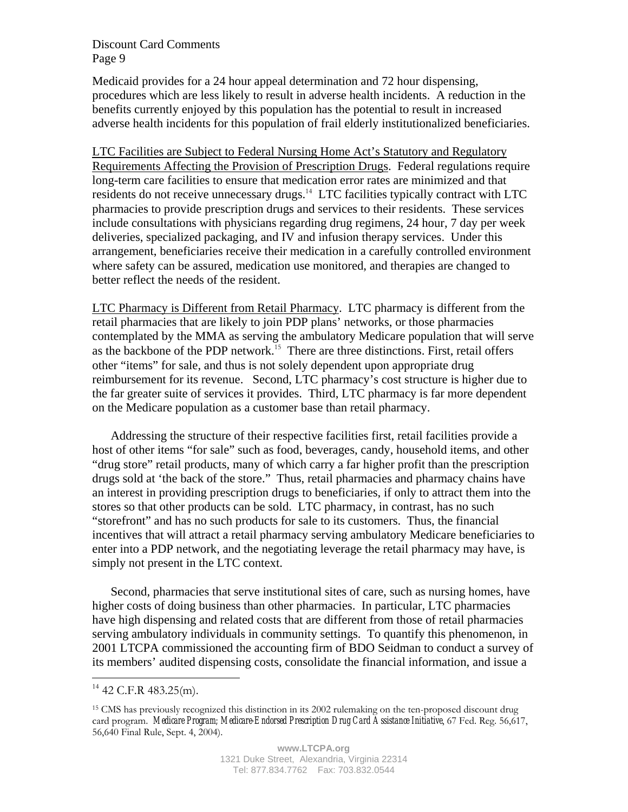Medicaid provides for a 24 hour appeal determination and 72 hour dispensing, procedures which are less likely to result in adverse health incidents. A reduction in the benefits currently enjoyed by this population has the potential to result in increased adverse health incidents for this population of frail elderly institutionalized beneficiaries.

LTC Facilities are Subject to Federal Nursing Home Act's Statutory and Regulatory Requirements Affecting the Provision of Prescription Drugs. Federal regulations require long-term care facilities to ensure that medication error rates are minimized and that residents do not receive unnecessary drugs.<sup>14</sup> LTC facilities typically contract with LTC pharmacies to provide prescription drugs and services to their residents. These services include consultations with physicians regarding drug regimens, 24 hour, 7 day per week deliveries, specialized packaging, and IV and infusion therapy services. Under this arrangement, beneficiaries receive their medication in a carefully controlled environment where safety can be assured, medication use monitored, and therapies are changed to better reflect the needs of the resident.

LTC Pharmacy is Different from Retail Pharmacy. LTC pharmacy is different from the retail pharmacies that are likely to join PDP plans' networks, or those pharmacies contemplated by the MMA as serving the ambulatory Medicare population that will serve as the backbone of the PDP network.<sup>15</sup> There are three distinctions. First, retail offers other "items" for sale, and thus is not solely dependent upon appropriate drug reimbursement for its revenue. Second, LTC pharmacy's cost structure is higher due to the far greater suite of services it provides. Third, LTC pharmacy is far more dependent on the Medicare population as a customer base than retail pharmacy.

Addressing the structure of their respective facilities first, retail facilities provide a host of other items "for sale" such as food, beverages, candy, household items, and other "drug store" retail products, many of which carry a far higher profit than the prescription drugs sold at 'the back of the store." Thus, retail pharmacies and pharmacy chains have an interest in providing prescription drugs to beneficiaries, if only to attract them into the stores so that other products can be sold. LTC pharmacy, in contrast, has no such "storefront" and has no such products for sale to its customers. Thus, the financial incentives that will attract a retail pharmacy serving ambulatory Medicare beneficiaries to enter into a PDP network, and the negotiating leverage the retail pharmacy may have, is simply not present in the LTC context.

Second, pharmacies that serve institutional sites of care, such as nursing homes, have higher costs of doing business than other pharmacies. In particular, LTC pharmacies have high dispensing and related costs that are different from those of retail pharmacies serving ambulatory individuals in community settings. To quantify this phenomenon, in 2001 LTCPA commissioned the accounting firm of BDO Seidman to conduct a survey of its members' audited dispensing costs, consolidate the financial information, and issue a

 $\overline{a}$ 

 $14$  42 C.F.R 483.25(m).

<sup>15</sup> CMS has previously recognized this distinction in its 2002 rulemaking on the ten-proposed discount drug card program. *Medicare Program; Medicare-Endorsed Prescription Drug Card Assistance Initiative*, 67 Fed. Reg. 56,617, 56,640 Final Rule, Sept. 4, 2004).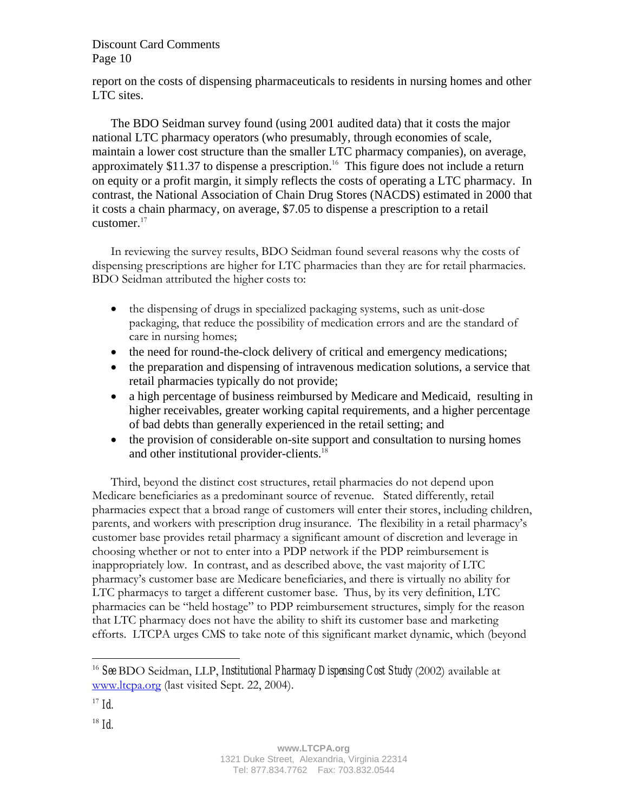report on the costs of dispensing pharmaceuticals to residents in nursing homes and other LTC sites.

The BDO Seidman survey found (using 2001 audited data) that it costs the major national LTC pharmacy operators (who presumably, through economies of scale, maintain a lower cost structure than the smaller LTC pharmacy companies), on average, approximately \$11.37 to dispense a prescription.<sup>16</sup> This figure does not include a return on equity or a profit margin, it simply reflects the costs of operating a LTC pharmacy. In contrast, the National Association of Chain Drug Stores (NACDS) estimated in 2000 that it costs a chain pharmacy, on average, \$7.05 to dispense a prescription to a retail customer. $17$ 

In reviewing the survey results, BDO Seidman found several reasons why the costs of dispensing prescriptions are higher for LTC pharmacies than they are for retail pharmacies. BDO Seidman attributed the higher costs to:

- the dispensing of drugs in specialized packaging systems, such as unit-dose packaging, that reduce the possibility of medication errors and are the standard of care in nursing homes;
- the need for round-the-clock delivery of critical and emergency medications;
- the preparation and dispensing of intravenous medication solutions, a service that retail pharmacies typically do not provide;
- a high percentage of business reimbursed by Medicare and Medicaid, resulting in higher receivables, greater working capital requirements, and a higher percentage of bad debts than generally experienced in the retail setting; and
- the provision of considerable on-site support and consultation to nursing homes and other institutional provider-clients.<sup>18</sup>

Third, beyond the distinct cost structures, retail pharmacies do not depend upon Medicare beneficiaries as a predominant source of revenue. Stated differently, retail pharmacies expect that a broad range of customers will enter their stores, including children, parents, and workers with prescription drug insurance. The flexibility in a retail pharmacy's customer base provides retail pharmacy a significant amount of discretion and leverage in choosing whether or not to enter into a PDP network if the PDP reimbursement is inappropriately low. In contrast, and as described above, the vast majority of LTC pharmacyís customer base are Medicare beneficiaries, and there is virtually no ability for LTC pharmacys to target a different customer base. Thus, by its very definition, LTC pharmacies can be "held hostage" to PDP reimbursement structures, simply for the reason that LTC pharmacy does not have the ability to shift its customer base and marketing efforts. LTCPA urges CMS to take note of this significant market dynamic, which (beyond

1

<sup>18</sup> *Id.* 

<sup>16</sup> *See* BDO Seidman, LLP, *Institutional Pharmacy Dispensing Cost Study* (2002) available at www.ltcpa.org (last visited Sept. 22, 2004).

 $17$  *Id.*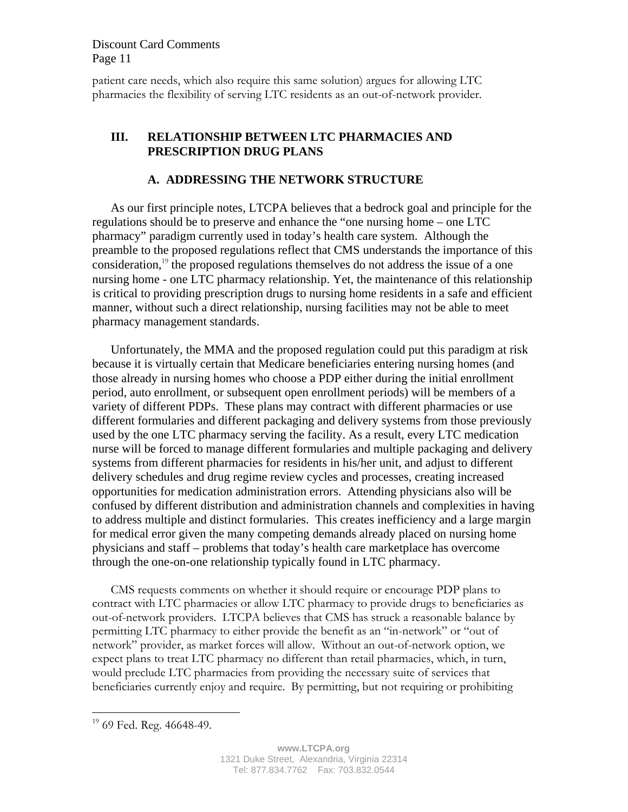patient care needs, which also require this same solution) argues for allowing LTC pharmacies the flexibility of serving LTC residents as an out-of-network provider.

## **III. RELATIONSHIP BETWEEN LTC PHARMACIES AND PRESCRIPTION DRUG PLANS**

#### **A. ADDRESSING THE NETWORK STRUCTURE**

As our first principle notes, LTCPA believes that a bedrock goal and principle for the regulations should be to preserve and enhance the "one nursing home – one LTC pharmacy" paradigm currently used in today's health care system. Although the preamble to the proposed regulations reflect that CMS understands the importance of this consideration,<sup>19</sup> the proposed regulations themselves do not address the issue of a one nursing home - one LTC pharmacy relationship. Yet, the maintenance of this relationship is critical to providing prescription drugs to nursing home residents in a safe and efficient manner, without such a direct relationship, nursing facilities may not be able to meet pharmacy management standards.

Unfortunately, the MMA and the proposed regulation could put this paradigm at risk because it is virtually certain that Medicare beneficiaries entering nursing homes (and those already in nursing homes who choose a PDP either during the initial enrollment period, auto enrollment, or subsequent open enrollment periods) will be members of a variety of different PDPs. These plans may contract with different pharmacies or use different formularies and different packaging and delivery systems from those previously used by the one LTC pharmacy serving the facility. As a result, every LTC medication nurse will be forced to manage different formularies and multiple packaging and delivery systems from different pharmacies for residents in his/her unit, and adjust to different delivery schedules and drug regime review cycles and processes, creating increased opportunities for medication administration errors. Attending physicians also will be confused by different distribution and administration channels and complexities in having to address multiple and distinct formularies. This creates inefficiency and a large margin for medical error given the many competing demands already placed on nursing home physicians and staff – problems that today's health care marketplace has overcome through the one-on-one relationship typically found in LTC pharmacy.

CMS requests comments on whether it should require or encourage PDP plans to contract with LTC pharmacies or allow LTC pharmacy to provide drugs to beneficiaries as out-of-network providers. LTCPA believes that CMS has struck a reasonable balance by permitting LTC pharmacy to either provide the benefit as an "in-network" or "out of network" provider, as market forces will allow. Without an out-of-network option, we expect plans to treat LTC pharmacy no different than retail pharmacies, which, in turn, would preclude LTC pharmacies from providing the necessary suite of services that beneficiaries currently enjoy and require. By permitting, but not requiring or prohibiting

 $\overline{a}$ 

 $19$  69 Fed. Reg. 46648-49.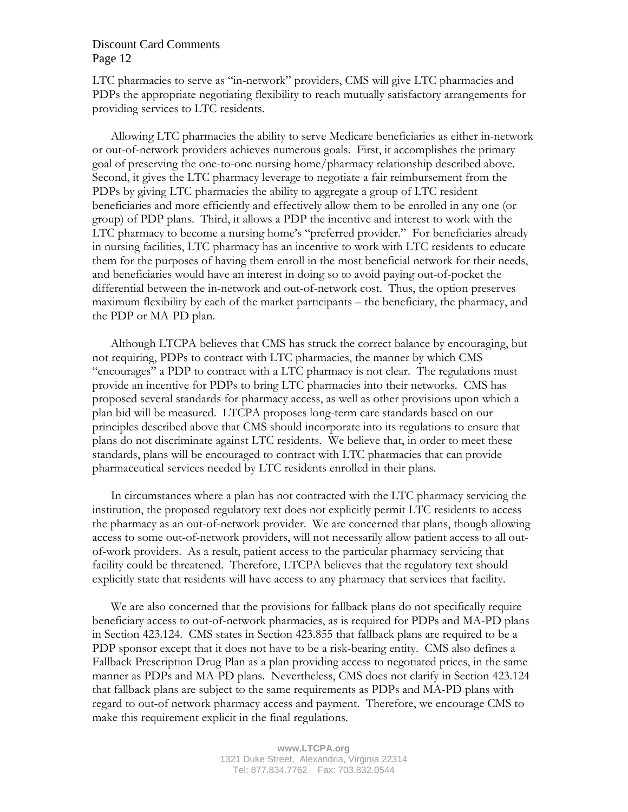LTC pharmacies to serve as "in-network" providers, CMS will give LTC pharmacies and PDPs the appropriate negotiating flexibility to reach mutually satisfactory arrangements for providing services to LTC residents.

Allowing LTC pharmacies the ability to serve Medicare beneficiaries as either in-network or out-of-network providers achieves numerous goals. First, it accomplishes the primary goal of preserving the one-to-one nursing home/pharmacy relationship described above. Second, it gives the LTC pharmacy leverage to negotiate a fair reimbursement from the PDPs by giving LTC pharmacies the ability to aggregate a group of LTC resident beneficiaries and more efficiently and effectively allow them to be enrolled in any one (or group) of PDP plans. Third, it allows a PDP the incentive and interest to work with the LTC pharmacy to become a nursing home's "preferred provider." For beneficiaries already in nursing facilities, LTC pharmacy has an incentive to work with LTC residents to educate them for the purposes of having them enroll in the most beneficial network for their needs, and beneficiaries would have an interest in doing so to avoid paying out-of-pocket the differential between the in-network and out-of-network cost. Thus, the option preserves maximum flexibility by each of the market participants – the beneficiary, the pharmacy, and the PDP or MA-PD plan.

Although LTCPA believes that CMS has struck the correct balance by encouraging, but not requiring, PDPs to contract with LTC pharmacies, the manner by which CMS "encourages" a PDP to contract with a LTC pharmacy is not clear. The regulations must provide an incentive for PDPs to bring LTC pharmacies into their networks. CMS has proposed several standards for pharmacy access, as well as other provisions upon which a plan bid will be measured. LTCPA proposes long-term care standards based on our principles described above that CMS should incorporate into its regulations to ensure that plans do not discriminate against LTC residents. We believe that, in order to meet these standards, plans will be encouraged to contract with LTC pharmacies that can provide pharmaceutical services needed by LTC residents enrolled in their plans.

In circumstances where a plan has not contracted with the LTC pharmacy servicing the institution, the proposed regulatory text does not explicitly permit LTC residents to access the pharmacy as an out-of-network provider. We are concerned that plans, though allowing access to some out-of-network providers, will not necessarily allow patient access to all outof-work providers. As a result, patient access to the particular pharmacy servicing that facility could be threatened. Therefore, LTCPA believes that the regulatory text should explicitly state that residents will have access to any pharmacy that services that facility.

We are also concerned that the provisions for fallback plans do not specifically require beneficiary access to out-of-network pharmacies, as is required for PDPs and MA-PD plans in Section 423.124. CMS states in Section 423.855 that fallback plans are required to be a PDP sponsor except that it does not have to be a risk-bearing entity. CMS also defines a Fallback Prescription Drug Plan as a plan providing access to negotiated prices, in the same manner as PDPs and MA-PD plans. Nevertheless, CMS does not clarify in Section 423.124 that fallback plans are subject to the same requirements as PDPs and MA-PD plans with regard to out-of network pharmacy access and payment. Therefore, we encourage CMS to make this requirement explicit in the final regulations.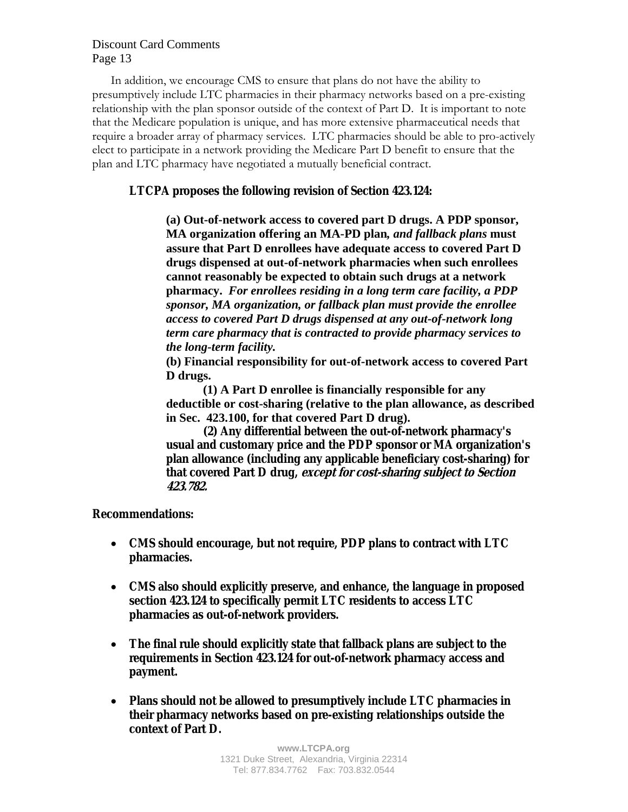In addition, we encourage CMS to ensure that plans do not have the ability to presumptively include LTC pharmacies in their pharmacy networks based on a pre-existing relationship with the plan sponsor outside of the context of Part D. It is important to note that the Medicare population is unique, and has more extensive pharmaceutical needs that require a broader array of pharmacy services. LTC pharmacies should be able to pro-actively elect to participate in a network providing the Medicare Part D benefit to ensure that the plan and LTC pharmacy have negotiated a mutually beneficial contract.

## **LTCPA proposes the following revision of Section 423.124:**

**(a) Out-of-network access to covered part D drugs. A PDP sponsor, MA organization offering an MA-PD plan***, and fallback plans* **must assure that Part D enrollees have adequate access to covered Part D drugs dispensed at out-of-network pharmacies when such enrollees cannot reasonably be expected to obtain such drugs at a network pharmacy.** *For enrollees residing in a long term care facility, a PDP sponsor, MA organization, or fallback plan must provide the enrollee access to covered Part D drugs dispensed at any out-of-network long term care pharmacy that is contracted to provide pharmacy services to the long-term facility.* 

**(b) Financial responsibility for out-of-network access to covered Part D drugs.** 

**(1) A Part D enrollee is financially responsible for any deductible or cost-sharing (relative to the plan allowance, as described in Sec. 423.100, for that covered Part D drug).** 

**(2) Any differential between the out-of-network pharmacy's usual and customary price and the PDP sponsor or MA organization's plan allowance (including any applicable beneficiary cost-sharing) for that covered Part D drug, except for cost-sharing subject to Section 423.782.**

## **Recommendations:**

- **CMS should encourage, but not require, PDP plans to contract with LTC pharmacies.**
- **CMS also should explicitly preserve, and enhance, the language in proposed section 423.124 to specifically permit LTC residents to access LTC pharmacies as out-of-network providers.**
- **The final rule should explicitly state that fallback plans are subject to the requirements in Section 423.124 for out-of-network pharmacy access and payment.**
- **Plans should not be allowed to presumptively include LTC pharmacies in their pharmacy networks based on pre-existing relationships outside the context of Part D.**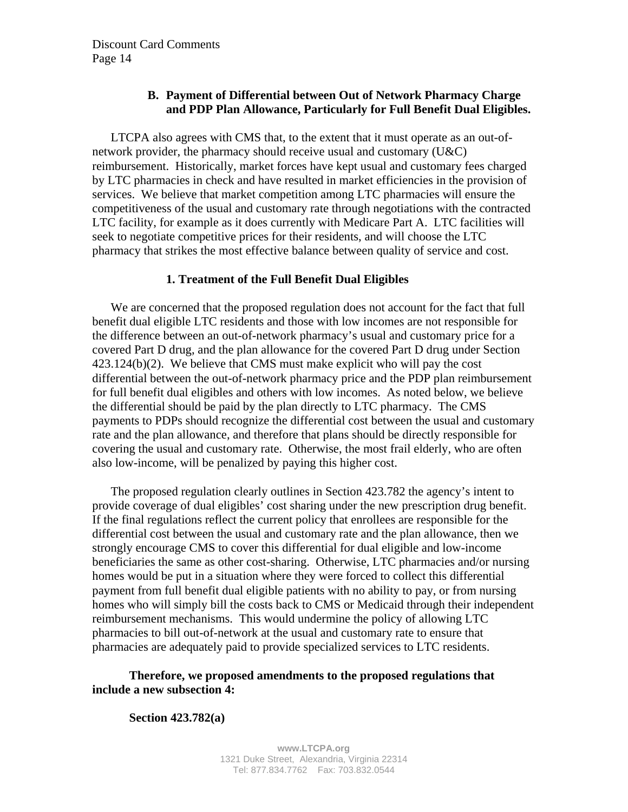# **B. Payment of Differential between Out of Network Pharmacy Charge and PDP Plan Allowance, Particularly for Full Benefit Dual Eligibles.**

LTCPA also agrees with CMS that, to the extent that it must operate as an out-ofnetwork provider, the pharmacy should receive usual and customary (U&C) reimbursement. Historically, market forces have kept usual and customary fees charged by LTC pharmacies in check and have resulted in market efficiencies in the provision of services. We believe that market competition among LTC pharmacies will ensure the competitiveness of the usual and customary rate through negotiations with the contracted LTC facility, for example as it does currently with Medicare Part A. LTC facilities will seek to negotiate competitive prices for their residents, and will choose the LTC pharmacy that strikes the most effective balance between quality of service and cost.

### **1. Treatment of the Full Benefit Dual Eligibles**

We are concerned that the proposed regulation does not account for the fact that full benefit dual eligible LTC residents and those with low incomes are not responsible for the difference between an out-of-network pharmacy's usual and customary price for a covered Part D drug, and the plan allowance for the covered Part D drug under Section  $423.124(b)(2)$ . We believe that CMS must make explicit who will pay the cost differential between the out-of-network pharmacy price and the PDP plan reimbursement for full benefit dual eligibles and others with low incomes. As noted below, we believe the differential should be paid by the plan directly to LTC pharmacy. The CMS payments to PDPs should recognize the differential cost between the usual and customary rate and the plan allowance, and therefore that plans should be directly responsible for covering the usual and customary rate. Otherwise, the most frail elderly, who are often also low-income, will be penalized by paying this higher cost.

The proposed regulation clearly outlines in Section 423.782 the agency's intent to provide coverage of dual eligibles' cost sharing under the new prescription drug benefit. If the final regulations reflect the current policy that enrollees are responsible for the differential cost between the usual and customary rate and the plan allowance, then we strongly encourage CMS to cover this differential for dual eligible and low-income beneficiaries the same as other cost-sharing. Otherwise, LTC pharmacies and/or nursing homes would be put in a situation where they were forced to collect this differential payment from full benefit dual eligible patients with no ability to pay, or from nursing homes who will simply bill the costs back to CMS or Medicaid through their independent reimbursement mechanisms. This would undermine the policy of allowing LTC pharmacies to bill out-of-network at the usual and customary rate to ensure that pharmacies are adequately paid to provide specialized services to LTC residents.

### **Therefore, we proposed amendments to the proposed regulations that include a new subsection 4:**

**Section 423.782(a)**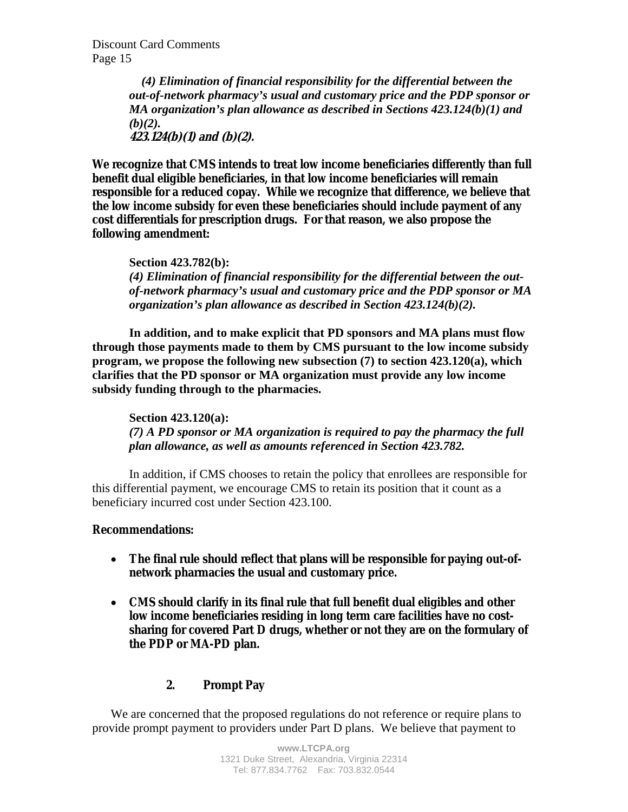*(4) Elimination of financial responsibility for the differential between the out-of-network pharmacy's usual and customary price and the PDP sponsor or MA organization's plan allowance as described in Sections 423.124(b)(1) and*   $(b)(2)$ . **423.124(b)(1) and (b)(2).** 

**We recognize that CMS intends to treat low income beneficiaries differently than full benefit dual eligible beneficiaries, in that low income beneficiaries will remain responsible for a reduced copay. While we recognize that difference, we believe that the low income subsidy for even these beneficiaries should include payment of any cost differentials for prescription drugs. For that reason, we also propose the following amendment:** 

**Section 423.782(b):** *(4) Elimination of financial responsibility for the differential between the outof-network pharmacy's usual and customary price and the PDP sponsor or MA organization's plan allowance as described in Section 423.124(b)(2).* 

**In addition, and to make explicit that PD sponsors and MA plans must flow through those payments made to them by CMS pursuant to the low income subsidy program, we propose the following new subsection (7) to section 423.120(a), which clarifies that the PD sponsor or MA organization must provide any low income subsidy funding through to the pharmacies.** 

 **Section 423.120(a):**  *(7) A PD sponsor or MA organization is required to pay the pharmacy the full plan allowance, as well as amounts referenced in Section 423.782.* 

In addition, if CMS chooses to retain the policy that enrollees are responsible for this differential payment, we encourage CMS to retain its position that it count as a beneficiary incurred cost under Section 423.100.

## **Recommendations:**

- **The final rule should reflect that plans will be responsible for paying out-ofnetwork pharmacies the usual and customary price.**
- **CMS should clarify in its final rule that full benefit dual eligibles and other low income beneficiaries residing in long term care facilities have no costsharing for covered Part D drugs, whether or not they are on the formulary of the PDP or MA-PD plan.**

## **2. Prompt Pay**

We are concerned that the proposed regulations do not reference or require plans to provide prompt payment to providers under Part D plans. We believe that payment to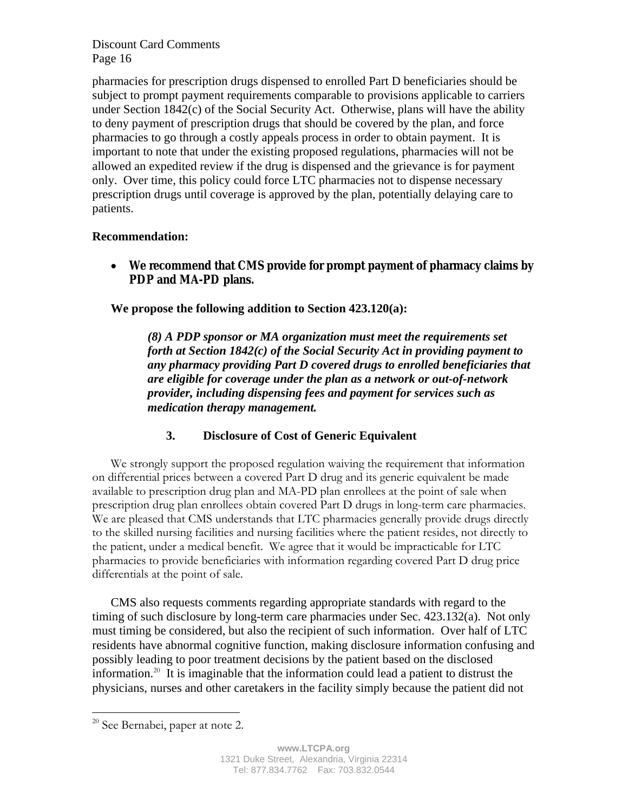pharmacies for prescription drugs dispensed to enrolled Part D beneficiaries should be subject to prompt payment requirements comparable to provisions applicable to carriers under Section  $1842(c)$  of the Social Security Act. Otherwise, plans will have the ability to deny payment of prescription drugs that should be covered by the plan, and force pharmacies to go through a costly appeals process in order to obtain payment. It is important to note that under the existing proposed regulations, pharmacies will not be allowed an expedited review if the drug is dispensed and the grievance is for payment only. Over time, this policy could force LTC pharmacies not to dispense necessary prescription drugs until coverage is approved by the plan, potentially delaying care to patients.

## **Recommendation:**

• **We recommend that CMS provide for prompt payment of pharmacy claims by PDP and MA-PD plans.** 

**We propose the following addition to Section 423.120(a):** 

*(8) A PDP sponsor or MA organization must meet the requirements set forth at Section 1842(c) of the Social Security Act in providing payment to any pharmacy providing Part D covered drugs to enrolled beneficiaries that are eligible for coverage under the plan as a network or out-of-network provider, including dispensing fees and payment for services such as medication therapy management.* 

# **3. Disclosure of Cost of Generic Equivalent**

 We strongly support the proposed regulation waiving the requirement that information on differential prices between a covered Part D drug and its generic equivalent be made available to prescription drug plan and MA-PD plan enrollees at the point of sale when prescription drug plan enrollees obtain covered Part D drugs in long-term care pharmacies. We are pleased that CMS understands that LTC pharmacies generally provide drugs directly to the skilled nursing facilities and nursing facilities where the patient resides, not directly to the patient, under a medical benefit. We agree that it would be impracticable for LTC pharmacies to provide beneficiaries with information regarding covered Part D drug price differentials at the point of sale.

CMS also requests comments regarding appropriate standards with regard to the timing of such disclosure by long-term care pharmacies under Sec. 423.132(a). Not only must timing be considered, but also the recipient of such information. Over half of LTC residents have abnormal cognitive function, making disclosure information confusing and possibly leading to poor treatment decisions by the patient based on the disclosed information.<sup>20</sup> It is imaginable that the information could lead a patient to distrust the physicians, nurses and other caretakers in the facility simply because the patient did not

1

<sup>&</sup>lt;sup>20</sup> See Bernabei, paper at note 2.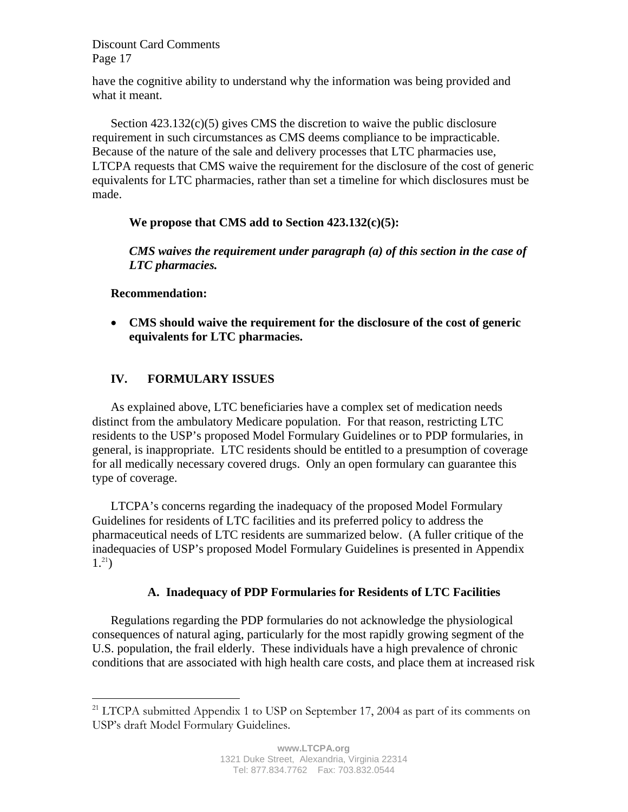have the cognitive ability to understand why the information was being provided and what it meant.

Section  $423.132(c)(5)$  gives CMS the discretion to waive the public disclosure requirement in such circumstances as CMS deems compliance to be impracticable. Because of the nature of the sale and delivery processes that LTC pharmacies use, LTCPA requests that CMS waive the requirement for the disclosure of the cost of generic equivalents for LTC pharmacies, rather than set a timeline for which disclosures must be made.

# **We propose that CMS add to Section 423.132(c)(5):**

*CMS waives the requirement under paragraph (a) of this section in the case of LTC pharmacies.* 

# **Recommendation:**

 $\overline{a}$ 

• **CMS should waive the requirement for the disclosure of the cost of generic equivalents for LTC pharmacies.** 

# **IV. FORMULARY ISSUES**

As explained above, LTC beneficiaries have a complex set of medication needs distinct from the ambulatory Medicare population. For that reason, restricting LTC residents to the USP's proposed Model Formulary Guidelines or to PDP formularies, in general, is inappropriate. LTC residents should be entitled to a presumption of coverage for all medically necessary covered drugs. Only an open formulary can guarantee this type of coverage.

LTCPA's concerns regarding the inadequacy of the proposed Model Formulary Guidelines for residents of LTC facilities and its preferred policy to address the pharmaceutical needs of LTC residents are summarized below. (A fuller critique of the inadequacies of USP's proposed Model Formulary Guidelines is presented in Appendix  $1.^{21}$ )

# **A. Inadequacy of PDP Formularies for Residents of LTC Facilities**

Regulations regarding the PDP formularies do not acknowledge the physiological consequences of natural aging, particularly for the most rapidly growing segment of the U.S. population, the frail elderly. These individuals have a high prevalence of chronic conditions that are associated with high health care costs, and place them at increased risk

 $21$  LTCPA submitted Appendix 1 to USP on September 17, 2004 as part of its comments on USP's draft Model Formulary Guidelines.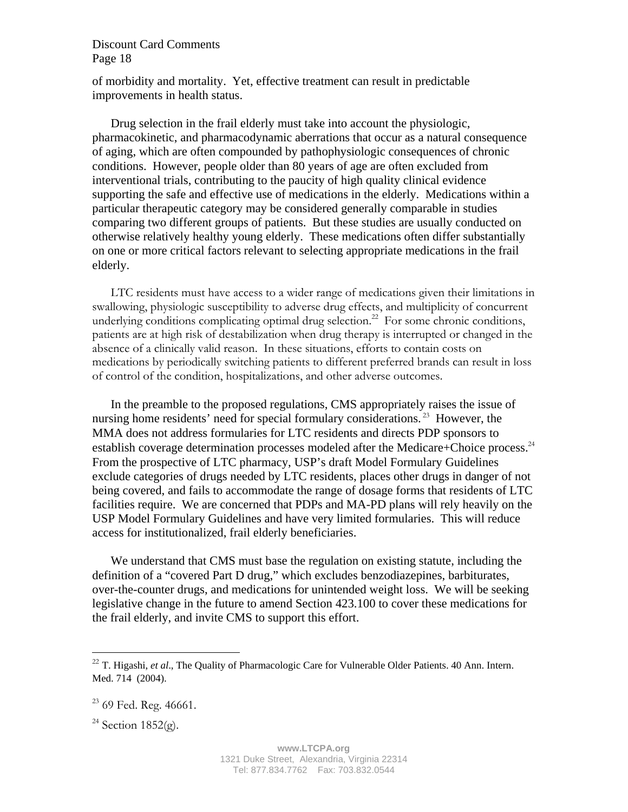of morbidity and mortality. Yet, effective treatment can result in predictable improvements in health status.

Drug selection in the frail elderly must take into account the physiologic, pharmacokinetic, and pharmacodynamic aberrations that occur as a natural consequence of aging, which are often compounded by pathophysiologic consequences of chronic conditions. However, people older than 80 years of age are often excluded from interventional trials, contributing to the paucity of high quality clinical evidence supporting the safe and effective use of medications in the elderly. Medications within a particular therapeutic category may be considered generally comparable in studies comparing two different groups of patients. But these studies are usually conducted on otherwise relatively healthy young elderly. These medications often differ substantially on one or more critical factors relevant to selecting appropriate medications in the frail elderly.

LTC residents must have access to a wider range of medications given their limitations in swallowing, physiologic susceptibility to adverse drug effects, and multiplicity of concurrent underlying conditions complicating optimal drug selection.<sup>22</sup> For some chronic conditions, patients are at high risk of destabilization when drug therapy is interrupted or changed in the absence of a clinically valid reason. In these situations, efforts to contain costs on medications by periodically switching patients to different preferred brands can result in loss of control of the condition, hospitalizations, and other adverse outcomes.

In the preamble to the proposed regulations, CMS appropriately raises the issue of nursing home residents' need for special formulary considerations.<sup>23</sup> However, the MMA does not address formularies for LTC residents and directs PDP sponsors to establish coverage determination processes modeled after the Medicare+Choice process. $24$ From the prospective of LTC pharmacy, USP's draft Model Formulary Guidelines exclude categories of drugs needed by LTC residents, places other drugs in danger of not being covered, and fails to accommodate the range of dosage forms that residents of LTC facilities require. We are concerned that PDPs and MA-PD plans will rely heavily on the USP Model Formulary Guidelines and have very limited formularies. This will reduce access for institutionalized, frail elderly beneficiaries.

We understand that CMS must base the regulation on existing statute, including the definition of a "covered Part D drug," which excludes benzodiazepines, barbiturates, over-the-counter drugs, and medications for unintended weight loss. We will be seeking legislative change in the future to amend Section 423.100 to cover these medications for the frail elderly, and invite CMS to support this effort.

1

<sup>&</sup>lt;sup>22</sup> T. Higashi, *et al.*, The Quality of Pharmacologic Care for Vulnerable Older Patients. 40 Ann. Intern. Med. 714 (2004).

 $23$  69 Fed. Reg. 46661.

<sup>&</sup>lt;sup>24</sup> Section 1852(g).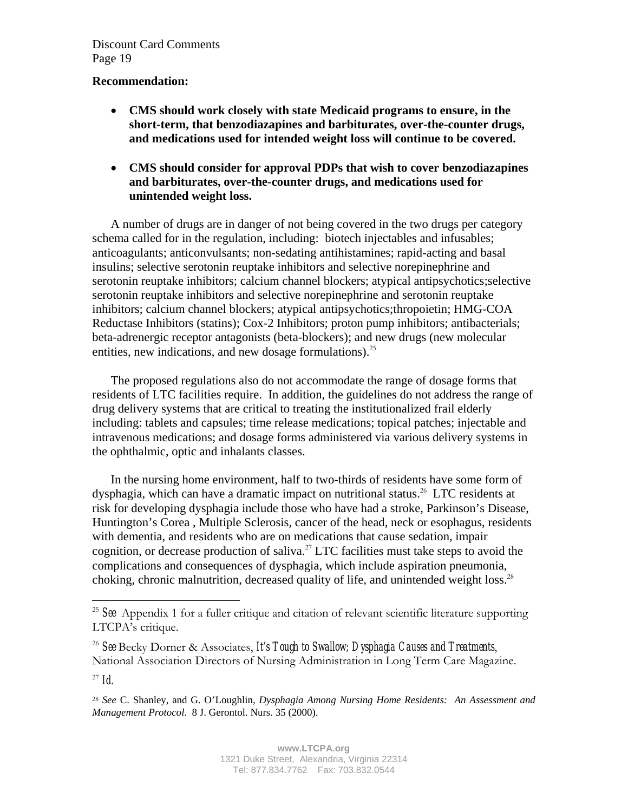## **Recommendation:**

- **CMS should work closely with state Medicaid programs to ensure, in the short-term, that benzodiazapines and barbiturates, over-the-counter drugs, and medications used for intended weight loss will continue to be covered.**
- **CMS should consider for approval PDPs that wish to cover benzodiazapines and barbiturates, over-the-counter drugs, and medications used for unintended weight loss.**

A number of drugs are in danger of not being covered in the two drugs per category schema called for in the regulation, including: biotech injectables and infusables; anticoagulants; anticonvulsants; non-sedating antihistamines; rapid-acting and basal insulins; selective serotonin reuptake inhibitors and selective norepinephrine and serotonin reuptake inhibitors; calcium channel blockers; atypical antipsychotics;selective serotonin reuptake inhibitors and selective norepinephrine and serotonin reuptake inhibitors; calcium channel blockers; atypical antipsychotics;thropoietin; HMG-COA Reductase Inhibitors (statins); Cox-2 Inhibitors; proton pump inhibitors; antibacterials; beta-adrenergic receptor antagonists (beta-blockers); and new drugs (new molecular entities, new indications, and new dosage formulations).<sup>25</sup>

The proposed regulations also do not accommodate the range of dosage forms that residents of LTC facilities require. In addition, the guidelines do not address the range of drug delivery systems that are critical to treating the institutionalized frail elderly including: tablets and capsules; time release medications; topical patches; injectable and intravenous medications; and dosage forms administered via various delivery systems in the ophthalmic, optic and inhalants classes.

In the nursing home environment, half to two-thirds of residents have some form of dysphagia, which can have a dramatic impact on nutritional status.<sup>26</sup> LTC residents at risk for developing dysphagia include those who have had a stroke, Parkinson's Disease, Huntington's Corea , Multiple Sclerosis, cancer of the head, neck or esophagus, residents with dementia, and residents who are on medications that cause sedation, impair cognition, or decrease production of saliva.<sup>27</sup> LTC facilities must take steps to avoid the complications and consequences of dysphagia, which include aspiration pneumonia, choking, chronic malnutrition, decreased quality of life, and unintended weight loss.<sup>28</sup>

1

<sup>25</sup> *See* Appendix 1 for a fuller critique and citation of relevant scientific literature supporting LTCPA's critique.

<sup>26</sup> *See* Becky Dorner & Associates, *It's Tough to Swallow; Dysphagia Causes and Treatments*, National Association Directors of Nursing Administration in Long Term Care Magazine.

 $27 \, \text{Id}$ 

<sup>28</sup> *See* C. Shanley, and G. O'Loughlin, *Dysphagia Among Nursing Home Residents: An Assessment and Management Protocol*. 8 J. Gerontol. Nurs. 35 (2000).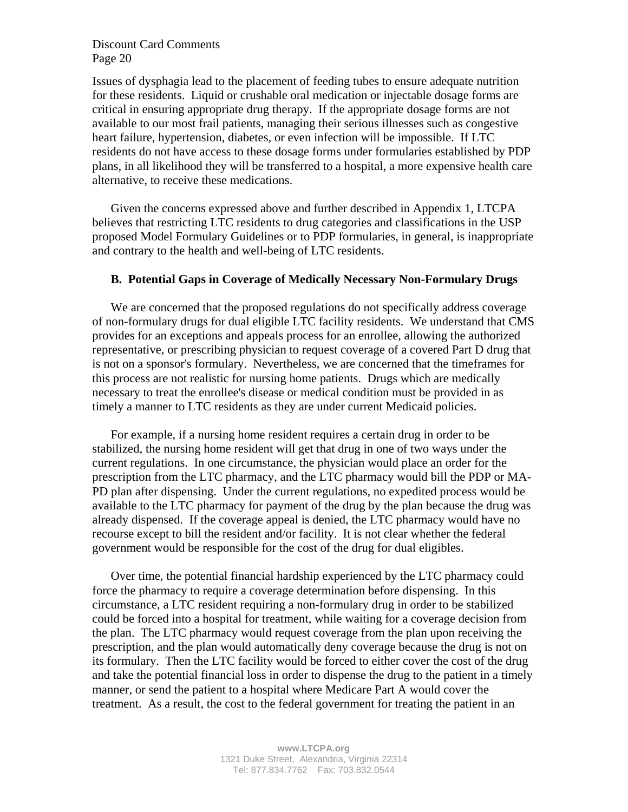Issues of dysphagia lead to the placement of feeding tubes to ensure adequate nutrition for these residents. Liquid or crushable oral medication or injectable dosage forms are critical in ensuring appropriate drug therapy. If the appropriate dosage forms are not available to our most frail patients, managing their serious illnesses such as congestive heart failure, hypertension, diabetes, or even infection will be impossible. If LTC residents do not have access to these dosage forms under formularies established by PDP plans, in all likelihood they will be transferred to a hospital, a more expensive health care alternative, to receive these medications.

Given the concerns expressed above and further described in Appendix 1, LTCPA believes that restricting LTC residents to drug categories and classifications in the USP proposed Model Formulary Guidelines or to PDP formularies, in general, is inappropriate and contrary to the health and well-being of LTC residents.

#### **B. Potential Gaps in Coverage of Medically Necessary Non-Formulary Drugs**

We are concerned that the proposed regulations do not specifically address coverage of non-formulary drugs for dual eligible LTC facility residents. We understand that CMS provides for an exceptions and appeals process for an enrollee, allowing the authorized representative, or prescribing physician to request coverage of a covered Part D drug that is not on a sponsor's formulary. Nevertheless, we are concerned that the timeframes for this process are not realistic for nursing home patients. Drugs which are medically necessary to treat the enrollee's disease or medical condition must be provided in as timely a manner to LTC residents as they are under current Medicaid policies.

For example, if a nursing home resident requires a certain drug in order to be stabilized, the nursing home resident will get that drug in one of two ways under the current regulations. In one circumstance, the physician would place an order for the prescription from the LTC pharmacy, and the LTC pharmacy would bill the PDP or MA-PD plan after dispensing. Under the current regulations, no expedited process would be available to the LTC pharmacy for payment of the drug by the plan because the drug was already dispensed. If the coverage appeal is denied, the LTC pharmacy would have no recourse except to bill the resident and/or facility. It is not clear whether the federal government would be responsible for the cost of the drug for dual eligibles.

Over time, the potential financial hardship experienced by the LTC pharmacy could force the pharmacy to require a coverage determination before dispensing. In this circumstance, a LTC resident requiring a non-formulary drug in order to be stabilized could be forced into a hospital for treatment, while waiting for a coverage decision from the plan. The LTC pharmacy would request coverage from the plan upon receiving the prescription, and the plan would automatically deny coverage because the drug is not on its formulary. Then the LTC facility would be forced to either cover the cost of the drug and take the potential financial loss in order to dispense the drug to the patient in a timely manner, or send the patient to a hospital where Medicare Part A would cover the treatment. As a result, the cost to the federal government for treating the patient in an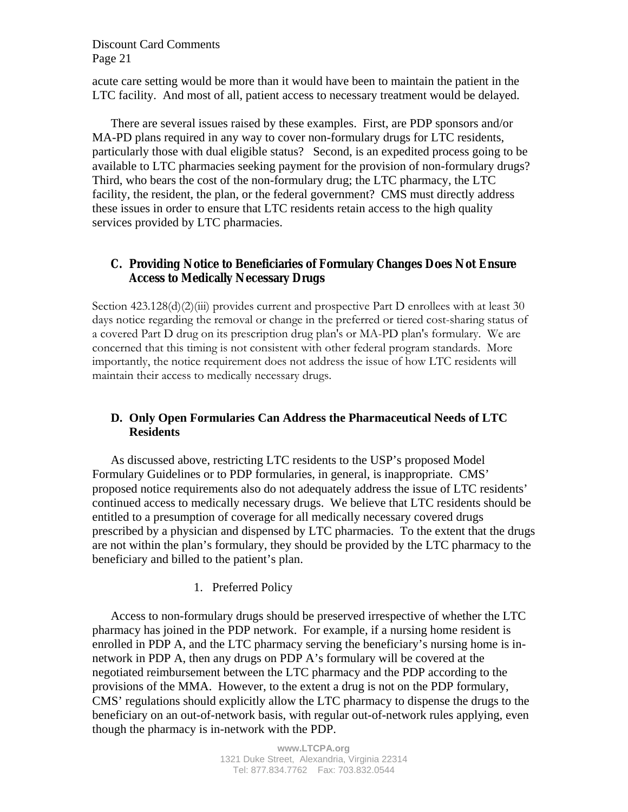acute care setting would be more than it would have been to maintain the patient in the LTC facility. And most of all, patient access to necessary treatment would be delayed.

There are several issues raised by these examples. First, are PDP sponsors and/or MA-PD plans required in any way to cover non-formulary drugs for LTC residents, particularly those with dual eligible status? Second, is an expedited process going to be available to LTC pharmacies seeking payment for the provision of non-formulary drugs? Third, who bears the cost of the non-formulary drug; the LTC pharmacy, the LTC facility, the resident, the plan, or the federal government? CMS must directly address these issues in order to ensure that LTC residents retain access to the high quality services provided by LTC pharmacies.

## **C. Providing Notice to Beneficiaries of Formulary Changes Does Not Ensure Access to Medically Necessary Drugs**

Section  $423.128(d)(2)(iii)$  provides current and prospective Part D enrollees with at least 30 days notice regarding the removal or change in the preferred or tiered cost-sharing status of a covered Part D drug on its prescription drug plan's or MA-PD plan's formulary. We are concerned that this timing is not consistent with other federal program standards. More importantly, the notice requirement does not address the issue of how LTC residents will maintain their access to medically necessary drugs.

## **D. Only Open Formularies Can Address the Pharmaceutical Needs of LTC Residents**

As discussed above, restricting LTC residents to the USP's proposed Model Formulary Guidelines or to PDP formularies, in general, is inappropriate. CMS' proposed notice requirements also do not adequately address the issue of LTC residents' continued access to medically necessary drugs. We believe that LTC residents should be entitled to a presumption of coverage for all medically necessary covered drugs prescribed by a physician and dispensed by LTC pharmacies. To the extent that the drugs are not within the plan's formulary, they should be provided by the LTC pharmacy to the beneficiary and billed to the patient's plan.

1. Preferred Policy

Access to non-formulary drugs should be preserved irrespective of whether the LTC pharmacy has joined in the PDP network. For example, if a nursing home resident is enrolled in PDP A, and the LTC pharmacy serving the beneficiary's nursing home is innetwork in PDP A, then any drugs on PDP A's formulary will be covered at the negotiated reimbursement between the LTC pharmacy and the PDP according to the provisions of the MMA. However, to the extent a drug is not on the PDP formulary, CMS' regulations should explicitly allow the LTC pharmacy to dispense the drugs to the beneficiary on an out-of-network basis, with regular out-of-network rules applying, even though the pharmacy is in-network with the PDP.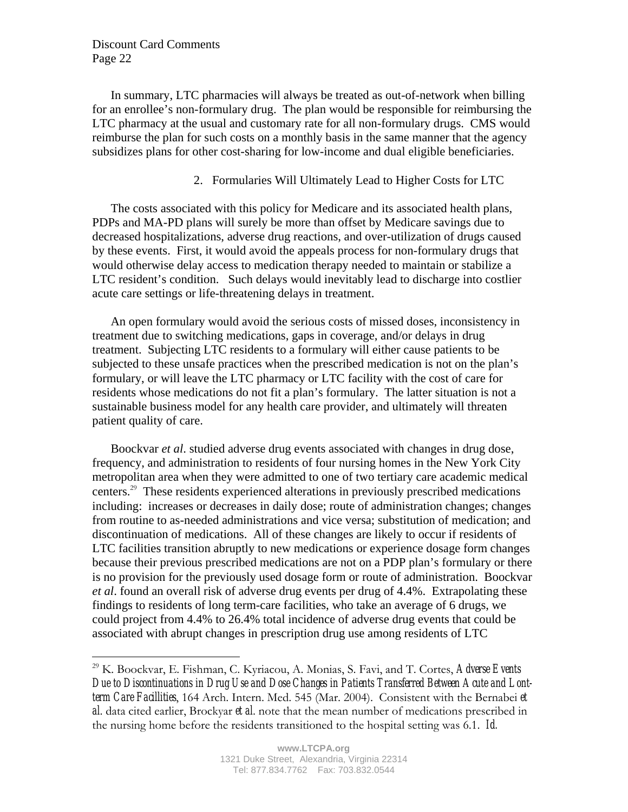$\overline{a}$ 

In summary, LTC pharmacies will always be treated as out-of-network when billing for an enrollee's non-formulary drug. The plan would be responsible for reimbursing the LTC pharmacy at the usual and customary rate for all non-formulary drugs. CMS would reimburse the plan for such costs on a monthly basis in the same manner that the agency subsidizes plans for other cost-sharing for low-income and dual eligible beneficiaries.

## 2. Formularies Will Ultimately Lead to Higher Costs for LTC

The costs associated with this policy for Medicare and its associated health plans, PDPs and MA-PD plans will surely be more than offset by Medicare savings due to decreased hospitalizations, adverse drug reactions, and over-utilization of drugs caused by these events. First, it would avoid the appeals process for non-formulary drugs that would otherwise delay access to medication therapy needed to maintain or stabilize a LTC resident's condition. Such delays would inevitably lead to discharge into costlier acute care settings or life-threatening delays in treatment.

An open formulary would avoid the serious costs of missed doses, inconsistency in treatment due to switching medications, gaps in coverage, and/or delays in drug treatment. Subjecting LTC residents to a formulary will either cause patients to be subjected to these unsafe practices when the prescribed medication is not on the plan's formulary, or will leave the LTC pharmacy or LTC facility with the cost of care for residents whose medications do not fit a plan's formulary. The latter situation is not a sustainable business model for any health care provider, and ultimately will threaten patient quality of care.

Boockvar *et al*. studied adverse drug events associated with changes in drug dose, frequency, and administration to residents of four nursing homes in the New York City metropolitan area when they were admitted to one of two tertiary care academic medical centers.<sup>29</sup> These residents experienced alterations in previously prescribed medications including: increases or decreases in daily dose; route of administration changes; changes from routine to as-needed administrations and vice versa; substitution of medication; and discontinuation of medications. All of these changes are likely to occur if residents of LTC facilities transition abruptly to new medications or experience dosage form changes because their previous prescribed medications are not on a PDP plan's formulary or there is no provision for the previously used dosage form or route of administration. Boockvar *et al*. found an overall risk of adverse drug events per drug of 4.4%. Extrapolating these findings to residents of long term-care facilities, who take an average of 6 drugs, we could project from 4.4% to 26.4% total incidence of adverse drug events that could be associated with abrupt changes in prescription drug use among residents of LTC

<sup>29</sup> K. Boockvar, E. Fishman, C. Kyriacou, A. Monias, S. Favi, and T. Cortes, *Adverse Events Due to Discontinuations in Drug Use and Dose Changes in Patients Transferred Between Acute and Lontterm Care Facillities*, 164 Arch. Intern. Med. 545 (Mar. 2004). Consistent with the Bernabei *et al*. data cited earlier, Brockyar *et al*. note that the mean number of medications prescribed in the nursing home before the residents transitioned to the hospital setting was 6.1. *Id.*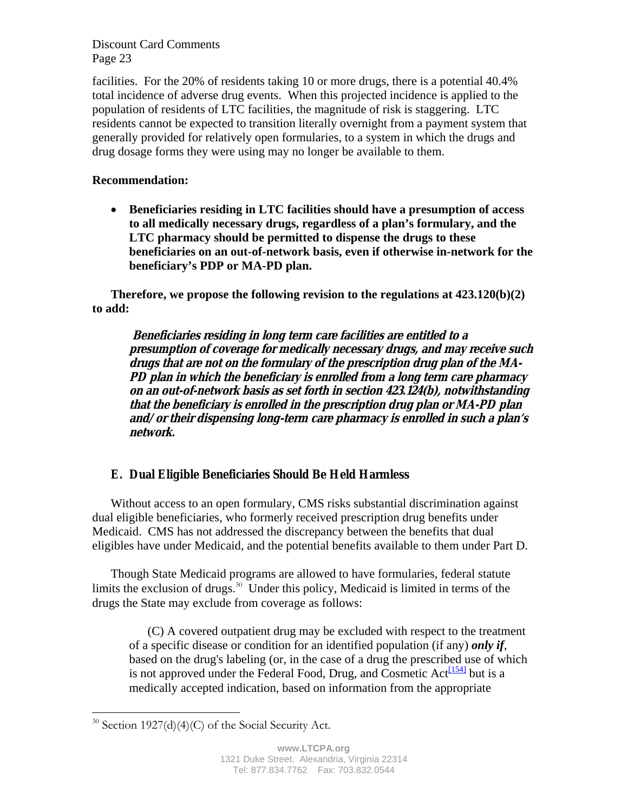facilities. For the 20% of residents taking 10 or more drugs, there is a potential 40.4% total incidence of adverse drug events. When this projected incidence is applied to the population of residents of LTC facilities, the magnitude of risk is staggering. LTC residents cannot be expected to transition literally overnight from a payment system that generally provided for relatively open formularies, to a system in which the drugs and drug dosage forms they were using may no longer be available to them.

# **Recommendation:**

• **Beneficiaries residing in LTC facilities should have a presumption of access to all medically necessary drugs, regardless of a plan's formulary, and the LTC pharmacy should be permitted to dispense the drugs to these beneficiaries on an out-of-network basis, even if otherwise in-network for the beneficiary's PDP or MA-PD plan.** 

**Therefore, we propose the following revision to the regulations at 423.120(b)(2) to add:** 

**Beneficiaries residing in long term care facilities are entitled to a presumption of coverage for medically necessary drugs, and may receive such drugs that are not on the formulary of the prescription drug plan of the MA-PD plan in which the beneficiary is enrolled from a long term care pharmacy on an out-of-network basis as set forth in section 423.124(b), notwithstanding that the beneficiary is enrolled in the prescription drug plan or MA-PD plan and/or their dispensing long-term care pharmacy is enrolled in such a plan's network.** 

# **E. Dual Eligible Beneficiaries Should Be Held Harmless**

Without access to an open formulary, CMS risks substantial discrimination against dual eligible beneficiaries, who formerly received prescription drug benefits under Medicaid. CMS has not addressed the discrepancy between the benefits that dual eligibles have under Medicaid, and the potential benefits available to them under Part D.

Though State Medicaid programs are allowed to have formularies, federal statute limits the exclusion of drugs.<sup>30</sup> Under this policy, Medicaid is limited in terms of the drugs the State may exclude from coverage as follows:

(C) A covered outpatient drug may be excluded with respect to the treatment of a specific disease or condition for an identified population (if any) *only if*, based on the drug's labeling (or, in the case of a drug the prescribed use of which is not approved under the Federal Food, Drug, and Cosmetic  $Act^{[154]}$  but is a medically accepted indication, based on information from the appropriate

 $\overline{a}$  $30$  Section 1927(d)(4)(C) of the Social Security Act.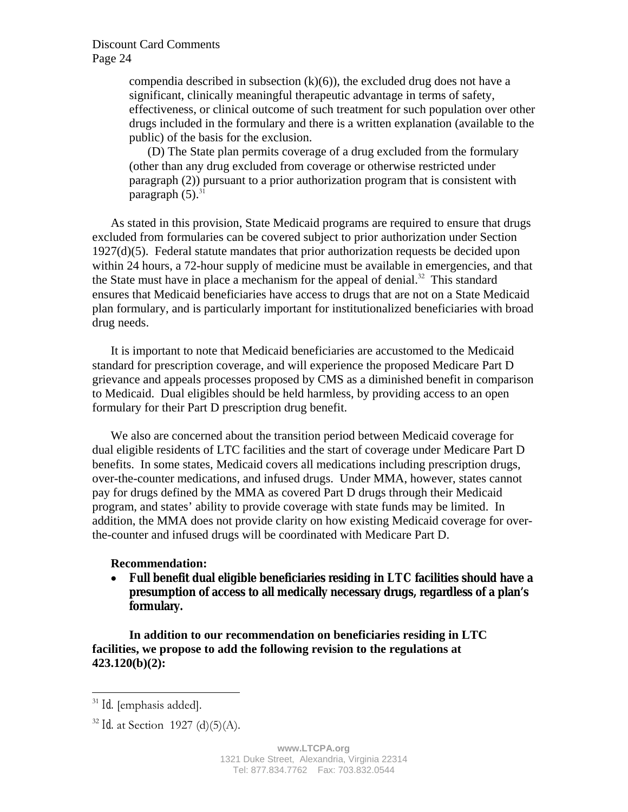compendia described in subsection  $(k)(6)$ , the excluded drug does not have a significant, clinically meaningful therapeutic advantage in terms of safety, effectiveness, or clinical outcome of such treatment for such population over other drugs included in the formulary and there is a written explanation (available to the public) of the basis for the exclusion.

(D) The State plan permits coverage of a drug excluded from the formulary (other than any drug excluded from coverage or otherwise restricted under paragraph (2)) pursuant to a prior authorization program that is consistent with paragraph  $(5)$ .<sup>31</sup>

As stated in this provision, State Medicaid programs are required to ensure that drugs excluded from formularies can be covered subject to prior authorization under Section 1927(d)(5). Federal statute mandates that prior authorization requests be decided upon within 24 hours, a 72-hour supply of medicine must be available in emergencies, and that the State must have in place a mechanism for the appeal of denial.<sup>32</sup> This standard ensures that Medicaid beneficiaries have access to drugs that are not on a State Medicaid plan formulary, and is particularly important for institutionalized beneficiaries with broad drug needs.

It is important to note that Medicaid beneficiaries are accustomed to the Medicaid standard for prescription coverage, and will experience the proposed Medicare Part D grievance and appeals processes proposed by CMS as a diminished benefit in comparison to Medicaid. Dual eligibles should be held harmless, by providing access to an open formulary for their Part D prescription drug benefit.

We also are concerned about the transition period between Medicaid coverage for dual eligible residents of LTC facilities and the start of coverage under Medicare Part D benefits. In some states, Medicaid covers all medications including prescription drugs, over-the-counter medications, and infused drugs. Under MMA, however, states cannot pay for drugs defined by the MMA as covered Part D drugs through their Medicaid program, and states' ability to provide coverage with state funds may be limited. In addition, the MMA does not provide clarity on how existing Medicaid coverage for overthe-counter and infused drugs will be coordinated with Medicare Part D.

#### **Recommendation:**

• **Full benefit dual eligible beneficiaries residing in LTC facilities should have a presumption of access to all medically necessary drugs, regardless of a plan's formulary.** 

**In addition to our recommendation on beneficiaries residing in LTC facilities, we propose to add the following revision to the regulations at 423.120(b)(2):** 

1

<sup>31</sup> *Id.* [emphasis added].

<sup>32</sup> *Id.* at Section 1927 (d)(5)(A).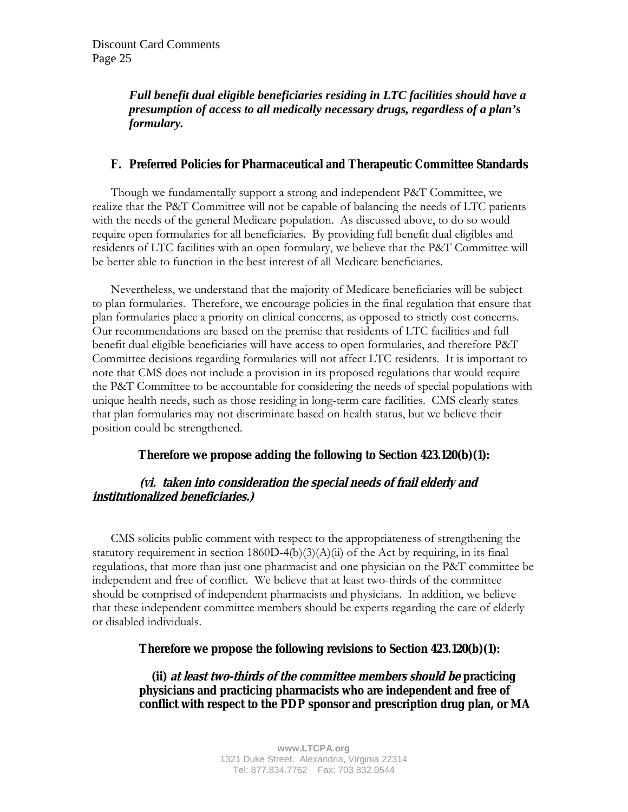# *Full benefit dual eligible beneficiaries residing in LTC facilities should have a presumption of access to all medically necessary drugs, regardless of a plan's formulary.*

## **F. Preferred Policies for Pharmaceutical and Therapeutic Committee Standards**

Though we fundamentally support a strong and independent P&T Committee, we realize that the P&T Committee will not be capable of balancing the needs of LTC patients with the needs of the general Medicare population. As discussed above, to do so would require open formularies for all beneficiaries. By providing full benefit dual eligibles and residents of LTC facilities with an open formulary, we believe that the P&T Committee will be better able to function in the best interest of all Medicare beneficiaries.

 Nevertheless, we understand that the majority of Medicare beneficiaries will be subject to plan formularies. Therefore, we encourage policies in the final regulation that ensure that plan formularies place a priority on clinical concerns, as opposed to strictly cost concerns. Our recommendations are based on the premise that residents of LTC facilities and full benefit dual eligible beneficiaries will have access to open formularies, and therefore P&T Committee decisions regarding formularies will not affect LTC residents. It is important to note that CMS does not include a provision in its proposed regulations that would require the P&T Committee to be accountable for considering the needs of special populations with unique health needs, such as those residing in long-term care facilities. CMS clearly states that plan formularies may not discriminate based on health status, but we believe their position could be strengthened.

## **Therefore we propose adding the following to Section 423.120(b)(1):**

# **(vi. taken into consideration the special needs of frail elderly and institutionalized beneficiaries.)**

 CMS solicits public comment with respect to the appropriateness of strengthening the statutory requirement in section  $1860D-4(b)(3)(A)(ii)$  of the Act by requiring, in its final regulations, that more than just one pharmacist and one physician on the P&T committee be independent and free of conflict. We believe that at least two-thirds of the committee should be comprised of independent pharmacists and physicians. In addition, we believe that these independent committee members should be experts regarding the care of elderly or disabled individuals.

## **Therefore we propose the following revisions to Section 423.120(b)(1):**

 **(ii) at least two-thirds of the committee members should be practicing physicians and practicing pharmacists who are independent and free of conflict with respect to the PDP sponsor and prescription drug plan, or MA**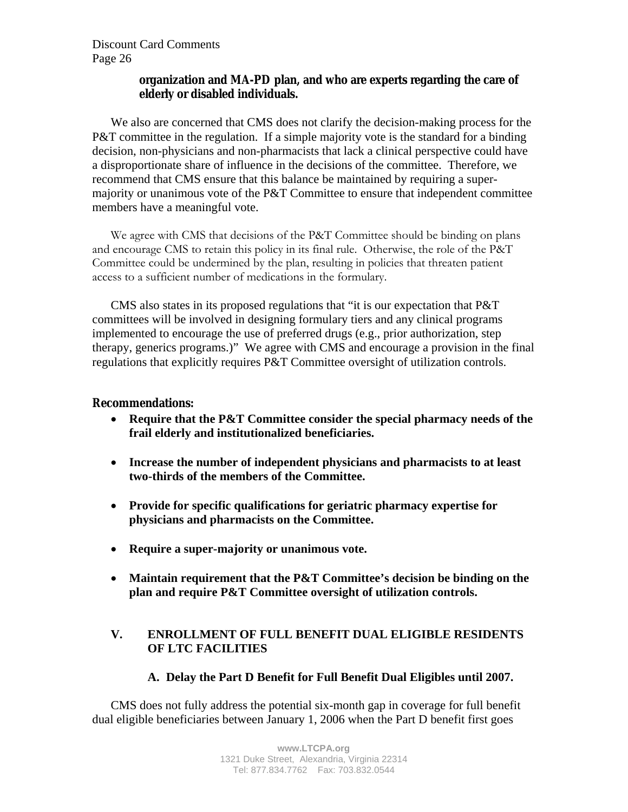## **organization and MA-PD plan, and who are experts regarding the care of elderly or disabled individuals.**

We also are concerned that CMS does not clarify the decision-making process for the P&T committee in the regulation. If a simple majority vote is the standard for a binding decision, non-physicians and non-pharmacists that lack a clinical perspective could have a disproportionate share of influence in the decisions of the committee. Therefore, we recommend that CMS ensure that this balance be maintained by requiring a supermajority or unanimous vote of the P&T Committee to ensure that independent committee members have a meaningful vote.

We agree with CMS that decisions of the P&T Committee should be binding on plans and encourage CMS to retain this policy in its final rule. Otherwise, the role of the P&T Committee could be undermined by the plan, resulting in policies that threaten patient access to a sufficient number of medications in the formulary.

CMS also states in its proposed regulations that "it is our expectation that P&T committees will be involved in designing formulary tiers and any clinical programs implemented to encourage the use of preferred drugs (e.g., prior authorization, step therapy, generics programs.)" We agree with CMS and encourage a provision in the final regulations that explicitly requires P&T Committee oversight of utilization controls.

## **Recommendations:**

- **Require that the P&T Committee consider the special pharmacy needs of the frail elderly and institutionalized beneficiaries.**
- **Increase the number of independent physicians and pharmacists to at least two-thirds of the members of the Committee.**
- **Provide for specific qualifications for geriatric pharmacy expertise for physicians and pharmacists on the Committee.**
- **Require a super-majority or unanimous vote.**
- **Maintain requirement that the P&T Committee's decision be binding on the plan and require P&T Committee oversight of utilization controls.**

# **V. ENROLLMENT OF FULL BENEFIT DUAL ELIGIBLE RESIDENTS OF LTC FACILITIES**

# **A. Delay the Part D Benefit for Full Benefit Dual Eligibles until 2007.**

CMS does not fully address the potential six-month gap in coverage for full benefit dual eligible beneficiaries between January 1, 2006 when the Part D benefit first goes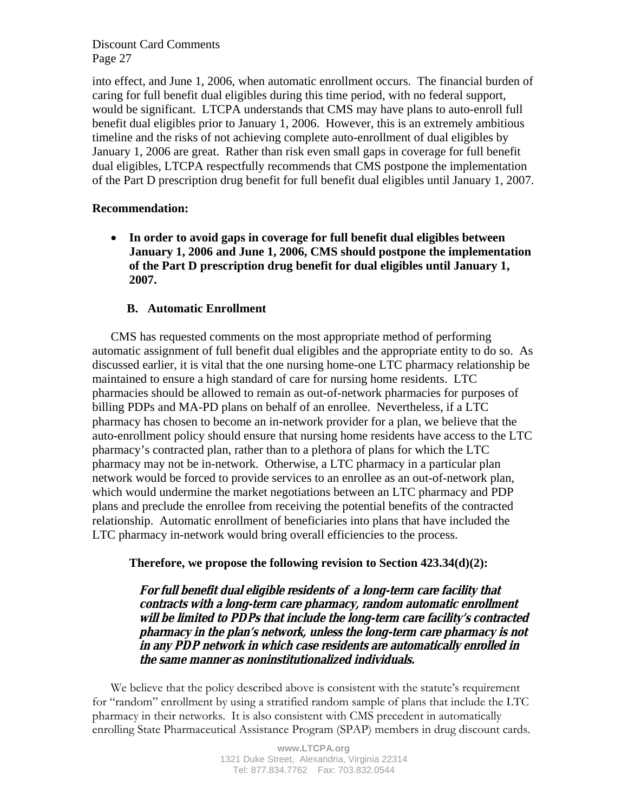into effect, and June 1, 2006, when automatic enrollment occurs. The financial burden of caring for full benefit dual eligibles during this time period, with no federal support, would be significant. LTCPA understands that CMS may have plans to auto-enroll full benefit dual eligibles prior to January 1, 2006. However, this is an extremely ambitious timeline and the risks of not achieving complete auto-enrollment of dual eligibles by January 1, 2006 are great. Rather than risk even small gaps in coverage for full benefit dual eligibles, LTCPA respectfully recommends that CMS postpone the implementation of the Part D prescription drug benefit for full benefit dual eligibles until January 1, 2007.

## **Recommendation:**

• **In order to avoid gaps in coverage for full benefit dual eligibles between January 1, 2006 and June 1, 2006, CMS should postpone the implementation of the Part D prescription drug benefit for dual eligibles until January 1, 2007.** 

## **B. Automatic Enrollment**

CMS has requested comments on the most appropriate method of performing automatic assignment of full benefit dual eligibles and the appropriate entity to do so. As discussed earlier, it is vital that the one nursing home-one LTC pharmacy relationship be maintained to ensure a high standard of care for nursing home residents. LTC pharmacies should be allowed to remain as out-of-network pharmacies for purposes of billing PDPs and MA-PD plans on behalf of an enrollee. Nevertheless, if a LTC pharmacy has chosen to become an in-network provider for a plan, we believe that the auto-enrollment policy should ensure that nursing home residents have access to the LTC pharmacy's contracted plan, rather than to a plethora of plans for which the LTC pharmacy may not be in-network. Otherwise, a LTC pharmacy in a particular plan network would be forced to provide services to an enrollee as an out-of-network plan, which would undermine the market negotiations between an LTC pharmacy and PDP plans and preclude the enrollee from receiving the potential benefits of the contracted relationship. Automatic enrollment of beneficiaries into plans that have included the LTC pharmacy in-network would bring overall efficiencies to the process.

**Therefore, we propose the following revision to Section 423.34(d)(2):** 

**For full benefit dual eligible residents of a long-term care facility that contracts with a long-term care pharmacy, random automatic enrollment will be limited to PDPs that include the long-term care facility's contracted pharmacy in the plan's network, unless the long-term care pharmacy is not in any PDP network in which case residents are automatically enrolled in the same manner as noninstitutionalized individuals.**

We believe that the policy described above is consistent with the statute's requirement for "random" enrollment by using a stratified random sample of plans that include the LTC pharmacy in their networks. It is also consistent with CMS precedent in automatically enrolling State Pharmaceutical Assistance Program (SPAP) members in drug discount cards.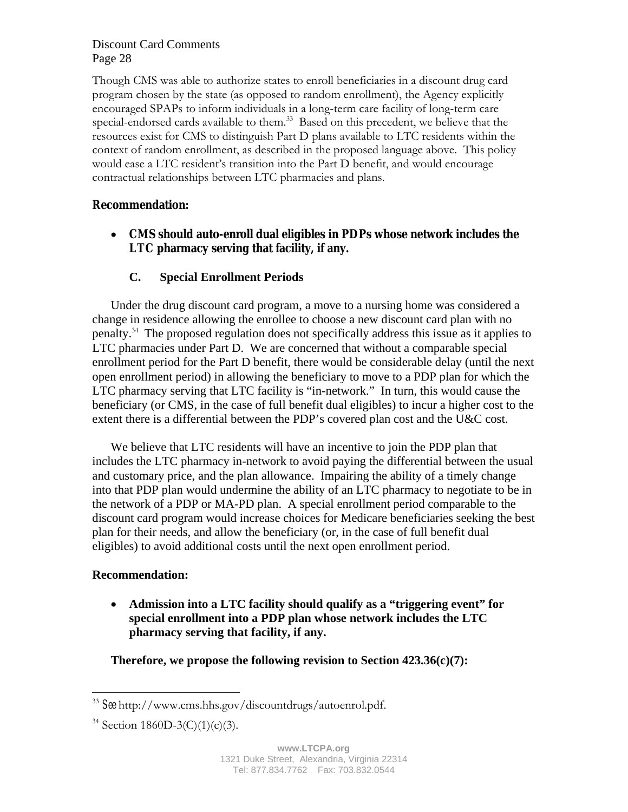Though CMS was able to authorize states to enroll beneficiaries in a discount drug card program chosen by the state (as opposed to random enrollment), the Agency explicitly encouraged SPAPs to inform individuals in a long-term care facility of long-term care special-endorsed cards available to them.<sup>33</sup> Based on this precedent, we believe that the resources exist for CMS to distinguish Part D plans available to LTC residents within the context of random enrollment, as described in the proposed language above. This policy would ease a LTC resident's transition into the Part D benefit, and would encourage contractual relationships between LTC pharmacies and plans.

# **Recommendation:**

• **CMS should auto-enroll dual eligibles in PDPs whose network includes the LTC pharmacy serving that facility, if any.** 

## **C. Special Enrollment Periods**

Under the drug discount card program, a move to a nursing home was considered a change in residence allowing the enrollee to choose a new discount card plan with no penalty.<sup>34</sup> The proposed regulation does not specifically address this issue as it applies to LTC pharmacies under Part D. We are concerned that without a comparable special enrollment period for the Part D benefit, there would be considerable delay (until the next open enrollment period) in allowing the beneficiary to move to a PDP plan for which the LTC pharmacy serving that LTC facility is "in-network." In turn, this would cause the beneficiary (or CMS, in the case of full benefit dual eligibles) to incur a higher cost to the extent there is a differential between the PDP's covered plan cost and the U&C cost.

We believe that LTC residents will have an incentive to join the PDP plan that includes the LTC pharmacy in-network to avoid paying the differential between the usual and customary price, and the plan allowance. Impairing the ability of a timely change into that PDP plan would undermine the ability of an LTC pharmacy to negotiate to be in the network of a PDP or MA-PD plan. A special enrollment period comparable to the discount card program would increase choices for Medicare beneficiaries seeking the best plan for their needs, and allow the beneficiary (or, in the case of full benefit dual eligibles) to avoid additional costs until the next open enrollment period.

## **Recommendation:**

 $\overline{a}$ 

• **Admission into a LTC facility should qualify as a "triggering event" for special enrollment into a PDP plan whose network includes the LTC pharmacy serving that facility, if any.** 

**Therefore, we propose the following revision to Section 423.36(c)(7):** 

<sup>33</sup> *See* http://www.cms.hhs.gov/discountdrugs/autoenrol.pdf.

 $34$  Section 1860D-3(C)(1)(c)(3).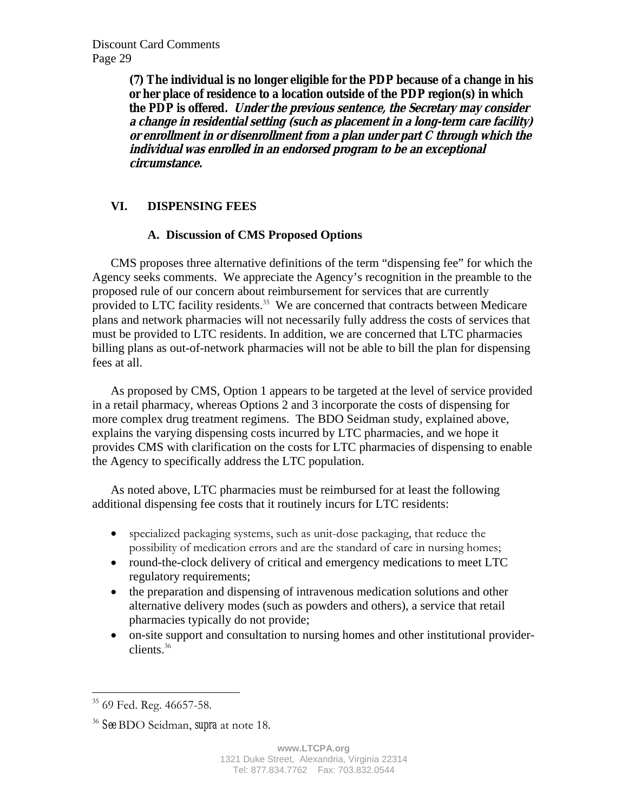**(7) The individual is no longer eligible for the PDP because of a change in his or her place of residence to a location outside of the PDP region(s) in which the PDP is offered. Under the previous sentence, the Secretary may consider a change in residential setting (such as placement in a long-term care facility) or enrollment in or disenrollment from a plan under part C through which the individual was enrolled in an endorsed program to be an exceptional circumstance.** 

# **VI. DISPENSING FEES**

# **A. Discussion of CMS Proposed Options**

CMS proposes three alternative definitions of the term "dispensing fee" for which the Agency seeks comments. We appreciate the Agency's recognition in the preamble to the proposed rule of our concern about reimbursement for services that are currently provided to LTC facility residents. $35$  We are concerned that contracts between Medicare plans and network pharmacies will not necessarily fully address the costs of services that must be provided to LTC residents. In addition, we are concerned that LTC pharmacies billing plans as out-of-network pharmacies will not be able to bill the plan for dispensing fees at all.

As proposed by CMS, Option 1 appears to be targeted at the level of service provided in a retail pharmacy, whereas Options 2 and 3 incorporate the costs of dispensing for more complex drug treatment regimens. The BDO Seidman study, explained above, explains the varying dispensing costs incurred by LTC pharmacies, and we hope it provides CMS with clarification on the costs for LTC pharmacies of dispensing to enable the Agency to specifically address the LTC population.

As noted above, LTC pharmacies must be reimbursed for at least the following additional dispensing fee costs that it routinely incurs for LTC residents:

- specialized packaging systems, such as unit-dose packaging, that reduce the possibility of medication errors and are the standard of care in nursing homes;
- round-the-clock delivery of critical and emergency medications to meet LTC regulatory requirements;
- the preparation and dispensing of intravenous medication solutions and other alternative delivery modes (such as powders and others), a service that retail pharmacies typically do not provide;
- on-site support and consultation to nursing homes and other institutional providerclients.<sup>36</sup>

1

<sup>&</sup>lt;sup>35</sup> 69 Fed. Reg. 46657-58.

<sup>36</sup> *See* BDO Seidman, *supra* at note 18.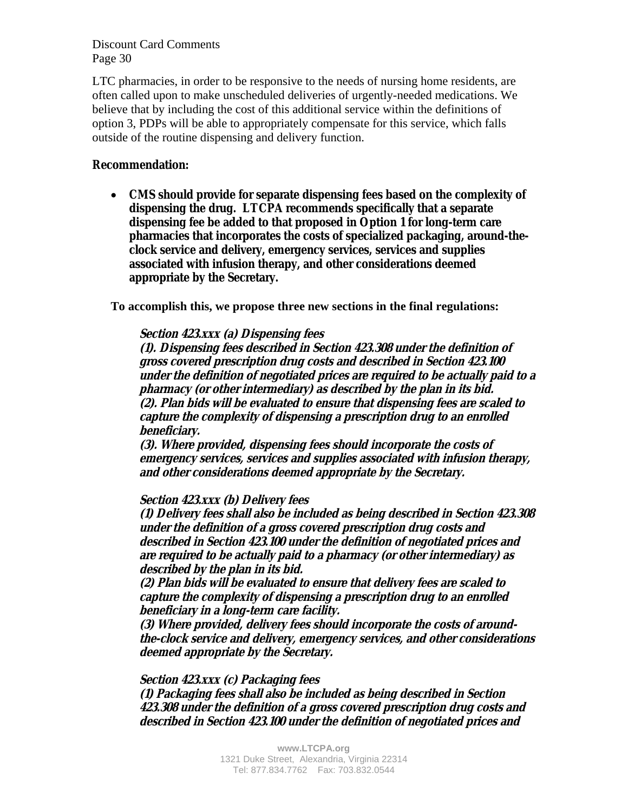LTC pharmacies, in order to be responsive to the needs of nursing home residents, are often called upon to make unscheduled deliveries of urgently-needed medications. We believe that by including the cost of this additional service within the definitions of option 3, PDPs will be able to appropriately compensate for this service, which falls outside of the routine dispensing and delivery function.

## **Recommendation:**

• **CMS should provide for separate dispensing fees based on the complexity of dispensing the drug. LTCPA recommends specifically that a separate dispensing fee be added to that proposed in Option 1 for long-term care pharmacies that incorporates the costs of specialized packaging, around-theclock service and delivery, emergency services, services and supplies associated with infusion therapy, and other considerations deemed appropriate by the Secretary.** 

**To accomplish this, we propose three new sections in the final regulations:** 

#### **Section 423.xxx (a) Dispensing fees**

**(1). Dispensing fees described in Section 423.308 under the definition of gross covered prescription drug costs and described in Section 423.100 under the definition of negotiated prices are required to be actually paid to a pharmacy (or other intermediary) as described by the plan in its bid. (2). Plan bids will be evaluated to ensure that dispensing fees are scaled to capture the complexity of dispensing a prescription drug to an enrolled beneficiary.** 

**(3). Where provided, dispensing fees should incorporate the costs of emergency services, services and supplies associated with infusion therapy, and other considerations deemed appropriate by the Secretary.** 

#### **Section 423.xxx (b) Delivery fees**

**(1) Delivery fees shall also be included as being described in Section 423.308 under the definition of a gross covered prescription drug costs and described in Section 423.100 under the definition of negotiated prices and are required to be actually paid to a pharmacy (or other intermediary) as described by the plan in its bid.** 

**(2) Plan bids will be evaluated to ensure that delivery fees are scaled to capture the complexity of dispensing a prescription drug to an enrolled beneficiary in a long-term care facility.** 

**(3) Where provided, delivery fees should incorporate the costs of aroundthe-clock service and delivery, emergency services, and other considerations deemed appropriate by the Secretary.** 

#### **Section 423.xxx (c) Packaging fees**

**(1) Packaging fees shall also be included as being described in Section 423.308 under the definition of a gross covered prescription drug costs and described in Section 423.100 under the definition of negotiated prices and**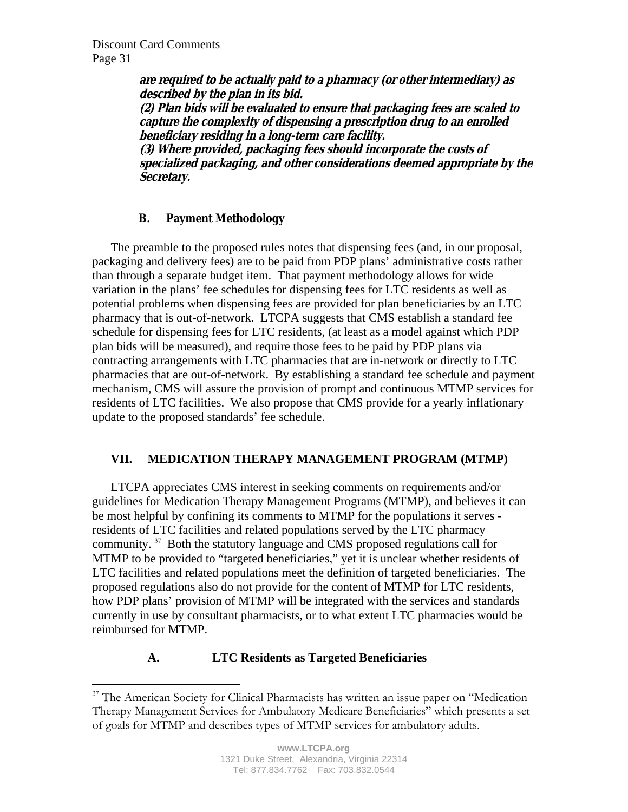1

**are required to be actually paid to a pharmacy (or other intermediary) as described by the plan in its bid. (2) Plan bids will be evaluated to ensure that packaging fees are scaled to capture the complexity of dispensing a prescription drug to an enrolled beneficiary residing in a long-term care facility. (3) Where provided, packaging fees should incorporate the costs of specialized packaging, and other considerations deemed appropriate by the Secretary.** 

# **B. Payment Methodology**

 The preamble to the proposed rules notes that dispensing fees (and, in our proposal, packaging and delivery fees) are to be paid from PDP plans' administrative costs rather than through a separate budget item. That payment methodology allows for wide variation in the plans' fee schedules for dispensing fees for LTC residents as well as potential problems when dispensing fees are provided for plan beneficiaries by an LTC pharmacy that is out-of-network. LTCPA suggests that CMS establish a standard fee schedule for dispensing fees for LTC residents, (at least as a model against which PDP plan bids will be measured), and require those fees to be paid by PDP plans via contracting arrangements with LTC pharmacies that are in-network or directly to LTC pharmacies that are out-of-network. By establishing a standard fee schedule and payment mechanism, CMS will assure the provision of prompt and continuous MTMP services for residents of LTC facilities. We also propose that CMS provide for a yearly inflationary update to the proposed standards' fee schedule.

# **VII. MEDICATION THERAPY MANAGEMENT PROGRAM (MTMP)**

LTCPA appreciates CMS interest in seeking comments on requirements and/or guidelines for Medication Therapy Management Programs (MTMP), and believes it can be most helpful by confining its comments to MTMP for the populations it serves residents of LTC facilities and related populations served by the LTC pharmacy community. <sup>37</sup> Both the statutory language and CMS proposed regulations call for MTMP to be provided to "targeted beneficiaries," yet it is unclear whether residents of LTC facilities and related populations meet the definition of targeted beneficiaries. The proposed regulations also do not provide for the content of MTMP for LTC residents, how PDP plans' provision of MTMP will be integrated with the services and standards currently in use by consultant pharmacists, or to what extent LTC pharmacies would be reimbursed for MTMP.

# **A. LTC Residents as Targeted Beneficiaries**

<sup>&</sup>lt;sup>37</sup> The American Society for Clinical Pharmacists has written an issue paper on "Medication Therapy Management Services for Ambulatory Medicare Beneficiaries" which presents a set of goals for MTMP and describes types of MTMP services for ambulatory adults.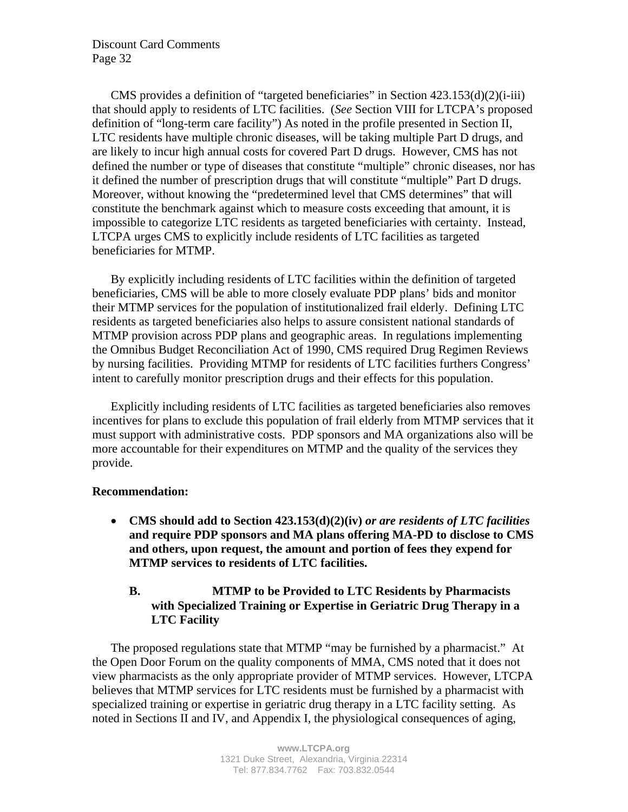CMS provides a definition of "targeted beneficiaries" in Section 423.153(d)(2)(i-iii) that should apply to residents of LTC facilities. (*See* Section VIII for LTCPA's proposed definition of "long-term care facility") As noted in the profile presented in Section II, LTC residents have multiple chronic diseases, will be taking multiple Part D drugs, and are likely to incur high annual costs for covered Part D drugs. However, CMS has not defined the number or type of diseases that constitute "multiple" chronic diseases, nor has it defined the number of prescription drugs that will constitute "multiple" Part D drugs. Moreover, without knowing the "predetermined level that CMS determines" that will constitute the benchmark against which to measure costs exceeding that amount, it is impossible to categorize LTC residents as targeted beneficiaries with certainty. Instead, LTCPA urges CMS to explicitly include residents of LTC facilities as targeted beneficiaries for MTMP.

By explicitly including residents of LTC facilities within the definition of targeted beneficiaries, CMS will be able to more closely evaluate PDP plans' bids and monitor their MTMP services for the population of institutionalized frail elderly. Defining LTC residents as targeted beneficiaries also helps to assure consistent national standards of MTMP provision across PDP plans and geographic areas. In regulations implementing the Omnibus Budget Reconciliation Act of 1990, CMS required Drug Regimen Reviews by nursing facilities. Providing MTMP for residents of LTC facilities furthers Congress' intent to carefully monitor prescription drugs and their effects for this population.

Explicitly including residents of LTC facilities as targeted beneficiaries also removes incentives for plans to exclude this population of frail elderly from MTMP services that it must support with administrative costs. PDP sponsors and MA organizations also will be more accountable for their expenditures on MTMP and the quality of the services they provide.

## **Recommendation:**

• **CMS should add to Section 423.153(d)(2)(iv)** *or are residents of LTC facilities* **and require PDP sponsors and MA plans offering MA-PD to disclose to CMS and others, upon request, the amount and portion of fees they expend for MTMP services to residents of LTC facilities.** 

# **B. MTMP to be Provided to LTC Residents by Pharmacists with Specialized Training or Expertise in Geriatric Drug Therapy in a LTC Facility**

The proposed regulations state that MTMP "may be furnished by a pharmacist." At the Open Door Forum on the quality components of MMA, CMS noted that it does not view pharmacists as the only appropriate provider of MTMP services. However, LTCPA believes that MTMP services for LTC residents must be furnished by a pharmacist with specialized training or expertise in geriatric drug therapy in a LTC facility setting. As noted in Sections II and IV, and Appendix I, the physiological consequences of aging,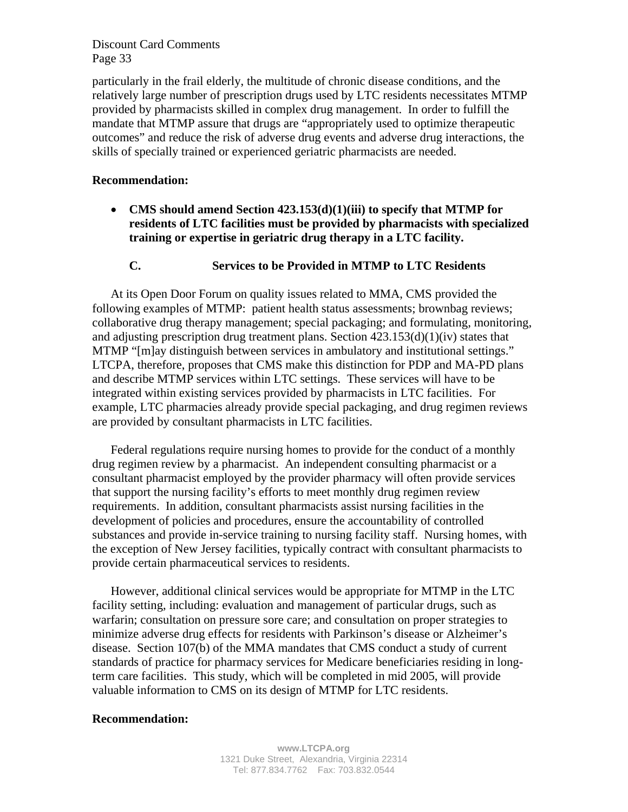particularly in the frail elderly, the multitude of chronic disease conditions, and the relatively large number of prescription drugs used by LTC residents necessitates MTMP provided by pharmacists skilled in complex drug management. In order to fulfill the mandate that MTMP assure that drugs are "appropriately used to optimize therapeutic outcomes" and reduce the risk of adverse drug events and adverse drug interactions, the skills of specially trained or experienced geriatric pharmacists are needed.

#### **Recommendation:**

• **CMS should amend Section 423.153(d)(1)(iii) to specify that MTMP for residents of LTC facilities must be provided by pharmacists with specialized training or expertise in geriatric drug therapy in a LTC facility.** 

#### **C. Services to be Provided in MTMP to LTC Residents**

At its Open Door Forum on quality issues related to MMA, CMS provided the following examples of MTMP: patient health status assessments; brownbag reviews; collaborative drug therapy management; special packaging; and formulating, monitoring, and adjusting prescription drug treatment plans. Section 423.153(d)(1)(iv) states that MTMP "[m]ay distinguish between services in ambulatory and institutional settings." LTCPA, therefore, proposes that CMS make this distinction for PDP and MA-PD plans and describe MTMP services within LTC settings. These services will have to be integrated within existing services provided by pharmacists in LTC facilities. For example, LTC pharmacies already provide special packaging, and drug regimen reviews are provided by consultant pharmacists in LTC facilities.

Federal regulations require nursing homes to provide for the conduct of a monthly drug regimen review by a pharmacist. An independent consulting pharmacist or a consultant pharmacist employed by the provider pharmacy will often provide services that support the nursing facility's efforts to meet monthly drug regimen review requirements. In addition, consultant pharmacists assist nursing facilities in the development of policies and procedures, ensure the accountability of controlled substances and provide in-service training to nursing facility staff. Nursing homes, with the exception of New Jersey facilities, typically contract with consultant pharmacists to provide certain pharmaceutical services to residents.

However, additional clinical services would be appropriate for MTMP in the LTC facility setting, including: evaluation and management of particular drugs, such as warfarin; consultation on pressure sore care; and consultation on proper strategies to minimize adverse drug effects for residents with Parkinson's disease or Alzheimer's disease. Section 107(b) of the MMA mandates that CMS conduct a study of current standards of practice for pharmacy services for Medicare beneficiaries residing in longterm care facilities. This study, which will be completed in mid 2005, will provide valuable information to CMS on its design of MTMP for LTC residents.

#### **Recommendation:**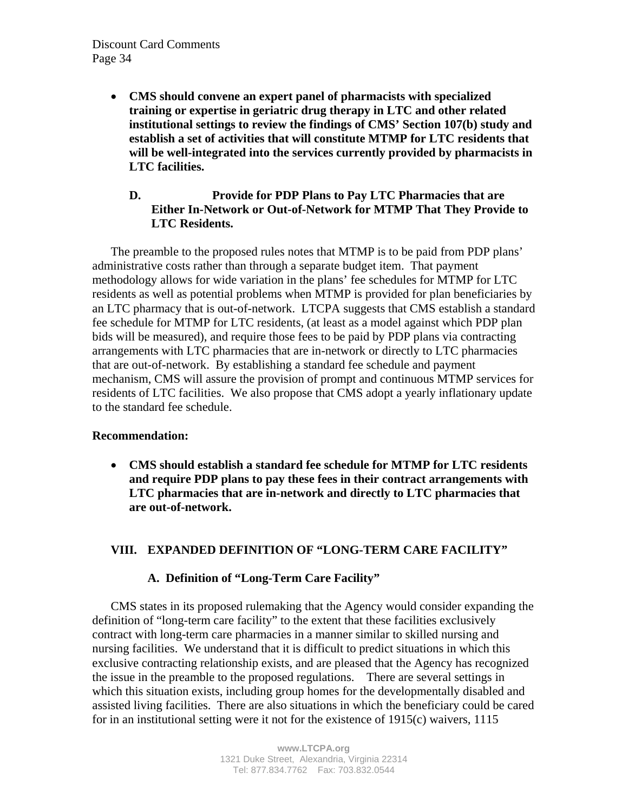• **CMS should convene an expert panel of pharmacists with specialized training or expertise in geriatric drug therapy in LTC and other related institutional settings to review the findings of CMS' Section 107(b) study and establish a set of activities that will constitute MTMP for LTC residents that will be well-integrated into the services currently provided by pharmacists in LTC facilities.** 

## **D. Provide for PDP Plans to Pay LTC Pharmacies that are Either In-Network or Out-of-Network for MTMP That They Provide to LTC Residents.**

The preamble to the proposed rules notes that MTMP is to be paid from PDP plans' administrative costs rather than through a separate budget item. That payment methodology allows for wide variation in the plans' fee schedules for MTMP for LTC residents as well as potential problems when MTMP is provided for plan beneficiaries by an LTC pharmacy that is out-of-network. LTCPA suggests that CMS establish a standard fee schedule for MTMP for LTC residents, (at least as a model against which PDP plan bids will be measured), and require those fees to be paid by PDP plans via contracting arrangements with LTC pharmacies that are in-network or directly to LTC pharmacies that are out-of-network. By establishing a standard fee schedule and payment mechanism, CMS will assure the provision of prompt and continuous MTMP services for residents of LTC facilities. We also propose that CMS adopt a yearly inflationary update to the standard fee schedule.

## **Recommendation:**

• **CMS should establish a standard fee schedule for MTMP for LTC residents and require PDP plans to pay these fees in their contract arrangements with LTC pharmacies that are in-network and directly to LTC pharmacies that are out-of-network.** 

# **VIII. EXPANDED DEFINITION OF "LONG-TERM CARE FACILITY"**

# **A. Definition of "Long-Term Care Facility"**

CMS states in its proposed rulemaking that the Agency would consider expanding the definition of "long-term care facility" to the extent that these facilities exclusively contract with long-term care pharmacies in a manner similar to skilled nursing and nursing facilities. We understand that it is difficult to predict situations in which this exclusive contracting relationship exists, and are pleased that the Agency has recognized the issue in the preamble to the proposed regulations. There are several settings in which this situation exists, including group homes for the developmentally disabled and assisted living facilities. There are also situations in which the beneficiary could be cared for in an institutional setting were it not for the existence of 1915(c) waivers, 1115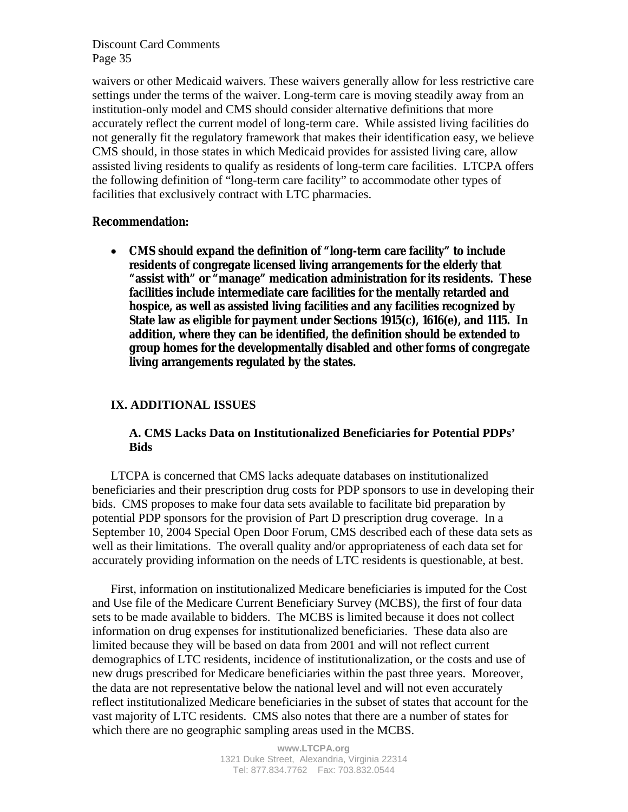waivers or other Medicaid waivers. These waivers generally allow for less restrictive care settings under the terms of the waiver. Long-term care is moving steadily away from an institution-only model and CMS should consider alternative definitions that more accurately reflect the current model of long-term care. While assisted living facilities do not generally fit the regulatory framework that makes their identification easy, we believe CMS should, in those states in which Medicaid provides for assisted living care, allow assisted living residents to qualify as residents of long-term care facilities. LTCPA offers the following definition of "long-term care facility" to accommodate other types of facilities that exclusively contract with LTC pharmacies.

#### **Recommendation:**

• **CMS should expand the definition of "long-term care facility" to include residents of congregate licensed living arrangements for the elderly that "assist with" or "manage" medication administration for its residents. These facilities include intermediate care facilities for the mentally retarded and hospice, as well as assisted living facilities and any facilities recognized by State law as eligible for payment under Sections 1915(c), 1616(e), and 1115. In addition, where they can be identified, the definition should be extended to group homes for the developmentally disabled and other forms of congregate living arrangements regulated by the states.**

#### **IX. ADDITIONAL ISSUES**

## **A. CMS Lacks Data on Institutionalized Beneficiaries for Potential PDPs' Bids**

LTCPA is concerned that CMS lacks adequate databases on institutionalized beneficiaries and their prescription drug costs for PDP sponsors to use in developing their bids. CMS proposes to make four data sets available to facilitate bid preparation by potential PDP sponsors for the provision of Part D prescription drug coverage. In a September 10, 2004 Special Open Door Forum, CMS described each of these data sets as well as their limitations. The overall quality and/or appropriateness of each data set for accurately providing information on the needs of LTC residents is questionable, at best.

First, information on institutionalized Medicare beneficiaries is imputed for the Cost and Use file of the Medicare Current Beneficiary Survey (MCBS), the first of four data sets to be made available to bidders. The MCBS is limited because it does not collect information on drug expenses for institutionalized beneficiaries. These data also are limited because they will be based on data from 2001 and will not reflect current demographics of LTC residents, incidence of institutionalization, or the costs and use of new drugs prescribed for Medicare beneficiaries within the past three years. Moreover, the data are not representative below the national level and will not even accurately reflect institutionalized Medicare beneficiaries in the subset of states that account for the vast majority of LTC residents. CMS also notes that there are a number of states for which there are no geographic sampling areas used in the MCBS.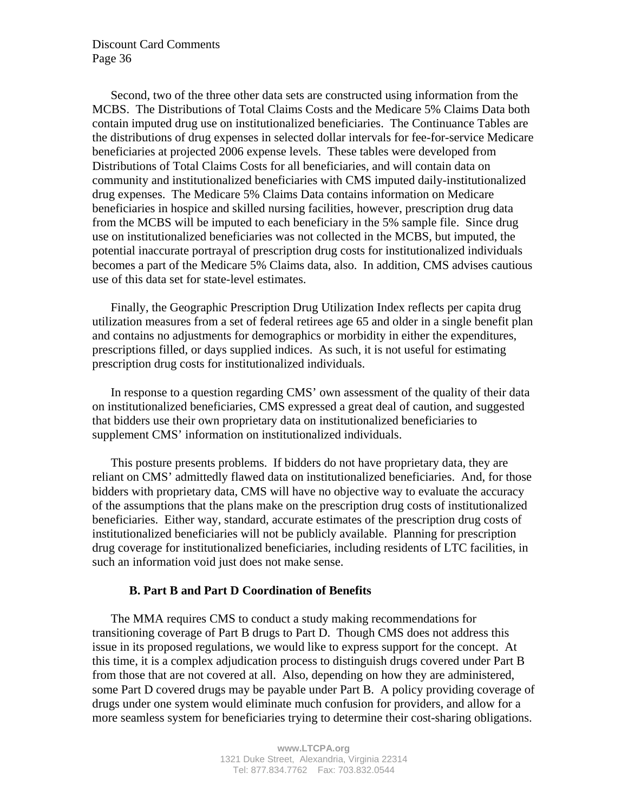Second, two of the three other data sets are constructed using information from the MCBS. The Distributions of Total Claims Costs and the Medicare 5% Claims Data both contain imputed drug use on institutionalized beneficiaries. The Continuance Tables are the distributions of drug expenses in selected dollar intervals for fee-for-service Medicare beneficiaries at projected 2006 expense levels. These tables were developed from Distributions of Total Claims Costs for all beneficiaries, and will contain data on community and institutionalized beneficiaries with CMS imputed daily-institutionalized drug expenses. The Medicare 5% Claims Data contains information on Medicare beneficiaries in hospice and skilled nursing facilities, however, prescription drug data from the MCBS will be imputed to each beneficiary in the 5% sample file. Since drug use on institutionalized beneficiaries was not collected in the MCBS, but imputed, the potential inaccurate portrayal of prescription drug costs for institutionalized individuals becomes a part of the Medicare 5% Claims data, also. In addition, CMS advises cautious use of this data set for state-level estimates.

Finally, the Geographic Prescription Drug Utilization Index reflects per capita drug utilization measures from a set of federal retirees age 65 and older in a single benefit plan and contains no adjustments for demographics or morbidity in either the expenditures, prescriptions filled, or days supplied indices. As such, it is not useful for estimating prescription drug costs for institutionalized individuals.

In response to a question regarding CMS' own assessment of the quality of their data on institutionalized beneficiaries, CMS expressed a great deal of caution, and suggested that bidders use their own proprietary data on institutionalized beneficiaries to supplement CMS' information on institutionalized individuals.

This posture presents problems. If bidders do not have proprietary data, they are reliant on CMS' admittedly flawed data on institutionalized beneficiaries. And, for those bidders with proprietary data, CMS will have no objective way to evaluate the accuracy of the assumptions that the plans make on the prescription drug costs of institutionalized beneficiaries. Either way, standard, accurate estimates of the prescription drug costs of institutionalized beneficiaries will not be publicly available. Planning for prescription drug coverage for institutionalized beneficiaries, including residents of LTC facilities, in such an information void just does not make sense.

#### **B. Part B and Part D Coordination of Benefits**

The MMA requires CMS to conduct a study making recommendations for transitioning coverage of Part B drugs to Part D. Though CMS does not address this issue in its proposed regulations, we would like to express support for the concept. At this time, it is a complex adjudication process to distinguish drugs covered under Part B from those that are not covered at all. Also, depending on how they are administered, some Part D covered drugs may be payable under Part B. A policy providing coverage of drugs under one system would eliminate much confusion for providers, and allow for a more seamless system for beneficiaries trying to determine their cost-sharing obligations.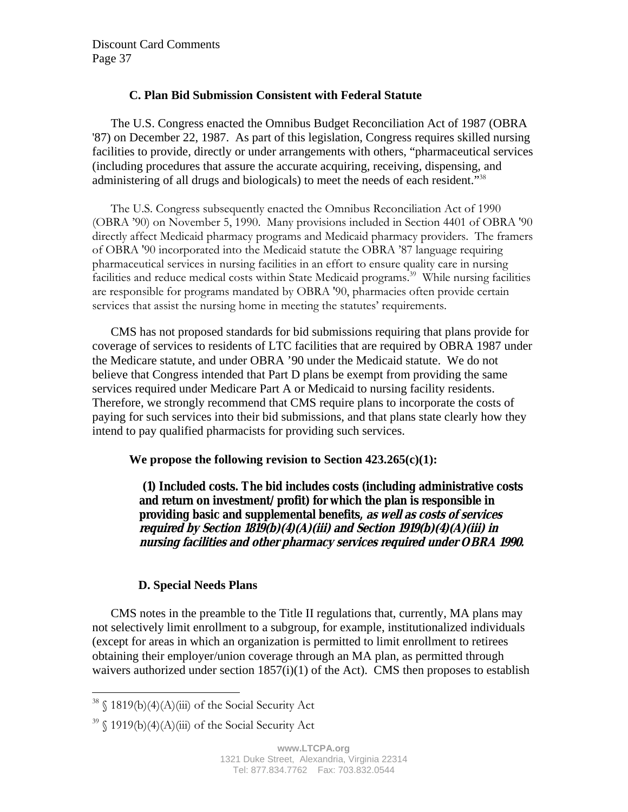## **C. Plan Bid Submission Consistent with Federal Statute**

The U.S. Congress enacted the Omnibus Budget Reconciliation Act of 1987 (OBRA '87) on December 22, 1987. As part of this legislation, Congress requires skilled nursing facilities to provide, directly or under arrangements with others, "pharmaceutical services (including procedures that assure the accurate acquiring, receiving, dispensing, and administering of all drugs and biologicals) to meet the needs of each resident."<sup>38</sup>

The U.S. Congress subsequently enacted the Omnibus Reconciliation Act of 1990 (OBRA í90) on November 5, 1990. Many provisions included in Section 4401 of OBRA '90 directly affect Medicaid pharmacy programs and Medicaid pharmacy providers. The framers of OBRA '90 incorporated into the Medicaid statute the OBRA í87 language requiring pharmaceutical services in nursing facilities in an effort to ensure quality care in nursing facilities and reduce medical costs within State Medicaid programs.<sup>39</sup> While nursing facilities are responsible for programs mandated by OBRA '90, pharmacies often provide certain services that assist the nursing home in meeting the statutes' requirements.

CMS has not proposed standards for bid submissions requiring that plans provide for coverage of services to residents of LTC facilities that are required by OBRA 1987 under the Medicare statute, and under OBRA '90 under the Medicaid statute. We do not believe that Congress intended that Part D plans be exempt from providing the same services required under Medicare Part A or Medicaid to nursing facility residents. Therefore, we strongly recommend that CMS require plans to incorporate the costs of paying for such services into their bid submissions, and that plans state clearly how they intend to pay qualified pharmacists for providing such services.

## **We propose the following revision to Section 423.265(c)(1):**

 **(1) Included costs. The bid includes costs (including administrative costs and return on investment/profit) for which the plan is responsible in providing basic and supplemental benefits, as well as costs of services required by Section 1819(b)(4)(A)(iii) and Section 1919(b)(4)(A)(iii) in nursing facilities and other pharmacy services required under OBRA 1990.** 

## **D. Special Needs Plans**

CMS notes in the preamble to the Title II regulations that, currently, MA plans may not selectively limit enrollment to a subgroup, for example, institutionalized individuals (except for areas in which an organization is permitted to limit enrollment to retirees obtaining their employer/union coverage through an MA plan, as permitted through waivers authorized under section  $1857(i)(1)$  of the Act). CMS then proposes to establish

 $\overline{a}$ 

 $38 \text{ }$  \$ 1819(b)(4)(A)(iii) of the Social Security Act

 $39 \text{ }$  \$1919(b)(4)(A)(iii) of the Social Security Act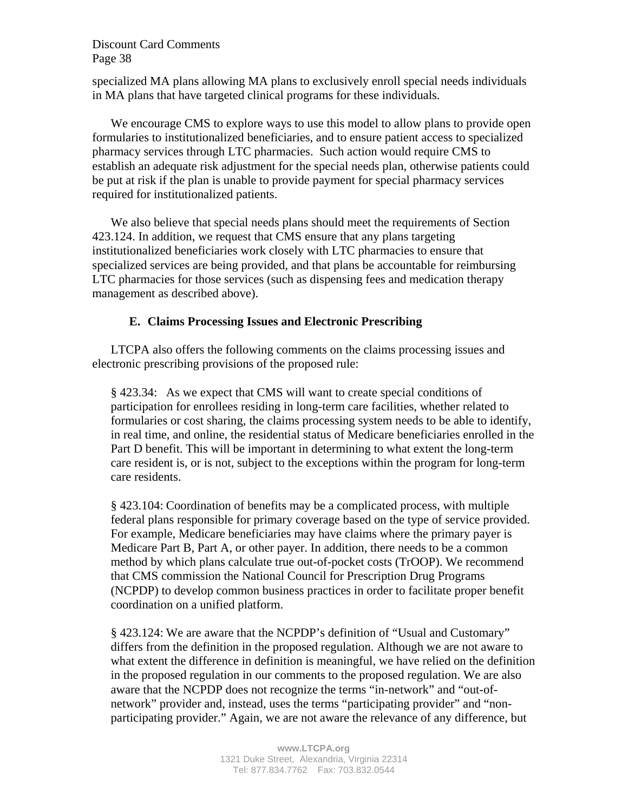specialized MA plans allowing MA plans to exclusively enroll special needs individuals in MA plans that have targeted clinical programs for these individuals.

We encourage CMS to explore ways to use this model to allow plans to provide open formularies to institutionalized beneficiaries, and to ensure patient access to specialized pharmacy services through LTC pharmacies. Such action would require CMS to establish an adequate risk adjustment for the special needs plan, otherwise patients could be put at risk if the plan is unable to provide payment for special pharmacy services required for institutionalized patients.

We also believe that special needs plans should meet the requirements of Section 423.124. In addition, we request that CMS ensure that any plans targeting institutionalized beneficiaries work closely with LTC pharmacies to ensure that specialized services are being provided, and that plans be accountable for reimbursing LTC pharmacies for those services (such as dispensing fees and medication therapy management as described above).

## **E. Claims Processing Issues and Electronic Prescribing**

LTCPA also offers the following comments on the claims processing issues and electronic prescribing provisions of the proposed rule:

§ 423.34: As we expect that CMS will want to create special conditions of participation for enrollees residing in long-term care facilities, whether related to formularies or cost sharing, the claims processing system needs to be able to identify, in real time, and online, the residential status of Medicare beneficiaries enrolled in the Part D benefit. This will be important in determining to what extent the long-term care resident is, or is not, subject to the exceptions within the program for long-term care residents.

§ 423.104: Coordination of benefits may be a complicated process, with multiple federal plans responsible for primary coverage based on the type of service provided. For example, Medicare beneficiaries may have claims where the primary payer is Medicare Part B, Part A, or other payer. In addition, there needs to be a common method by which plans calculate true out-of-pocket costs (TrOOP). We recommend that CMS commission the National Council for Prescription Drug Programs (NCPDP) to develop common business practices in order to facilitate proper benefit coordination on a unified platform.

§ 423.124: We are aware that the NCPDP's definition of "Usual and Customary" differs from the definition in the proposed regulation. Although we are not aware to what extent the difference in definition is meaningful, we have relied on the definition in the proposed regulation in our comments to the proposed regulation. We are also aware that the NCPDP does not recognize the terms "in-network" and "out-ofnetwork" provider and, instead, uses the terms "participating provider" and "nonparticipating provider." Again, we are not aware the relevance of any difference, but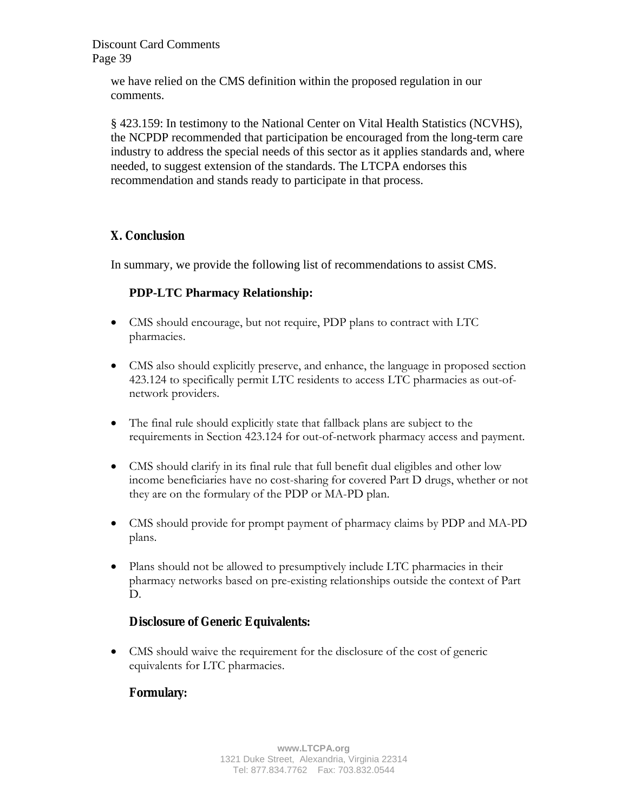> we have relied on the CMS definition within the proposed regulation in our comments.

§ 423.159: In testimony to the National Center on Vital Health Statistics (NCVHS), the NCPDP recommended that participation be encouraged from the long-term care industry to address the special needs of this sector as it applies standards and, where needed, to suggest extension of the standards. The LTCPA endorses this recommendation and stands ready to participate in that process.

# **X. Conclusion**

In summary, we provide the following list of recommendations to assist CMS.

# **PDP-LTC Pharmacy Relationship:**

- CMS should encourage, but not require, PDP plans to contract with LTC pharmacies.
- CMS also should explicitly preserve, and enhance, the language in proposed section 423.124 to specifically permit LTC residents to access LTC pharmacies as out-ofnetwork providers.
- The final rule should explicitly state that fallback plans are subject to the requirements in Section 423.124 for out-of-network pharmacy access and payment.
- CMS should clarify in its final rule that full benefit dual eligibles and other low income beneficiaries have no cost-sharing for covered Part D drugs, whether or not they are on the formulary of the PDP or MA-PD plan.
- CMS should provide for prompt payment of pharmacy claims by PDP and MA-PD plans.
- Plans should not be allowed to presumptively include LTC pharmacies in their pharmacy networks based on pre-existing relationships outside the context of Part D.

# **Disclosure of Generic Equivalents:**

• CMS should waive the requirement for the disclosure of the cost of generic equivalents for LTC pharmacies.

# **Formulary:**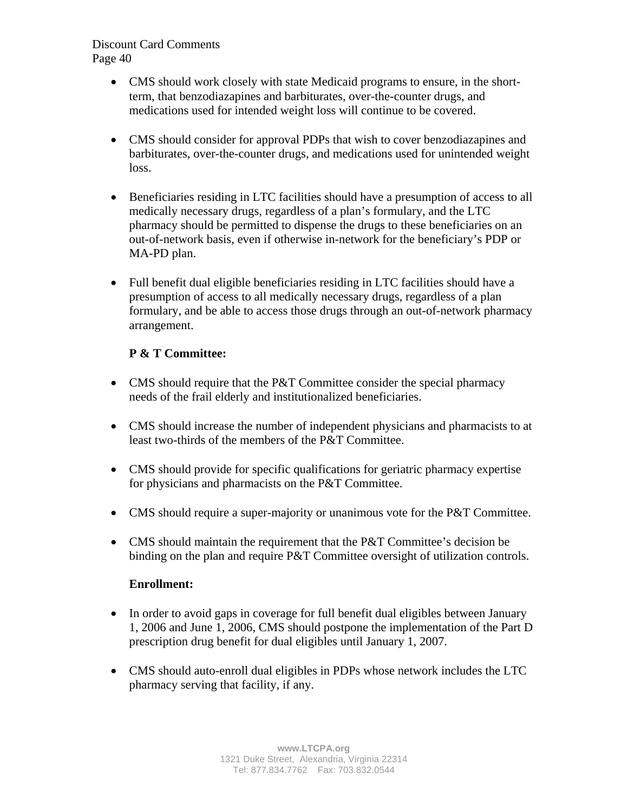- CMS should work closely with state Medicaid programs to ensure, in the shortterm, that benzodiazapines and barbiturates, over-the-counter drugs, and medications used for intended weight loss will continue to be covered.
- CMS should consider for approval PDPs that wish to cover benzodiazapines and barbiturates, over-the-counter drugs, and medications used for unintended weight loss.
- Beneficiaries residing in LTC facilities should have a presumption of access to all medically necessary drugs, regardless of a plan's formulary, and the LTC pharmacy should be permitted to dispense the drugs to these beneficiaries on an out-of-network basis, even if otherwise in-network for the beneficiary's PDP or MA-PD plan.
- Full benefit dual eligible beneficiaries residing in LTC facilities should have a presumption of access to all medically necessary drugs, regardless of a plan formulary, and be able to access those drugs through an out-of-network pharmacy arrangement.

# **P & T Committee:**

- CMS should require that the P&T Committee consider the special pharmacy needs of the frail elderly and institutionalized beneficiaries.
- CMS should increase the number of independent physicians and pharmacists to at least two-thirds of the members of the P&T Committee.
- CMS should provide for specific qualifications for geriatric pharmacy expertise for physicians and pharmacists on the P&T Committee.
- CMS should require a super-majority or unanimous vote for the P&T Committee.
- CMS should maintain the requirement that the P&T Committee's decision be binding on the plan and require P&T Committee oversight of utilization controls.

# **Enrollment:**

- In order to avoid gaps in coverage for full benefit dual eligibles between January 1, 2006 and June 1, 2006, CMS should postpone the implementation of the Part D prescription drug benefit for dual eligibles until January 1, 2007.
- CMS should auto-enroll dual eligibles in PDPs whose network includes the LTC pharmacy serving that facility, if any.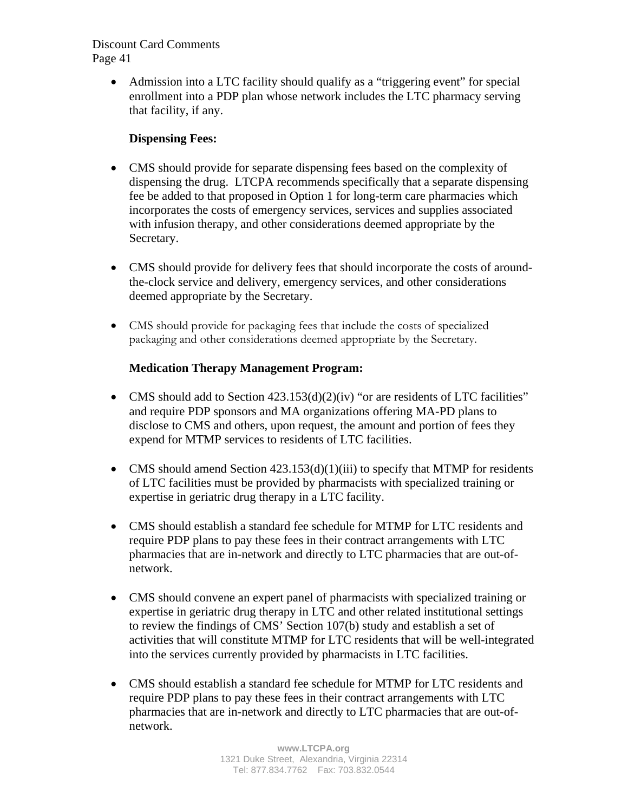• Admission into a LTC facility should qualify as a "triggering event" for special enrollment into a PDP plan whose network includes the LTC pharmacy serving that facility, if any.

# **Dispensing Fees:**

- CMS should provide for separate dispensing fees based on the complexity of dispensing the drug. LTCPA recommends specifically that a separate dispensing fee be added to that proposed in Option 1 for long-term care pharmacies which incorporates the costs of emergency services, services and supplies associated with infusion therapy, and other considerations deemed appropriate by the Secretary.
- CMS should provide for delivery fees that should incorporate the costs of aroundthe-clock service and delivery, emergency services, and other considerations deemed appropriate by the Secretary.
- CMS should provide for packaging fees that include the costs of specialized packaging and other considerations deemed appropriate by the Secretary.

# **Medication Therapy Management Program:**

- CMS should add to Section 423.153(d)(2)(iv) "or are residents of LTC facilities" and require PDP sponsors and MA organizations offering MA-PD plans to disclose to CMS and others, upon request, the amount and portion of fees they expend for MTMP services to residents of LTC facilities.
- CMS should amend Section  $423.153(d)(1)(iii)$  to specify that MTMP for residents of LTC facilities must be provided by pharmacists with specialized training or expertise in geriatric drug therapy in a LTC facility.
- CMS should establish a standard fee schedule for MTMP for LTC residents and require PDP plans to pay these fees in their contract arrangements with LTC pharmacies that are in-network and directly to LTC pharmacies that are out-ofnetwork.
- CMS should convene an expert panel of pharmacists with specialized training or expertise in geriatric drug therapy in LTC and other related institutional settings to review the findings of CMS' Section 107(b) study and establish a set of activities that will constitute MTMP for LTC residents that will be well-integrated into the services currently provided by pharmacists in LTC facilities.
- CMS should establish a standard fee schedule for MTMP for LTC residents and require PDP plans to pay these fees in their contract arrangements with LTC pharmacies that are in-network and directly to LTC pharmacies that are out-ofnetwork.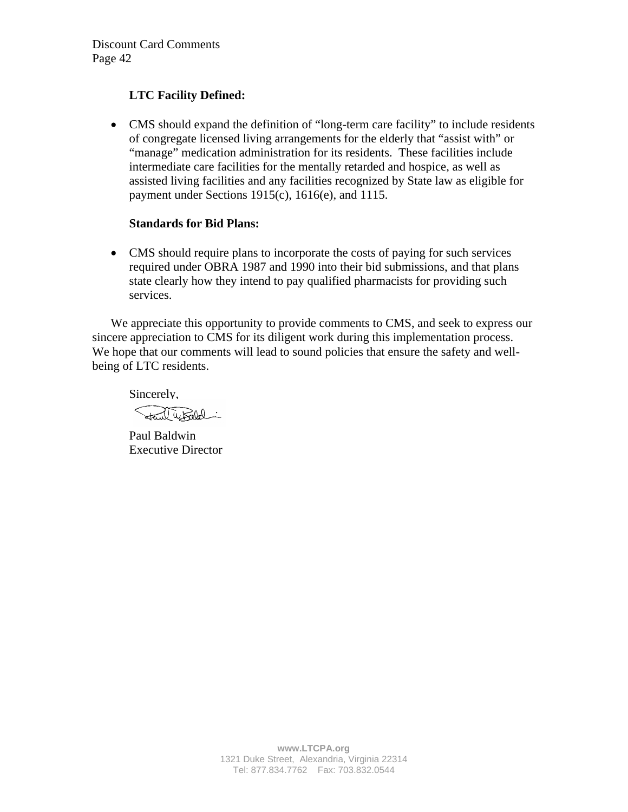# **LTC Facility Defined:**

• CMS should expand the definition of "long-term care facility" to include residents of congregate licensed living arrangements for the elderly that "assist with" or "manage" medication administration for its residents. These facilities include intermediate care facilities for the mentally retarded and hospice, as well as assisted living facilities and any facilities recognized by State law as eligible for payment under Sections 1915(c), 1616(e), and 1115.

## **Standards for Bid Plans:**

• CMS should require plans to incorporate the costs of paying for such services required under OBRA 1987 and 1990 into their bid submissions, and that plans state clearly how they intend to pay qualified pharmacists for providing such services.

We appreciate this opportunity to provide comments to CMS, and seek to express our sincere appreciation to CMS for its diligent work during this implementation process. We hope that our comments will lead to sound policies that ensure the safety and wellbeing of LTC residents.

Sincerely,

Stand Whiled

Paul Baldwin Executive Director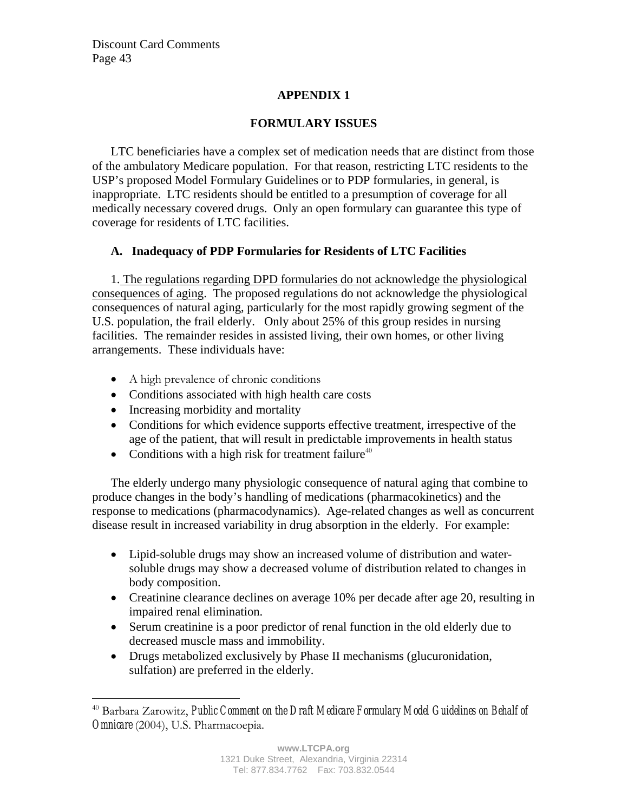# **APPENDIX 1**

# **FORMULARY ISSUES**

LTC beneficiaries have a complex set of medication needs that are distinct from those of the ambulatory Medicare population. For that reason, restricting LTC residents to the USP's proposed Model Formulary Guidelines or to PDP formularies, in general, is inappropriate. LTC residents should be entitled to a presumption of coverage for all medically necessary covered drugs. Only an open formulary can guarantee this type of coverage for residents of LTC facilities.

# **A. Inadequacy of PDP Formularies for Residents of LTC Facilities**

1. The regulations regarding DPD formularies do not acknowledge the physiological consequences of aging. The proposed regulations do not acknowledge the physiological consequences of natural aging, particularly for the most rapidly growing segment of the U.S. population, the frail elderly. Only about 25% of this group resides in nursing facilities. The remainder resides in assisted living, their own homes, or other living arrangements. These individuals have:

- A high prevalence of chronic conditions
- Conditions associated with high health care costs
- Increasing morbidity and mortality
- Conditions for which evidence supports effective treatment, irrespective of the age of the patient, that will result in predictable improvements in health status
- Conditions with a high risk for treatment failure<sup>40</sup>

The elderly undergo many physiologic consequence of natural aging that combine to produce changes in the body's handling of medications (pharmacokinetics) and the response to medications (pharmacodynamics). Age-related changes as well as concurrent disease result in increased variability in drug absorption in the elderly. For example:

- Lipid-soluble drugs may show an increased volume of distribution and watersoluble drugs may show a decreased volume of distribution related to changes in body composition.
- Creatinine clearance declines on average 10% per decade after age 20, resulting in impaired renal elimination.
- Serum creatinine is a poor predictor of renal function in the old elderly due to decreased muscle mass and immobility.
- Drugs metabolized exclusively by Phase II mechanisms (glucuronidation, sulfation) are preferred in the elderly.

<sup>1</sup> 40 Barbara Zarowitz, *Public Comment on the Draft Medicare Formulary Model Guidelines on Behalf of Omnicare* (2004), U.S. Pharmacoepia.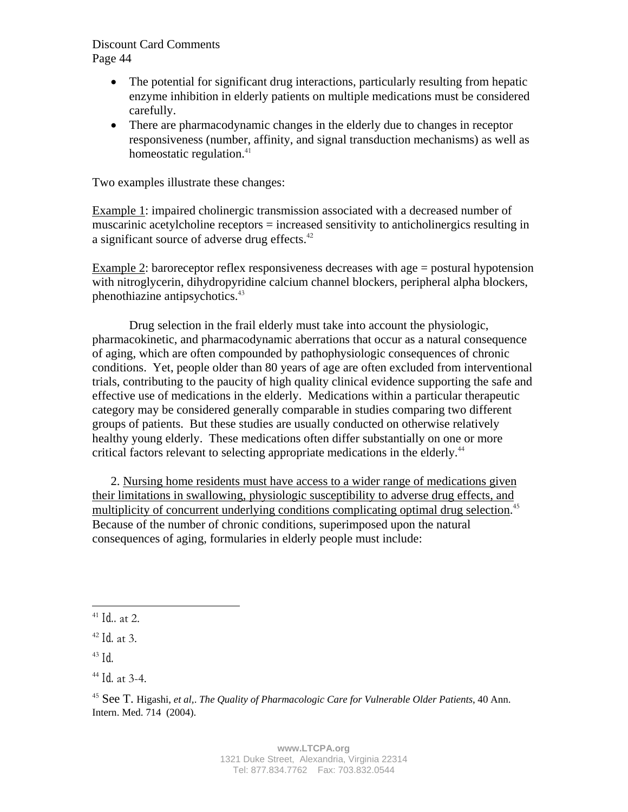- The potential for significant drug interactions, particularly resulting from hepatic enzyme inhibition in elderly patients on multiple medications must be considered carefully.
- There are pharmacodynamic changes in the elderly due to changes in receptor responsiveness (number, affinity, and signal transduction mechanisms) as well as homeostatic regulation. $41$

Two examples illustrate these changes:

Example 1: impaired cholinergic transmission associated with a decreased number of muscarinic acetylcholine receptors = increased sensitivity to anticholinergics resulting in a significant source of adverse drug effects.<sup>42</sup>

Example 2: baroreceptor reflex responsiveness decreases with age = postural hypotension with nitroglycerin, dihydropyridine calcium channel blockers, peripheral alpha blockers, phenothiazine antipsychotics.<sup>43</sup>

Drug selection in the frail elderly must take into account the physiologic, pharmacokinetic, and pharmacodynamic aberrations that occur as a natural consequence of aging, which are often compounded by pathophysiologic consequences of chronic conditions. Yet, people older than 80 years of age are often excluded from interventional trials, contributing to the paucity of high quality clinical evidence supporting the safe and effective use of medications in the elderly. Medications within a particular therapeutic category may be considered generally comparable in studies comparing two different groups of patients. But these studies are usually conducted on otherwise relatively healthy young elderly. These medications often differ substantially on one or more critical factors relevant to selecting appropriate medications in the elderly.<sup>44</sup>

2. Nursing home residents must have access to a wider range of medications given their limitations in swallowing, physiologic susceptibility to adverse drug effects, and multiplicity of concurrent underlying conditions complicating optimal drug selection.<sup>45</sup> Because of the number of chronic conditions, superimposed upon the natural consequences of aging, formularies in elderly people must include:

1

<sup>41</sup> *Id..* at 2.

<sup>42</sup> *Id.* at 3.

 $43$  *Id.* 

<sup>44</sup> *Id.* at 3-4.

<sup>45</sup> See T. Higashi, *et al,*. *The Quality of Pharmacologic Care for Vulnerable Older Patients*, 40 Ann. Intern. Med. 714 (2004).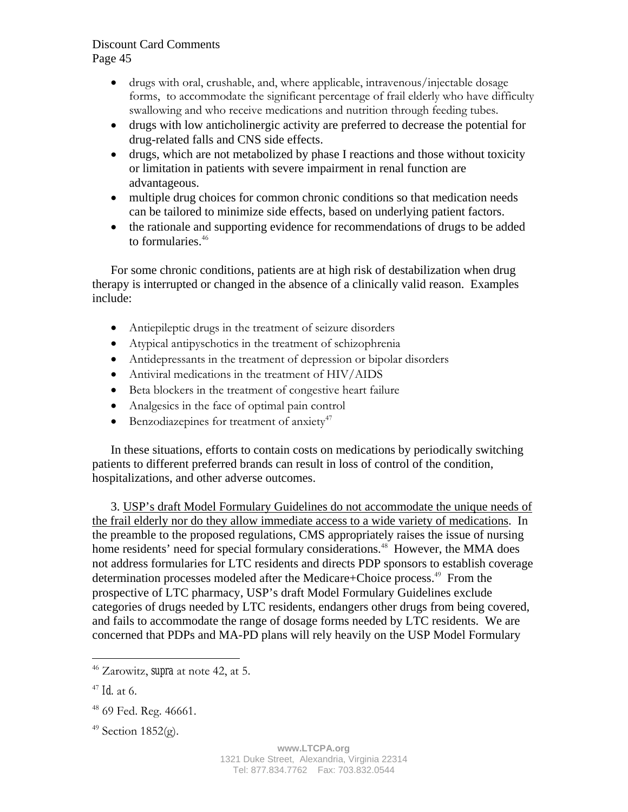- drugs with oral, crushable, and, where applicable, intravenous/injectable dosage forms, to accommodate the significant percentage of frail elderly who have difficulty swallowing and who receive medications and nutrition through feeding tubes.
- drugs with low anticholinergic activity are preferred to decrease the potential for drug-related falls and CNS side effects.
- drugs, which are not metabolized by phase I reactions and those without toxicity or limitation in patients with severe impairment in renal function are advantageous.
- multiple drug choices for common chronic conditions so that medication needs can be tailored to minimize side effects, based on underlying patient factors.
- the rationale and supporting evidence for recommendations of drugs to be added to formularies.<sup>46</sup>

For some chronic conditions, patients are at high risk of destabilization when drug therapy is interrupted or changed in the absence of a clinically valid reason. Examples include:

- Antiepileptic drugs in the treatment of seizure disorders
- Atypical antipyschotics in the treatment of schizophrenia
- Antidepressants in the treatment of depression or bipolar disorders
- Antiviral medications in the treatment of HIV/AIDS
- Beta blockers in the treatment of congestive heart failure
- Analgesics in the face of optimal pain control
- Benzodiazepines for treatment of anxiety<sup>47</sup>

In these situations, efforts to contain costs on medications by periodically switching patients to different preferred brands can result in loss of control of the condition, hospitalizations, and other adverse outcomes.

3. USP's draft Model Formulary Guidelines do not accommodate the unique needs of the frail elderly nor do they allow immediate access to a wide variety of medications. In the preamble to the proposed regulations, CMS appropriately raises the issue of nursing home residents' need for special formulary considerations.<sup>48</sup> However, the MMA does not address formularies for LTC residents and directs PDP sponsors to establish coverage determination processes modeled after the Medicare+Choice process.<sup>49</sup> From the prospective of LTC pharmacy, USP's draft Model Formulary Guidelines exclude categories of drugs needed by LTC residents, endangers other drugs from being covered, and fails to accommodate the range of dosage forms needed by LTC residents. We are concerned that PDPs and MA-PD plans will rely heavily on the USP Model Formulary

 $\overline{a}$ 

 $49$  Section 1852(g).

<sup>46</sup> Zarowitz, *supra* at note 42, at 5.

<sup>47</sup> *Id.* at 6.

<sup>&</sup>lt;sup>48</sup> 69 Fed. Reg. 46661.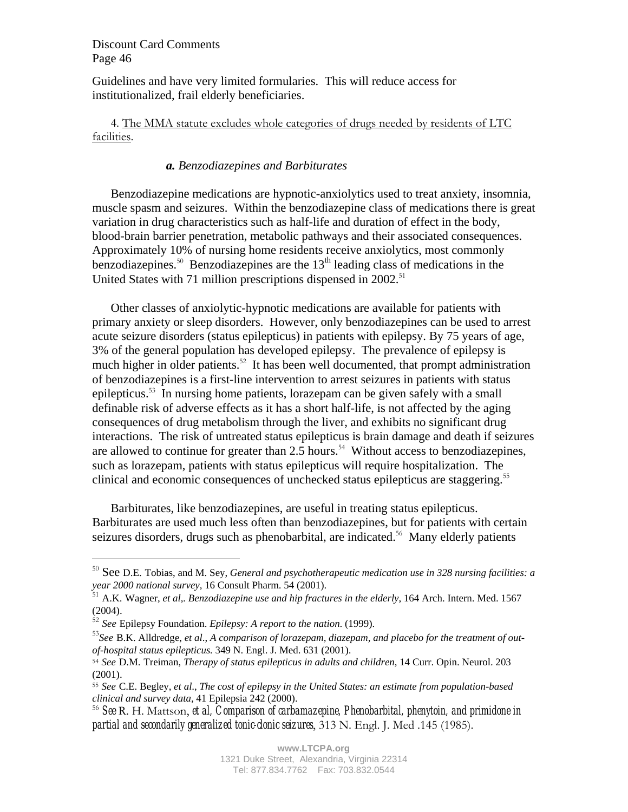Guidelines and have very limited formularies. This will reduce access for institutionalized, frail elderly beneficiaries.

4. The MMA statute excludes whole categories of drugs needed by residents of LTC facilities.

## *a. Benzodiazepines and Barbiturates*

Benzodiazepine medications are hypnotic-anxiolytics used to treat anxiety, insomnia, muscle spasm and seizures. Within the benzodiazepine class of medications there is great variation in drug characteristics such as half-life and duration of effect in the body, blood-brain barrier penetration, metabolic pathways and their associated consequences. Approximately 10% of nursing home residents receive anxiolytics, most commonly benzodiazepines.<sup>50</sup> Benzodiazepines are the  $13<sup>th</sup>$  leading class of medications in the United States with 71 million prescriptions dispensed in  $2002$ <sup>51</sup>

Other classes of anxiolytic-hypnotic medications are available for patients with primary anxiety or sleep disorders. However, only benzodiazepines can be used to arrest acute seizure disorders (status epilepticus) in patients with epilepsy. By 75 years of age, 3% of the general population has developed epilepsy. The prevalence of epilepsy is much higher in older patients.<sup>52</sup> It has been well documented, that prompt administration of benzodiazepines is a first-line intervention to arrest seizures in patients with status epilepticus.<sup>53</sup> In nursing home patients, lorazepam can be given safely with a small definable risk of adverse effects as it has a short half-life, is not affected by the aging consequences of drug metabolism through the liver, and exhibits no significant drug interactions. The risk of untreated status epilepticus is brain damage and death if seizures are allowed to continue for greater than  $2.5$  hours.<sup>54</sup> Without access to benzodiazepines, such as lorazepam, patients with status epilepticus will require hospitalization. The clinical and economic consequences of unchecked status epilepticus are staggering.<sup>55</sup>

Barbiturates, like benzodiazepines, are useful in treating status epilepticus. Barbiturates are used much less often than benzodiazepines, but for patients with certain seizures disorders, drugs such as phenobarbital, are indicated.<sup>56</sup> Many elderly patients

1

<sup>50</sup> See D.E. Tobias, and M. Sey, *General and psychotherapeutic medication use in 328 nursing facilities: a year 2000 national survey,* 16 Consult Pharm. 54 (2001).

<sup>51</sup> A.K. Wagner, *et al,. Benzodiazepine use and hip fractures in the elderly*, 164 Arch. Intern. Med. 1567 (2004).

<sup>52</sup> *See* Epilepsy Foundation. *Epilepsy: A report to the nation*. (1999).

<sup>53</sup>*See* B.K. Alldredge, *et al*., *A comparison of lorazepam, diazepam, and placebo for the treatment of outof-hospital status epilepticus.* 349 N. Engl. J. Med. 631 (2001).

<sup>54</sup> *See* D.M. Treiman, *Therapy of status epilepticus in adults and children*, 14 Curr. Opin. Neurol. 203 (2001).

<sup>55</sup> *See* C.E. Begley, *et al*., *The cost of epilepsy in the United States: an estimate from population-based clinical and survey data,* 41 Epilepsia 242 (2000).

<sup>56</sup> *See* R. H. Mattson, *et al, Comparison of carbamazepine, Phenobarbital, phenytoin, and primidone in partial and secondarily generalized tonic-clonic seizures*, 313 N. Engl. J. Med .145 (1985).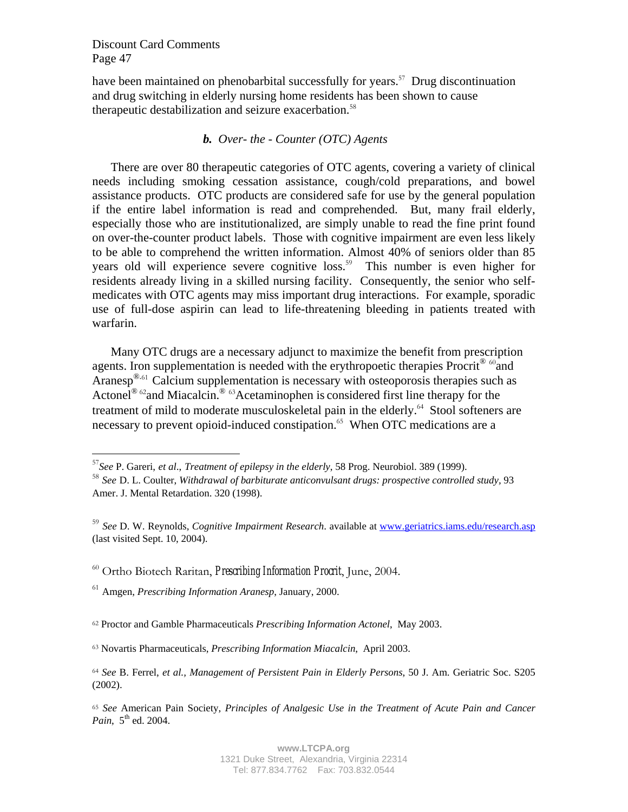$\overline{a}$ 

have been maintained on phenobarbital successfully for years.<sup>57</sup> Drug discontinuation and drug switching in elderly nursing home residents has been shown to cause therapeutic destabilization and seizure exacerbation.<sup>58</sup>

### *b. Over- the - Counter (OTC) Agents*

There are over 80 therapeutic categories of OTC agents, covering a variety of clinical needs including smoking cessation assistance, cough/cold preparations, and bowel assistance products. OTC products are considered safe for use by the general population if the entire label information is read and comprehended. But, many frail elderly, especially those who are institutionalized, are simply unable to read the fine print found on over-the-counter product labels. Those with cognitive impairment are even less likely to be able to comprehend the written information. Almost 40% of seniors older than 85 years old will experience severe cognitive loss.<sup>59</sup> This number is even higher for residents already living in a skilled nursing facility. Consequently, the senior who selfmedicates with OTC agents may miss important drug interactions. For example, sporadic use of full-dose aspirin can lead to life-threatening bleeding in patients treated with warfarin.

Many OTC drugs are a necessary adjunct to maximize the benefit from prescription agents. Iron supplementation is needed with the erythropoetic therapies  $\text{Procrit}^{\circledast}$  <sup>60</sup>and Aranesp<sup>®.61</sup> Calcium supplementation is necessary with osteoporosis therapies such as Actonel<sup>® 62</sup> and Miacalcin.<sup>® 63</sup>Acetaminophen is considered first line therapy for the treatment of mild to moderate musculoskeletal pain in the elderly.<sup>64</sup> Stool softeners are necessary to prevent opioid-induced constipation.<sup>65</sup> When OTC medications are a

<sup>57</sup>*See* P. Gareri, *et al*., *Treatment of epilepsy in the elderly*, 58 Prog. Neurobiol. 389 (1999).

<sup>58</sup> *See* D. L. Coulter, *Withdrawal of barbiturate anticonvulsant drugs: prospective controlled study,* 93 Amer. J. Mental Retardation. 320 (1998).

<sup>59</sup> *See* D. W. Reynolds, *Cognitive Impairment Research*. available at www.geriatrics.iams.edu/research.asp (last visited Sept. 10, 2004).

<sup>60</sup> Ortho Biotech Raritan, *Prescribing Information Procrit*, June, 2004.

<sup>61</sup> Amgen, *Prescribing Information Aranesp*, January, 2000.

<sup>62</sup> Proctor and Gamble Pharmaceuticals *Prescribing Information Actonel*, May 2003.

<sup>63</sup> Novartis Pharmaceuticals, *Prescribing Information Miacalcin*, April 2003.

<sup>64</sup> *See* B. Ferrel, *et al., Management of Persistent Pain in Elderly Persons*, 50 J. Am. Geriatric Soc. S205 (2002).

<sup>65</sup> *See* American Pain Society, *Principles of Analgesic Use in the Treatment of Acute Pain and Cancer Pain*, 5<sup>th</sup> ed. 2004.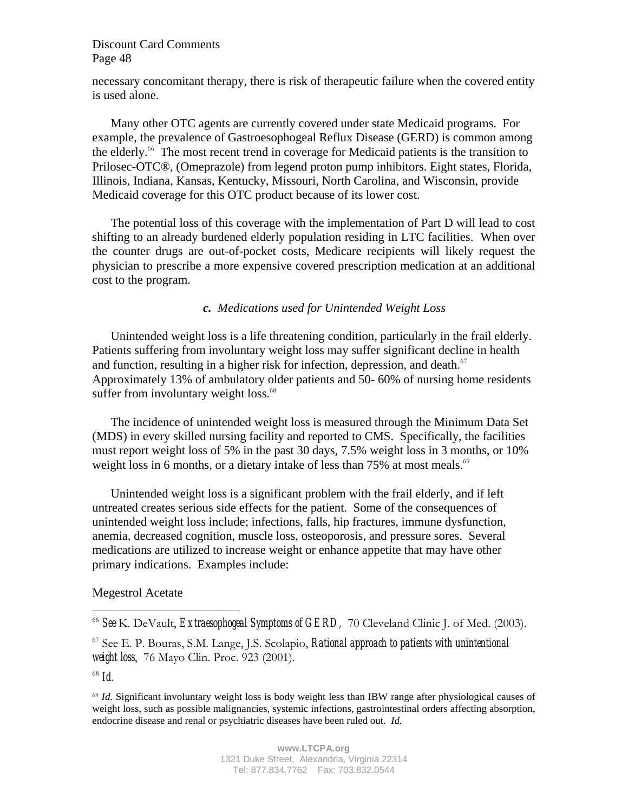necessary concomitant therapy, there is risk of therapeutic failure when the covered entity is used alone.

Many other OTC agents are currently covered under state Medicaid programs. For example, the prevalence of Gastroesophogeal Reflux Disease (GERD) is common among the elderly.<sup>66</sup> The most recent trend in coverage for Medicaid patients is the transition to Prilosec-OTC®, (Omeprazole) from legend proton pump inhibitors. Eight states, Florida, Illinois, Indiana, Kansas, Kentucky, Missouri, North Carolina, and Wisconsin, provide Medicaid coverage for this OTC product because of its lower cost.

The potential loss of this coverage with the implementation of Part D will lead to cost shifting to an already burdened elderly population residing in LTC facilities. When over the counter drugs are out-of-pocket costs, Medicare recipients will likely request the physician to prescribe a more expensive covered prescription medication at an additional cost to the program.

## *c. Medications used for Unintended Weight Loss*

Unintended weight loss is a life threatening condition, particularly in the frail elderly. Patients suffering from involuntary weight loss may suffer significant decline in health and function, resulting in a higher risk for infection, depression, and death. $67$ Approximately 13% of ambulatory older patients and 50- 60% of nursing home residents suffer from involuntary weight loss.<sup>68</sup>

The incidence of unintended weight loss is measured through the Minimum Data Set (MDS) in every skilled nursing facility and reported to CMS. Specifically, the facilities must report weight loss of 5% in the past 30 days, 7.5% weight loss in 3 months, or 10% weight loss in 6 months, or a dietary intake of less than 75% at most meals. $69$ 

Unintended weight loss is a significant problem with the frail elderly, and if left untreated creates serious side effects for the patient. Some of the consequences of unintended weight loss include; infections, falls, hip fractures, immune dysfunction, anemia, decreased cognition, muscle loss, osteoporosis, and pressure sores. Several medications are utilized to increase weight or enhance appetite that may have other primary indications. Examples include:

#### Megestrol Acetate

<sup>68</sup> *Id.* 

<u>.</u>

<sup>66</sup> *See* K. DeVault, *Extraesophogeal Symptoms of GERD,* 70 Cleveland Clinic J. of Med. (2003).

<sup>67</sup> See E. P. Bouras, S.M. Lange, J.S. Scolapio, *Rational approach to patients with unintentional weight loss*, 76 Mayo Clin. Proc. 923 (2001).

<sup>69</sup> *Id.* Significant involuntary weight loss is body weight less than IBW range after physiological causes of weight loss, such as possible malignancies, systemic infections, gastrointestinal orders affecting absorption, endocrine disease and renal or psychiatric diseases have been ruled out. *Id.*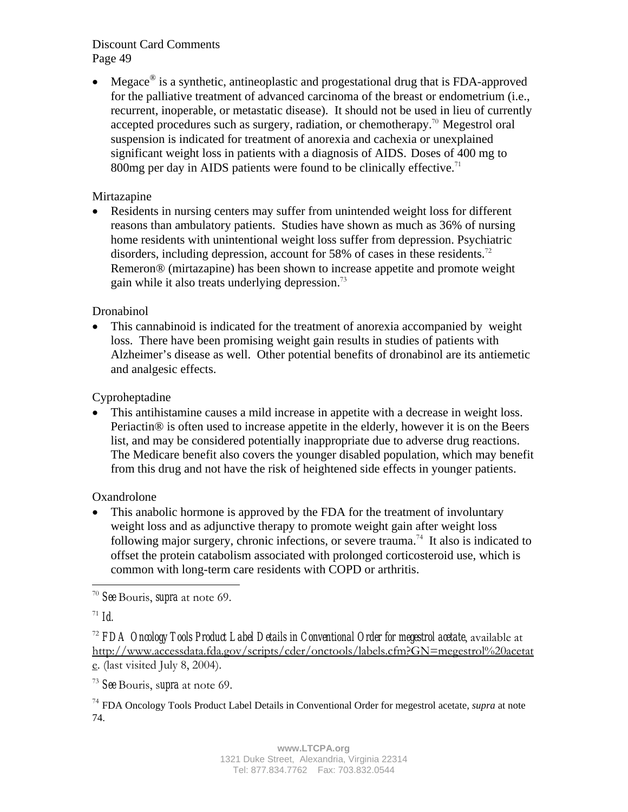• Megace<sup>®</sup> is a synthetic, antineoplastic and progestational drug that is FDA-approved for the palliative treatment of advanced carcinoma of the breast or endometrium (i.e., recurrent, inoperable, or metastatic disease). It should not be used in lieu of currently accepted procedures such as surgery, radiation, or chemotherapy.<sup>70</sup> Megestrol oral suspension is indicated for treatment of anorexia and cachexia or unexplained significant weight loss in patients with a diagnosis of AIDS. Doses of 400 mg to 800mg per day in AIDS patients were found to be clinically effective.<sup>71</sup>

# Mirtazapine

• Residents in nursing centers may suffer from unintended weight loss for different reasons than ambulatory patients. Studies have shown as much as 36% of nursing home residents with unintentional weight loss suffer from depression. Psychiatric disorders, including depression, account for 58% of cases in these residents.<sup>72</sup> Remeron® (mirtazapine) has been shown to increase appetite and promote weight gain while it also treats underlying depression.<sup>73</sup>

## Dronabinol

• This cannabinoid is indicated for the treatment of anorexia accompanied by weight loss. There have been promising weight gain results in studies of patients with Alzheimer's disease as well. Other potential benefits of dronabinol are its antiemetic and analgesic effects.

# Cyproheptadine

• This antihistamine causes a mild increase in appetite with a decrease in weight loss. Periactin® is often used to increase appetite in the elderly, however it is on the Beers list, and may be considered potentially inappropriate due to adverse drug reactions. The Medicare benefit also covers the younger disabled population, which may benefit from this drug and not have the risk of heightened side effects in younger patients.

**Oxandrolone** 

• This anabolic hormone is approved by the FDA for the treatment of involuntary weight loss and as adjunctive therapy to promote weight gain after weight loss following major surgery, chronic infections, or severe trauma.<sup>74</sup> It also is indicated to offset the protein catabolism associated with prolonged corticosteroid use, which is common with long-term care residents with COPD or arthritis.

<sup>73</sup> *See* Bouris, s*upra* at note 69.

<sup>74</sup> FDA Oncology Tools Product Label Details in Conventional Order for megestrol acetate, *supra* at note 74.

 $\overline{a}$ <sup>70</sup> *See* Bouris, *supra* at note 69.

 $71 \; Id.$ 

<sup>72</sup> *FDA Oncology Tools Product Label Details in Conventional Order for megestrol acetate*, available at http://www.accessdata.fda.gov/scripts/cder/onctools/labels.cfm?GN=megestrol%20acetat e. (last visited July 8, 2004).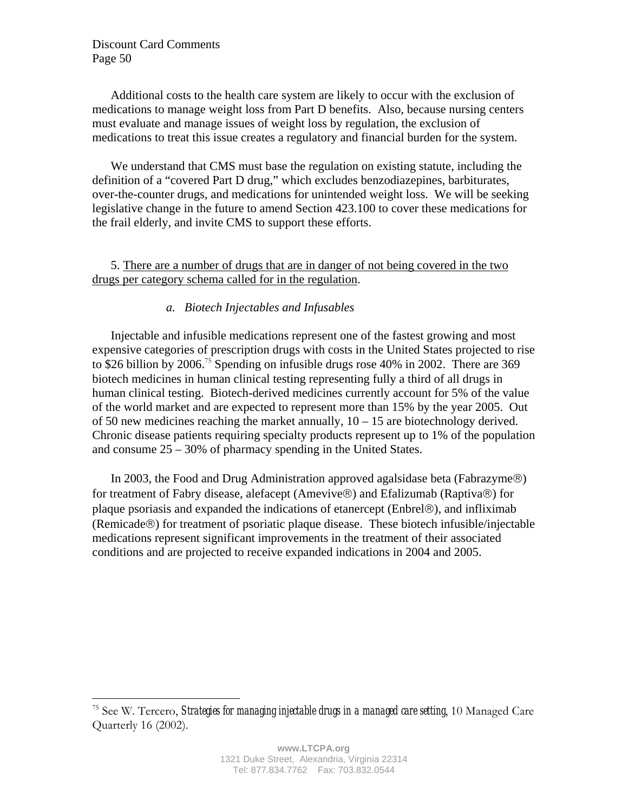$\overline{a}$ 

Additional costs to the health care system are likely to occur with the exclusion of medications to manage weight loss from Part D benefits. Also, because nursing centers must evaluate and manage issues of weight loss by regulation, the exclusion of medications to treat this issue creates a regulatory and financial burden for the system.

We understand that CMS must base the regulation on existing statute, including the definition of a "covered Part D drug," which excludes benzodiazepines, barbiturates, over-the-counter drugs, and medications for unintended weight loss. We will be seeking legislative change in the future to amend Section 423.100 to cover these medications for the frail elderly, and invite CMS to support these efforts.

5. There are a number of drugs that are in danger of not being covered in the two drugs per category schema called for in the regulation.

## *a. Biotech Injectables and Infusables*

Injectable and infusible medications represent one of the fastest growing and most expensive categories of prescription drugs with costs in the United States projected to rise to \$26 billion by 2006.<sup>75</sup> Spending on infusible drugs rose 40% in 2002. There are 369 biotech medicines in human clinical testing representing fully a third of all drugs in human clinical testing. Biotech-derived medicines currently account for 5% of the value of the world market and are expected to represent more than 15% by the year 2005. Out of 50 new medicines reaching the market annually,  $10 - 15$  are biotechnology derived. Chronic disease patients requiring specialty products represent up to 1% of the population and consume 25 – 30% of pharmacy spending in the United States.

In 2003, the Food and Drug Administration approved agalsidase beta (Fabrazyme $\circledR$ ) for treatment of Fabry disease, alefacept (Amevive®) and Efalizumab (Raptiva®) for plaque psoriasis and expanded the indications of etanercept (Enbrel $\circledR$ ), and infliximab (Remicade®) for treatment of psoriatic plaque disease. These biotech infusible/injectable medications represent significant improvements in the treatment of their associated conditions and are projected to receive expanded indications in 2004 and 2005.

<sup>75</sup> See W. Tercero, *Strategies for managing injectable drugs in a managed care setting*, 10 Managed Care Quarterly 16 (2002).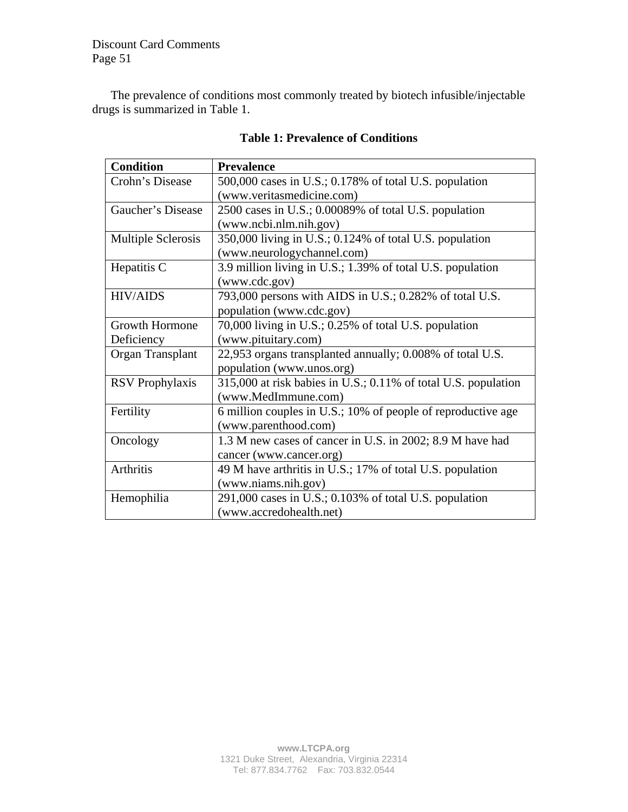The prevalence of conditions most commonly treated by biotech infusible/injectable drugs is summarized in Table 1.

| <b>Condition</b>       | <b>Prevalence</b>                                              |  |  |  |
|------------------------|----------------------------------------------------------------|--|--|--|
| Crohn's Disease        | 500,000 cases in U.S.; 0.178% of total U.S. population         |  |  |  |
|                        | (www.veritasmedicine.com)                                      |  |  |  |
| Gaucher's Disease      | 2500 cases in U.S.; 0.00089% of total U.S. population          |  |  |  |
|                        | (www.ncbi.nlm.nih.gov)                                         |  |  |  |
| Multiple Sclerosis     | 350,000 living in U.S.; 0.124% of total U.S. population        |  |  |  |
|                        | (www.neurologychannel.com)                                     |  |  |  |
| Hepatitis C            | 3.9 million living in U.S.; 1.39% of total U.S. population     |  |  |  |
|                        | (www.cdc.gov)                                                  |  |  |  |
| <b>HIV/AIDS</b>        | 793,000 persons with AIDS in U.S.; 0.282% of total U.S.        |  |  |  |
|                        | population (www.cdc.gov)                                       |  |  |  |
| Growth Hormone         | 70,000 living in U.S.; 0.25% of total U.S. population          |  |  |  |
| Deficiency             | (www.pituitary.com)                                            |  |  |  |
| Organ Transplant       | 22,953 organs transplanted annually; 0.008% of total U.S.      |  |  |  |
|                        | population (www.unos.org)                                      |  |  |  |
| <b>RSV</b> Prophylaxis | 315,000 at risk babies in U.S.; 0.11% of total U.S. population |  |  |  |
|                        | (www.MedImmune.com)                                            |  |  |  |
| Fertility              | 6 million couples in U.S.; 10% of people of reproductive age   |  |  |  |
|                        | (www.parenthood.com)                                           |  |  |  |
| Oncology               | 1.3 M new cases of cancer in U.S. in 2002; 8.9 M have had      |  |  |  |
|                        | cancer (www.cancer.org)                                        |  |  |  |
| Arthritis              | 49 M have arthritis in U.S.; 17% of total U.S. population      |  |  |  |
|                        | (www.niams.nih.gov)                                            |  |  |  |
| Hemophilia             | $291,000$ cases in U.S.; 0.103% of total U.S. population       |  |  |  |
|                        | (www.accredohealth.net)                                        |  |  |  |

# **Table 1: Prevalence of Conditions**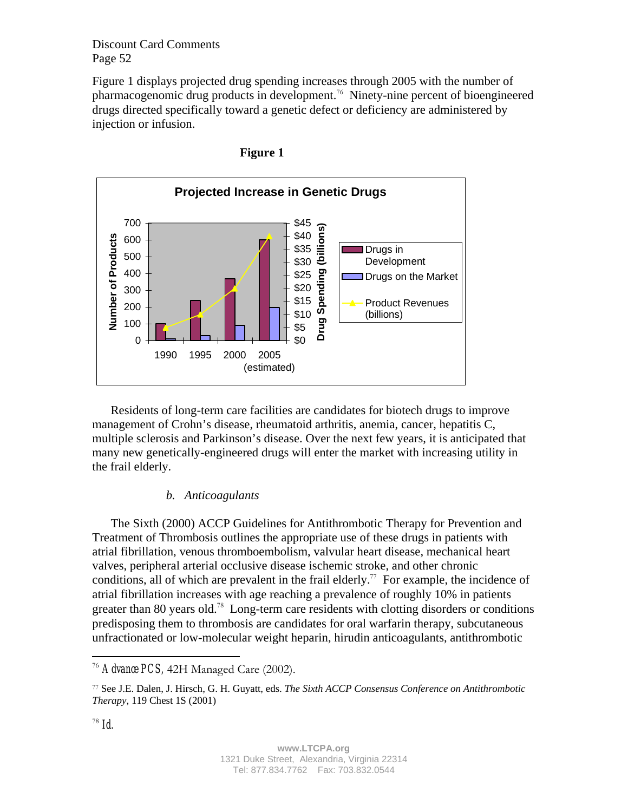Figure 1 displays projected drug spending increases through 2005 with the number of pharmacogenomic drug products in development.<sup>76</sup> Ninety-nine percent of bioengineered drugs directed specifically toward a genetic defect or deficiency are administered by injection or infusion.





Residents of long-term care facilities are candidates for biotech drugs to improve management of Crohn's disease, rheumatoid arthritis, anemia, cancer, hepatitis C, multiple sclerosis and Parkinson's disease. Over the next few years, it is anticipated that many new genetically-engineered drugs will enter the market with increasing utility in the frail elderly.

#### *b. Anticoagulants*

The Sixth (2000) ACCP Guidelines for Antithrombotic Therapy for Prevention and Treatment of Thrombosis outlines the appropriate use of these drugs in patients with atrial fibrillation, venous thromboembolism, valvular heart disease, mechanical heart valves, peripheral arterial occlusive disease ischemic stroke, and other chronic conditions, all of which are prevalent in the frail elderly.<sup>77</sup> For example, the incidence of atrial fibrillation increases with age reaching a prevalence of roughly 10% in patients greater than 80 years old.<sup>78</sup> Long-term care residents with clotting disorders or conditions predisposing them to thrombosis are candidates for oral warfarin therapy, subcutaneous unfractionated or low-molecular weight heparin, hirudin anticoagulants, antithrombotic

 $\overline{a}$ 

<sup>76</sup> *Advance PCS,* 42H Managed Care (2002).

<sup>77</sup> See J.E. Dalen, J. Hirsch, G. H. Guyatt, eds. *The Sixth ACCP Consensus Conference on Antithrombotic Therapy*, 119 Chest 1S (2001)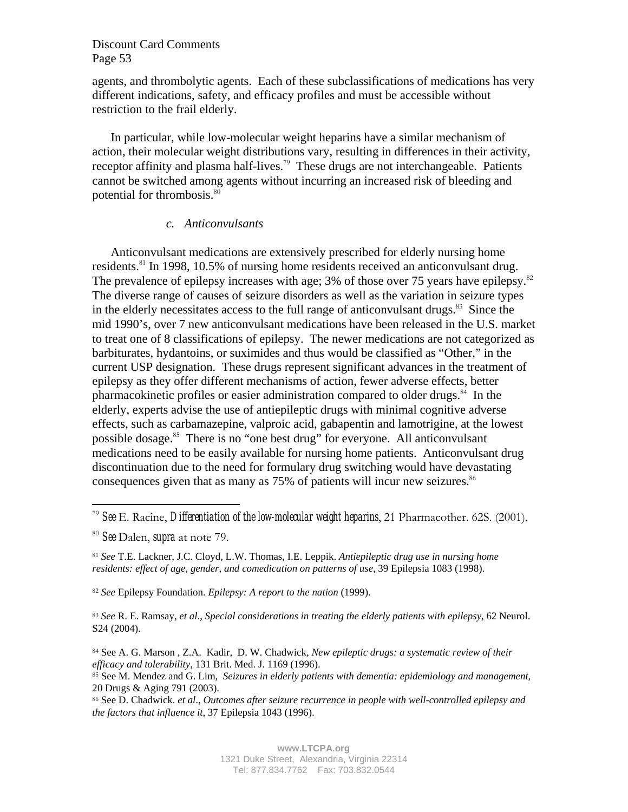agents, and thrombolytic agents. Each of these subclassifications of medications has very different indications, safety, and efficacy profiles and must be accessible without restriction to the frail elderly.

In particular, while low-molecular weight heparins have a similar mechanism of action, their molecular weight distributions vary, resulting in differences in their activity, receptor affinity and plasma half-lives.<sup>79</sup> These drugs are not interchangeable. Patients cannot be switched among agents without incurring an increased risk of bleeding and potential for thrombosis.<sup>80</sup>

#### *c. Anticonvulsants*

Anticonvulsant medications are extensively prescribed for elderly nursing home residents.<sup>81</sup> In 1998, 10.5% of nursing home residents received an anticonvulsant drug. The prevalence of epilepsy increases with age; 3% of those over 75 years have epilepsy. $82$ The diverse range of causes of seizure disorders as well as the variation in seizure types in the elderly necessitates access to the full range of anticonvulsant drugs. $83$  Since the mid 1990's, over 7 new anticonvulsant medications have been released in the U.S. market to treat one of 8 classifications of epilepsy. The newer medications are not categorized as barbiturates, hydantoins, or suximides and thus would be classified as "Other," in the current USP designation. These drugs represent significant advances in the treatment of epilepsy as they offer different mechanisms of action, fewer adverse effects, better pharmacokinetic profiles or easier administration compared to older drugs.<sup>84</sup> In the elderly, experts advise the use of antiepileptic drugs with minimal cognitive adverse effects, such as carbamazepine, valproic acid, gabapentin and lamotrigine, at the lowest possible dosage.<sup>85</sup> There is no "one best drug" for everyone. All anticonvulsant medications need to be easily available for nursing home patients. Anticonvulsant drug discontinuation due to the need for formulary drug switching would have devastating consequences given that as many as  $75\%$  of patients will incur new seizures.<sup>86</sup>

 $\overline{a}$ 

<sup>82</sup> *See* Epilepsy Foundation. *Epilepsy: A report to the nation* (1999).

<sup>83</sup> *See* R. E. Ramsay, *et al*., *Special considerations in treating the elderly patients with epilepsy*, 62 Neurol. S24 (2004).

<sup>79</sup> *See* E. Racine, *Differentiation of the low-molecular weight heparins*, 21 Pharmacother. 62S. (2001).

<sup>80</sup> *See* Dalen, *supra* at note 79.

<sup>81</sup> *See* T.E. Lackner, J.C. Cloyd, L.W. Thomas, I.E. Leppik. *Antiepileptic drug use in nursing home residents: effect of age, gender, and comedication on patterns of use*, 39 Epilepsia 1083 (1998).

<sup>84</sup> See A. G. Marson , Z.A. Kadir, D. W. Chadwick, *New epileptic drugs: a systematic review of their efficacy and tolerability*, 131 Brit. Med. J. 1169 (1996).

<sup>85</sup> See M. Mendez and G. Lim, *Seizures in elderly patients with dementia: epidemiology and management*, 20 Drugs & Aging 791 (2003).

<sup>86</sup> See D. Chadwick. *et al*., *Outcomes after seizure recurrence in people with well-controlled epilepsy and the factors that influence it,* 37 Epilepsia 1043 (1996).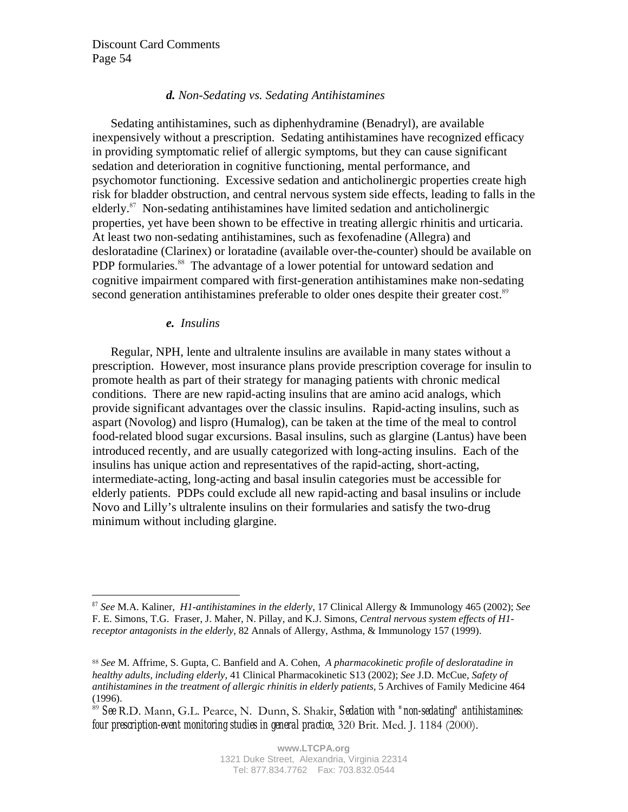## *d. Non-Sedating vs. Sedating Antihistamines*

Sedating antihistamines, such as diphenhydramine (Benadryl), are available inexpensively without a prescription. Sedating antihistamines have recognized efficacy in providing symptomatic relief of allergic symptoms, but they can cause significant sedation and deterioration in cognitive functioning, mental performance, and psychomotor functioning. Excessive sedation and anticholinergic properties create high risk for bladder obstruction, and central nervous system side effects, leading to falls in the elderly.<sup>87</sup> Non-sedating antihistamines have limited sedation and anticholinergic properties, yet have been shown to be effective in treating allergic rhinitis and urticaria. At least two non-sedating antihistamines, such as fexofenadine (Allegra) and desloratadine (Clarinex) or loratadine (available over-the-counter) should be available on PDP formularies.<sup>88</sup> The advantage of a lower potential for untoward sedation and cognitive impairment compared with first-generation antihistamines make non-sedating second generation antihistamines preferable to older ones despite their greater cost.<sup>89</sup>

#### *e. Insulins*

 $\overline{a}$ 

Regular, NPH, lente and ultralente insulins are available in many states without a prescription. However, most insurance plans provide prescription coverage for insulin to promote health as part of their strategy for managing patients with chronic medical conditions. There are new rapid-acting insulins that are amino acid analogs, which provide significant advantages over the classic insulins. Rapid-acting insulins, such as aspart (Novolog) and lispro (Humalog), can be taken at the time of the meal to control food-related blood sugar excursions. Basal insulins, such as glargine (Lantus) have been introduced recently, and are usually categorized with long-acting insulins. Each of the insulins has unique action and representatives of the rapid-acting, short-acting, intermediate-acting, long-acting and basal insulin categories must be accessible for elderly patients. PDPs could exclude all new rapid-acting and basal insulins or include Novo and Lilly's ultralente insulins on their formularies and satisfy the two-drug minimum without including glargine.

*<sup>87</sup> See* M.A. Kaliner, *H1-antihistamines in the elderly*, 17 Clinical Allergy & Immunology 465 (2002); *See*  F. E. Simons, T.G. Fraser, J. Maher, N. Pillay, and K.J. Simons, *Central nervous system effects of H1 receptor antagonists in the elderly*, 82 Annals of Allergy, Asthma, & Immunology 157 (1999).

<sup>88</sup> *See* M. Affrime, S. Gupta, C. Banfield and A. Cohen, *A pharmacokinetic profile of desloratadine in healthy adults, including elderly*, 41 Clinical Pharmacokinetic S13 (2002); *See* J.D. McCue, *Safety of antihistamines in the treatment of allergic rhinitis in elderly patients,* 5 Archives of Family Medicine 464 (1996).

<sup>89</sup> *See* R.D. Mann, G.L. Pearce, N. Dunn, S. Shakir, *Sedation with "non-sedating" antihistamines: four prescription-event monitoring studies in general practice*, 320 Brit. Med. J. 1184 (2000).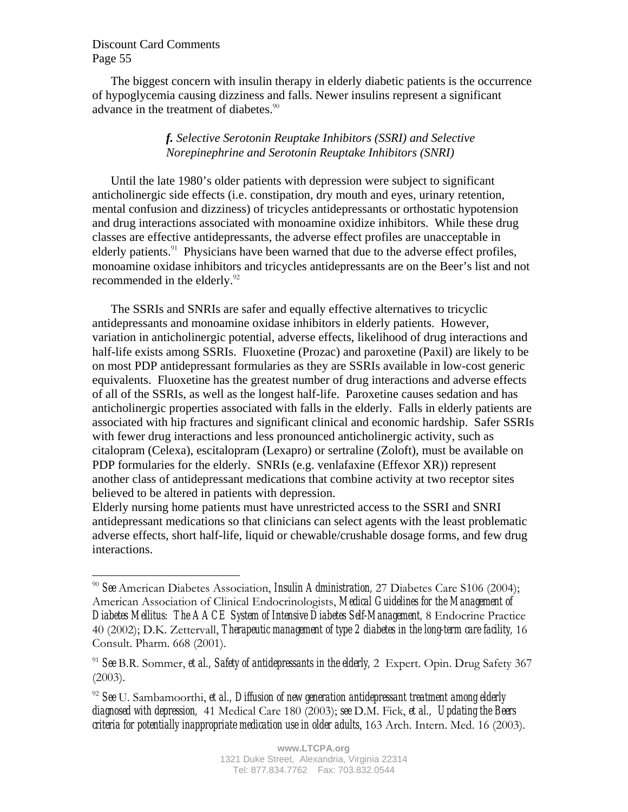$\overline{a}$ 

The biggest concern with insulin therapy in elderly diabetic patients is the occurrence of hypoglycemia causing dizziness and falls. Newer insulins represent a significant advance in the treatment of diabetes.<sup>90</sup>

## *f. Selective Serotonin Reuptake Inhibitors (SSRI) and Selective Norepinephrine and Serotonin Reuptake Inhibitors (SNRI)*

Until the late 1980's older patients with depression were subject to significant anticholinergic side effects (i.e. constipation, dry mouth and eyes, urinary retention, mental confusion and dizziness) of tricycles antidepressants or orthostatic hypotension and drug interactions associated with monoamine oxidize inhibitors. While these drug classes are effective antidepressants, the adverse effect profiles are unacceptable in elderly patients.<sup>91</sup> Physicians have been warned that due to the adverse effect profiles, monoamine oxidase inhibitors and tricycles antidepressants are on the Beer's list and not recommended in the elderly.<sup>92</sup>

The SSRIs and SNRIs are safer and equally effective alternatives to tricyclic antidepressants and monoamine oxidase inhibitors in elderly patients. However, variation in anticholinergic potential, adverse effects, likelihood of drug interactions and half-life exists among SSRIs. Fluoxetine (Prozac) and paroxetine (Paxil) are likely to be on most PDP antidepressant formularies as they are SSRIs available in low-cost generic equivalents. Fluoxetine has the greatest number of drug interactions and adverse effects of all of the SSRIs, as well as the longest half-life. Paroxetine causes sedation and has anticholinergic properties associated with falls in the elderly. Falls in elderly patients are associated with hip fractures and significant clinical and economic hardship. Safer SSRIs with fewer drug interactions and less pronounced anticholinergic activity, such as citalopram (Celexa), escitalopram (Lexapro) or sertraline (Zoloft), must be available on PDP formularies for the elderly. SNRIs (e.g. venlafaxine (Effexor XR)) represent another class of antidepressant medications that combine activity at two receptor sites believed to be altered in patients with depression.

Elderly nursing home patients must have unrestricted access to the SSRI and SNRI antidepressant medications so that clinicians can select agents with the least problematic adverse effects, short half-life, liquid or chewable/crushable dosage forms, and few drug interactions.

<sup>90</sup> *See* American Diabetes Association, *Insulin Administration,* 27 Diabetes Care S106 (2004); American Association of Clinical Endocrinologists, *Medical Guidelines for the Management of Diabetes Mellitus: The AACE System of Intensive Diabetes Self-Management,* 8 Endocrine Practice 40 (2002); D.K. Zettervall, *Therapeutic management of type 2 diabetes in the long-term care facility,* 16 Consult. Pharm. 668 (2001).

<sup>91</sup> *See* B.R. Sommer, *et al., Safety of antidepressants in the elderly,* 2 Expert. Opin. Drug Safety 367 (2003).

<sup>92</sup> *See* U. Sambamoorthi, *et al., Diffusion of new generation antidepressant treatment among elderly diagnosed with depression,* 41 Medical Care 180 (2003); *see* D.M. Fick, *et al., Updating the Beers criteria for potentially inappropriate medication use in older adults*, 163 Arch. Intern. Med. 16 (2003).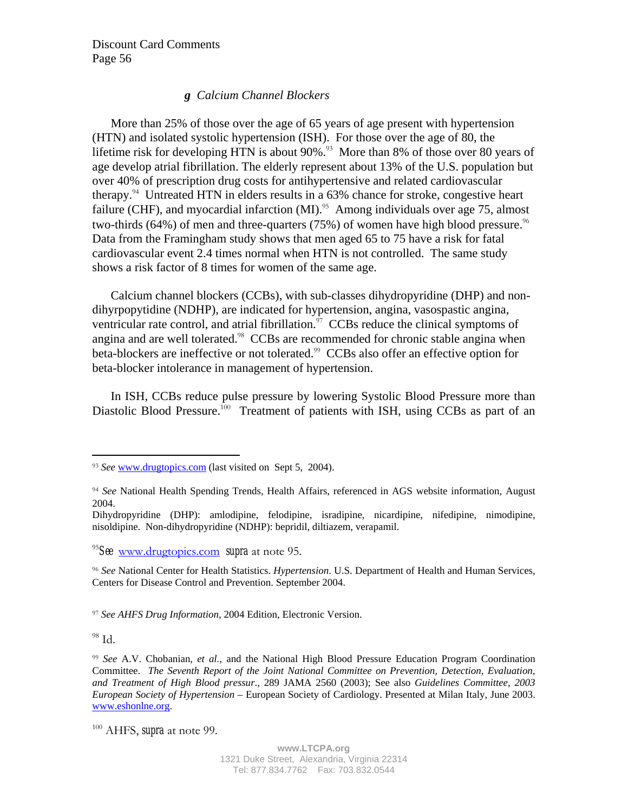# *g Calcium Channel Blockers*

More than 25% of those over the age of 65 years of age present with hypertension (HTN) and isolated systolic hypertension (ISH). For those over the age of 80, the lifetime risk for developing HTN is about  $90\%$ .<sup>93</sup> More than 8% of those over 80 years of age develop atrial fibrillation. The elderly represent about 13% of the U.S. population but over 40% of prescription drug costs for antihypertensive and related cardiovascular therapy.<sup>94</sup> Untreated HTN in elders results in a 63% chance for stroke, congestive heart failure (CHF), and myocardial infarction  $(MI)^{.95}$  Among individuals over age 75, almost two-thirds (64%) of men and three-quarters (75%) of women have high blood pressure.<sup>96</sup> Data from the Framingham study shows that men aged 65 to 75 have a risk for fatal cardiovascular event 2.4 times normal when HTN is not controlled. The same study shows a risk factor of 8 times for women of the same age.

Calcium channel blockers (CCBs), with sub-classes dihydropyridine (DHP) and nondihyrpopytidine (NDHP), are indicated for hypertension, angina, vasospastic angina, ventricular rate control, and atrial fibrillation. $97$  CCBs reduce the clinical symptoms of angina and are well tolerated.<sup>98</sup> CCBs are recommended for chronic stable angina when beta-blockers are ineffective or not tolerated.<sup>99</sup> CCBs also offer an effective option for beta-blocker intolerance in management of hypertension.

In ISH, CCBs reduce pulse pressure by lowering Systolic Blood Pressure more than Diastolic Blood Pressure.<sup>100</sup> Treatment of patients with ISH, using CCBs as part of an

<sup>97</sup> *See AHFS Drug Information*, 2004 Edition, Electronic Version.

 $98$  Id.

 $\overline{a}$ 

<sup>93</sup> *See* www.drugtopics.com (last visited on Sept 5, 2004).

<sup>94</sup> *See* National Health Spending Trends, Health Affairs, referenced in AGS website information, August 2004.

Dihydropyridine (DHP): amlodipine, felodipine, isradipine, nicardipine, nifedipine, nimodipine, nisoldipine. Non-dihydropyridine (NDHP): bepridil, diltiazem, verapamil.

<sup>95</sup>*See* www.drugtopics.com *supra* at note 95.

<sup>96</sup> *See* National Center for Health Statistics. *Hypertension*. U.S. Department of Health and Human Services, Centers for Disease Control and Prevention. September 2004.

<sup>99</sup> *See* A.V. Chobanian, *et al.,* and the National High Blood Pressure Education Program Coordination Committee. *The Seventh Report of the Joint National Committee on Prevention, Detection, Evaluation, and Treatment of High Blood pressur*., 289 JAMA 2560 (2003); See also *Guidelines Committee, 2003 European Society of Hypertension* – European Society of Cardiology. Presented at Milan Italy, June 2003. www.eshonlne.org.

<sup>100</sup> AHFS, *supra* at note 99.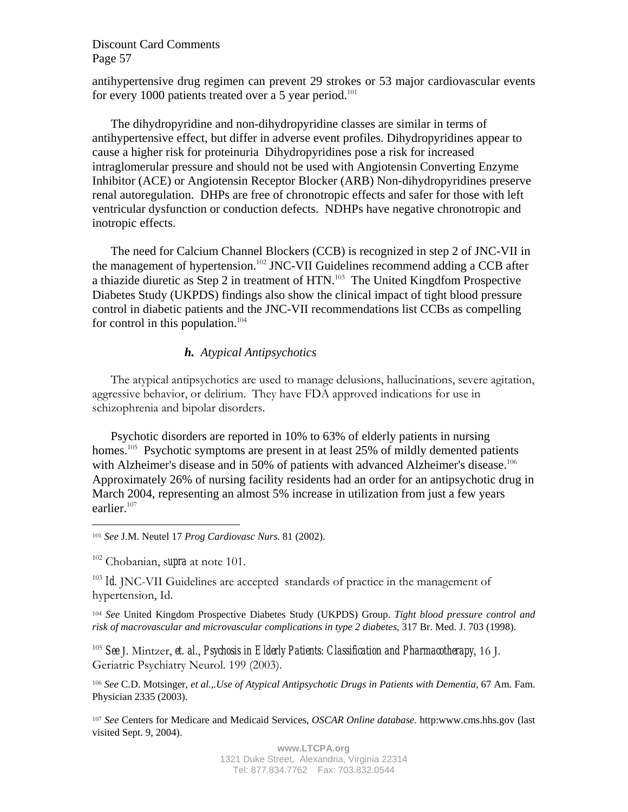antihypertensive drug regimen can prevent 29 strokes or 53 major cardiovascular events for every 1000 patients treated over a 5 year period.<sup>101</sup>

The dihydropyridine and non-dihydropyridine classes are similar in terms of antihypertensive effect, but differ in adverse event profiles. Dihydropyridines appear to cause a higher risk for proteinuria Dihydropyridines pose a risk for increased intraglomerular pressure and should not be used with Angiotensin Converting Enzyme Inhibitor (ACE) or Angiotensin Receptor Blocker (ARB) Non-dihydropyridines preserve renal autoregulation. DHPs are free of chronotropic effects and safer for those with left ventricular dysfunction or conduction defects. NDHPs have negative chronotropic and inotropic effects.

The need for Calcium Channel Blockers (CCB) is recognized in step 2 of JNC-VII in the management of hypertension.<sup>102</sup> JNC-VII Guidelines recommend adding a CCB after a thiazide diuretic as Step 2 in treatment of HTN.<sup>103</sup> The United Kingdfom Prospective Diabetes Study (UKPDS) findings also show the clinical impact of tight blood pressure control in diabetic patients and the JNC-VII recommendations list CCBs as compelling for control in this population.<sup>104</sup>

## *h. Atypical Antipsychotics*

The atypical antipsychotics are used to manage delusions, hallucinations, severe agitation, aggressive behavior, or delirium. They have FDA approved indications for use in schizophrenia and bipolar disorders.

Psychotic disorders are reported in 10% to 63% of elderly patients in nursing homes.<sup>105</sup> Psychotic symptoms are present in at least 25% of mildly demented patients with Alzheimer's disease and in 50% of patients with advanced Alzheimer's disease.<sup>106</sup> Approximately 26% of nursing facility residents had an order for an antipsychotic drug in March 2004, representing an almost 5% increase in utilization from just a few years earlier.<sup>107</sup>

102 Chobanian, s*upra* at note 101.

 $\overline{a}$ 

<sup>103</sup> *Id.* JNC-VII Guidelines are accepted standards of practice in the management of hypertension, Id.

<sup>104</sup> *See* United Kingdom Prospective Diabetes Study (UKPDS) Group. *Tight blood pressure control and risk of macrovascular and microvascular complications in type 2 diabetes*, 317 Br. Med. J. 703 (1998).

<sup>105</sup> *See* J. Mintzer, *et. al*., *Psychosis in Elderly Patients: Classification and Pharmacotherapy*, 16 J. Geriatric Psychiatry Neurol. 199 (2003).

<sup>106</sup> *See* C.D. Motsinger, *et al.,.Use of Atypical Antipsychotic Drugs in Patients with Dementia*, 67 Am. Fam. Physician 2335 (2003).

<sup>107</sup> *See* Centers for Medicare and Medicaid Services, *OSCAR Online database*. http:www.cms.hhs.gov (last visited Sept. 9, 2004).

<sup>101</sup> *See* J.M. Neutel 17 *Prog Cardiovasc Nurs.* 81 (2002).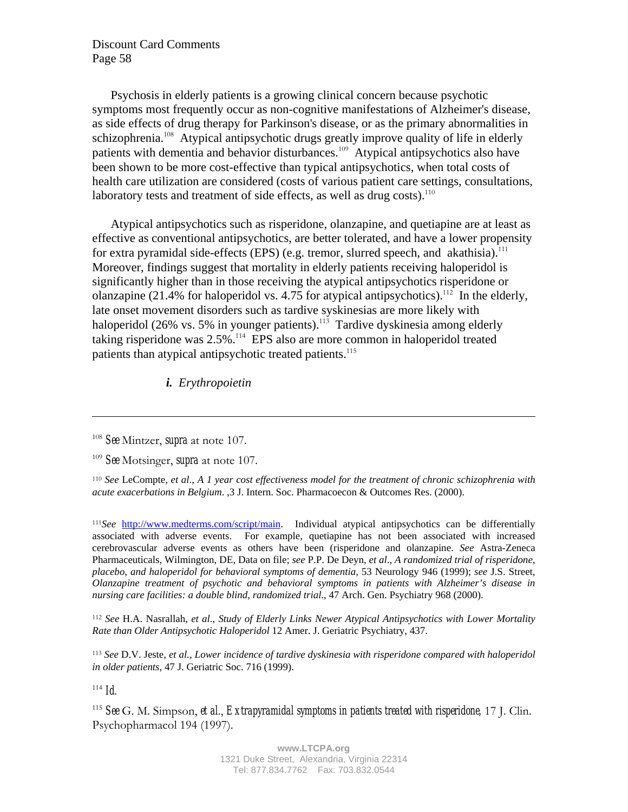Psychosis in elderly patients is a growing clinical concern because psychotic symptoms most frequently occur as non-cognitive manifestations of Alzheimer's disease, as side effects of drug therapy for Parkinson's disease, or as the primary abnormalities in schizophrenia.<sup>108</sup> Atypical antipsychotic drugs greatly improve quality of life in elderly patients with dementia and behavior disturbances.<sup>109</sup> Atypical antipsychotics also have been shown to be more cost-effective than typical antipsychotics, when total costs of health care utilization are considered (costs of various patient care settings, consultations, laboratory tests and treatment of side effects, as well as drug costs).<sup>110</sup>

Atypical antipsychotics such as risperidone, olanzapine, and quetiapine are at least as effective as conventional antipsychotics, are better tolerated, and have a lower propensity for extra pyramidal side-effects (EPS) (e.g. tremor, slurred speech, and akathisia).<sup>111</sup> Moreover, findings suggest that mortality in elderly patients receiving haloperidol is significantly higher than in those receiving the atypical antipsychotics risperidone or olanzapine (21.4% for haloperidol vs. 4.75 for atypical antipsychotics).<sup>112</sup> In the elderly, late onset movement disorders such as tardive syskinesias are more likely with haloperidol (26% vs. 5% in younger patients).<sup>113</sup> Tardive dyskinesia among elderly taking risperidone was  $2.5\%$ <sup>114</sup> EPS also are more common in haloperidol treated patients than atypical antipsychotic treated patients.<sup>115</sup>

*i. Erythropoietin*

<sup>108</sup> *See* Mintzer, *supra* at note 107.

<sup>110</sup> *See* LeCompte, *et al*., *A 1 year cost effectiveness model for the treatment of chronic schizophrenia with acute exacerbations in Belgium*. ,3 J. Intern. Soc. Pharmacoecon & Outcomes Res. (2000).

<sup>111</sup>*See* http://www.medterms.com/script/main. Individual atypical antipsychotics can be differentially associated with adverse events. For example, quetiapine has not been associated with increased cerebrovascular adverse events as others have been (risperidone and olanzapine. *See* Astra-Zeneca Pharmaceuticals, Wilmington, DE, Data on file; *see* P.P. De Deyn, *et al*., *A randomized trial of risperidone, placebo, and haloperidol for behavioral symptoms of dementia*, 53 Neurology 946 (1999); *see* J.S. Street, *Olanzapine treatment of psychotic and behavioral symptoms in patients with Alzheimer's disease in nursing care facilities: a double blind, randomized trial*., 47 Arch. Gen. Psychiatry 968 (2000).

<sup>112</sup> *See* H.A. Nasrallah, *et al*., *Study of Elderly Links Newer Atypical Antipsychotics with Lower Mortality Rate than Older Antipsychotic Haloperidol* 12 Amer. J. Geriatric Psychiatry, 437.

<sup>113</sup> *See* D.V. Jeste, *et al., Lower incidence of tardive dyskinesia with risperidone compared with haloperidol in older patients*, 47 J. Geriatric Soc. 716 (1999).

 $114$  *Id.* 

 $\overline{a}$ 

<sup>115</sup> *See* G. M. Simpson, *et al*., *Extrapyramidal symptoms in patients treated with risperidone,* 17 J. Clin. Psychopharmacol 194 (1997).

<sup>109</sup> *See* Motsinger, *supra* at note 107.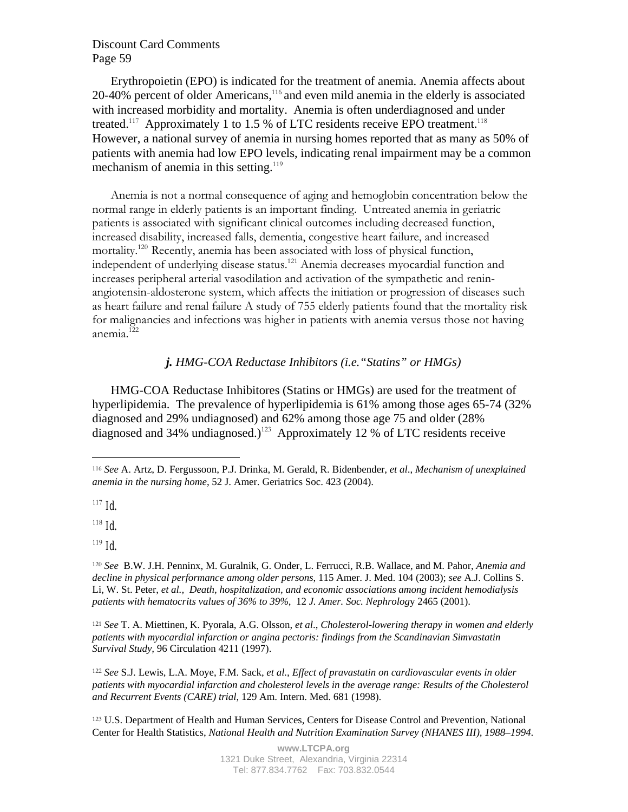Erythropoietin (EPO) is indicated for the treatment of anemia. Anemia affects about  $20-40%$  percent of older Americans,<sup>116</sup> and even mild anemia in the elderly is associated with increased morbidity and mortality. Anemia is often underdiagnosed and under treated.<sup>117</sup> Approximately 1 to 1.5 % of LTC residents receive EPO treatment.<sup>118</sup> However, a national survey of anemia in nursing homes reported that as many as 50% of patients with anemia had low EPO levels, indicating renal impairment may be a common mechanism of anemia in this setting.<sup>119</sup>

Anemia is not a normal consequence of aging and hemoglobin concentration below the normal range in elderly patients is an important finding. Untreated anemia in geriatric patients is associated with significant clinical outcomes including decreased function, increased disability, increased falls, dementia, congestive heart failure, and increased mortality.<sup>120</sup> Recently, anemia has been associated with loss of physical function, independent of underlying disease status.<sup>121</sup> Anemia decreases myocardial function and increases peripheral arterial vasodilation and activation of the sympathetic and reninangiotensin-aldosterone system, which affects the initiation or progression of diseases such as heart failure and renal failure A study of 755 elderly patients found that the mortality risk for malignancies and infections was higher in patients with anemia versus those not having anemia.<sup>122</sup>

## *j. HMG-COA Reductase Inhibitors (i.e."Statins" or HMGs)*

HMG-COA Reductase Inhibitores (Statins or HMGs) are used for the treatment of hyperlipidemia. The prevalence of hyperlipidemia is 61% among those ages 65-74 (32% diagnosed and 29% undiagnosed) and 62% among those age 75 and older (28% diagnosed and 34% undiagnosed.)<sup>123</sup> Approximately 12 % of LTC residents receive

 $\overline{a}$ 

 $118$  *Id.* 

 $119$  *Id.* 

<sup>121</sup> *See* T. A. Miettinen, K. Pyorala, A.G. Olsson, *et al*., *Cholesterol-lowering therapy in women and elderly patients with myocardial infarction or angina pectoris: findings from the Scandinavian Simvastatin Survival Study,* 96 Circulation 4211 (1997).

<sup>122</sup> *See* S.J. Lewis, L.A. Moye, F.M. Sack, *et al., Effect of pravastatin on cardiovascular events in older patients with myocardial infarction and cholesterol levels in the average range: Results of the Cholesterol and Recurrent Events (CARE) trial*, 129 Am. Intern. Med. 681 (1998).

<sup>123</sup> U.S. Department of Health and Human Services, Centers for Disease Control and Prevention, National Center for Health Statistics, *National Health and Nutrition Examination Survey (NHANES III), 1988–1994*.

<sup>116</sup> *See* A. Artz, D. Fergussoon, P.J. Drinka, M. Gerald, R. Bidenbender, *et al*., *Mechanism of unexplained anemia in the nursing home*, 52 J. Amer. Geriatrics Soc. 423 (2004).

 $117$  *Id.* 

<sup>120</sup> *See* B.W. J.H. Penninx, M. Guralnik, G. Onder, L. Ferrucci, R.B. Wallace, and M. Pahor, *Anemia and decline in physical performance among older persons*, 115 Amer. J. Med. 104 (2003); *see* A.J. Collins S. Li, W. St. Peter, *et al., Death, hospitalization, and economic associations among incident hemodialysis patients with hematocrits values of 36% to 39%*, 12 *J. Amer. Soc. Nephrolog*y 2465 (2001).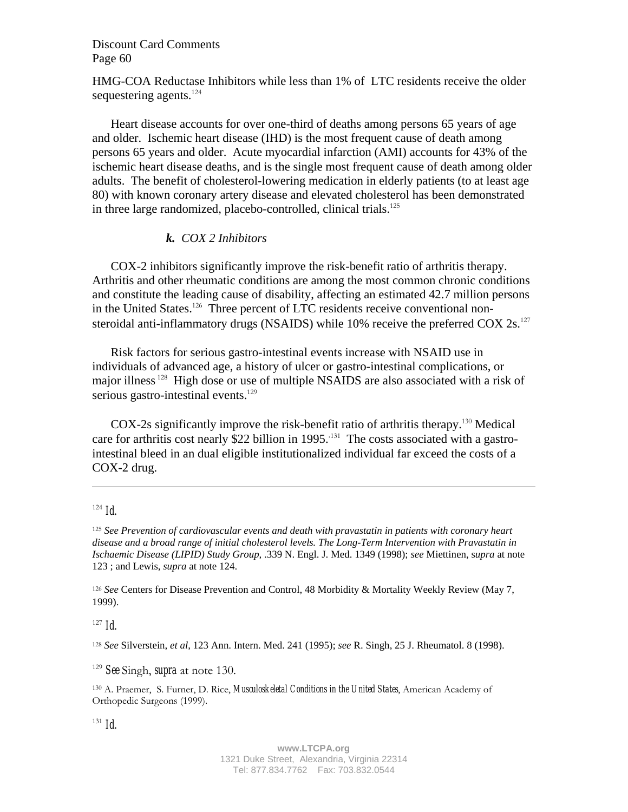HMG-COA Reductase Inhibitors while less than 1% of LTC residents receive the older sequestering agents. $124$ 

Heart disease accounts for over one-third of deaths among persons 65 years of age and older. Ischemic heart disease (IHD) is the most frequent cause of death among persons 65 years and older. Acute myocardial infarction (AMI) accounts for 43% of the ischemic heart disease deaths, and is the single most frequent cause of death among older adults. The benefit of cholesterol-lowering medication in elderly patients (to at least age 80) with known coronary artery disease and elevated cholesterol has been demonstrated in three large randomized, placebo-controlled, clinical trials.<sup>125</sup>

### *k. COX 2 Inhibitors*

COX-2 inhibitors significantly improve the risk-benefit ratio of arthritis therapy. Arthritis and other rheumatic conditions are among the most common chronic conditions and constitute the leading cause of disability, affecting an estimated 42.7 million persons in the United States.<sup>126</sup> Three percent of LTC residents receive conventional nonsteroidal anti-inflammatory drugs (NSAIDS) while 10% receive the preferred COX  $2s$ .<sup>127</sup>

Risk factors for serious gastro-intestinal events increase with NSAID use in individuals of advanced age, a history of ulcer or gastro-intestinal complications, or major illness<sup>128</sup> High dose or use of multiple NSAIDS are also associated with a risk of serious gastro-intestinal events. $129$ 

COX-2s significantly improve the risk-benefit ratio of arthritis therapy.<sup>130</sup> Medical care for arthritis cost nearly \$22 billion in 1995.<sup>131</sup> The costs associated with a gastrointestinal bleed in an dual eligible institutionalized individual far exceed the costs of a COX-2 drug.

 $\overline{a}$ 

<sup>125</sup> *See Prevention of cardiovascular events and death with pravastatin in patients with coronary heart disease and a broad range of initial cholesterol levels. The Long-Term Intervention with Pravastatin in Ischaemic Disease (LIPID) Study Group,* .339 N. Engl. J. Med. 1349 (1998); *see* Miettinen, s*upra* at note 123 ; and Lewis, *supra* at note 124.

<sup>126</sup> *See* Centers for Disease Prevention and Control, 48 Morbidity & Mortality Weekly Review (May 7, 1999).

 $127$  *Id.* 

<sup>128</sup> *See* Silverstein, *et al*, 123 Ann. Intern. Med. 241 (1995); *see* R. Singh, 25 J. Rheumatol. 8 (1998).

<sup>129</sup> *See* Singh, *supra* at note 130.

130 A. Praemer, S. Furner, D. Rice, *Musculoskeletal Conditions in the United States*, American Academy of Orthopedic Surgeons (1999).

 $131$  *Id.* 

 $124$  *Id.*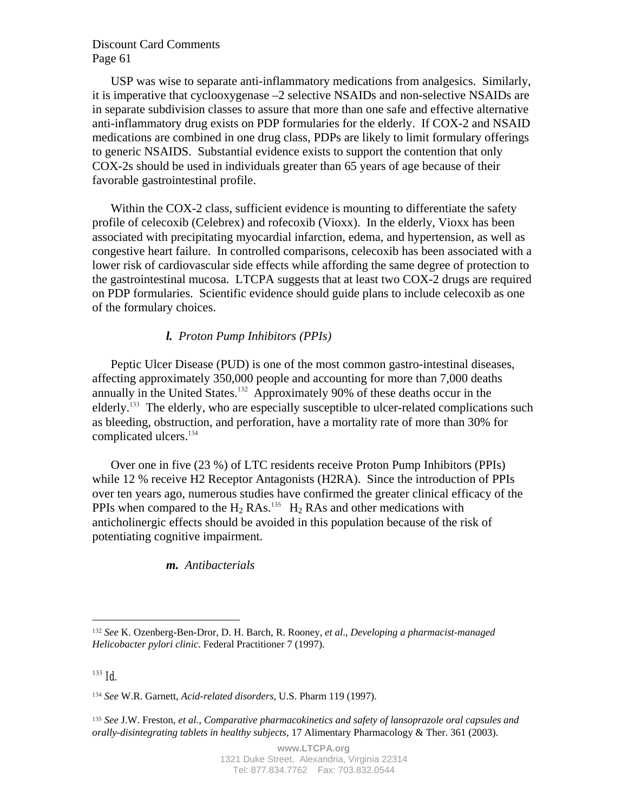USP was wise to separate anti-inflammatory medications from analgesics. Similarly, it is imperative that cyclooxygenase –2 selective NSAIDs and non-selective NSAIDs are in separate subdivision classes to assure that more than one safe and effective alternative anti-inflammatory drug exists on PDP formularies for the elderly. If COX-2 and NSAID medications are combined in one drug class, PDPs are likely to limit formulary offerings to generic NSAIDS. Substantial evidence exists to support the contention that only COX-2s should be used in individuals greater than 65 years of age because of their favorable gastrointestinal profile.

Within the COX-2 class, sufficient evidence is mounting to differentiate the safety profile of celecoxib (Celebrex) and rofecoxib (Vioxx). In the elderly, Vioxx has been associated with precipitating myocardial infarction, edema, and hypertension, as well as congestive heart failure. In controlled comparisons, celecoxib has been associated with a lower risk of cardiovascular side effects while affording the same degree of protection to the gastrointestinal mucosa. LTCPA suggests that at least two COX-2 drugs are required on PDP formularies. Scientific evidence should guide plans to include celecoxib as one of the formulary choices.

#### *l. Proton Pump Inhibitors (PPIs)*

Peptic Ulcer Disease (PUD) is one of the most common gastro-intestinal diseases, affecting approximately 350,000 people and accounting for more than 7,000 deaths annually in the United States.<sup>132</sup> Approximately 90% of these deaths occur in the elderly.<sup>133</sup> The elderly, who are especially susceptible to ulcer-related complications such as bleeding, obstruction, and perforation, have a mortality rate of more than 30% for complicated ulcers.<sup>134</sup>

Over one in five (23 %) of LTC residents receive Proton Pump Inhibitors (PPIs) while 12 % receive H2 Receptor Antagonists (H2RA). Since the introduction of PPIs over ten years ago, numerous studies have confirmed the greater clinical efficacy of the PPIs when compared to the  $H_2$  RAs.<sup>135</sup> H<sub>2</sub> RAs and other medications with anticholinergic effects should be avoided in this population because of the risk of potentiating cognitive impairment.

### *m. Antibacterials*

<u>.</u>

<sup>132</sup> *See* K. Ozenberg-Ben-Dror, D. H. Barch, R. Rooney, *et al*., *Developing a pharmacist-managed Helicobacter pylori clinic*. Federal Practitioner 7 (1997).

 $133$  *Id.* 

<sup>134</sup> *See* W.R. Garnett, *Acid-related disorders*, U.S. Pharm 119 (1997).

<sup>135</sup> *See* J.W. Freston, *et al., Comparative pharmacokinetics and safety of lansoprazole oral capsules and orally-disintegrating tablets in healthy subjects*, 17 Alimentary Pharmacology & Ther. 361 (2003).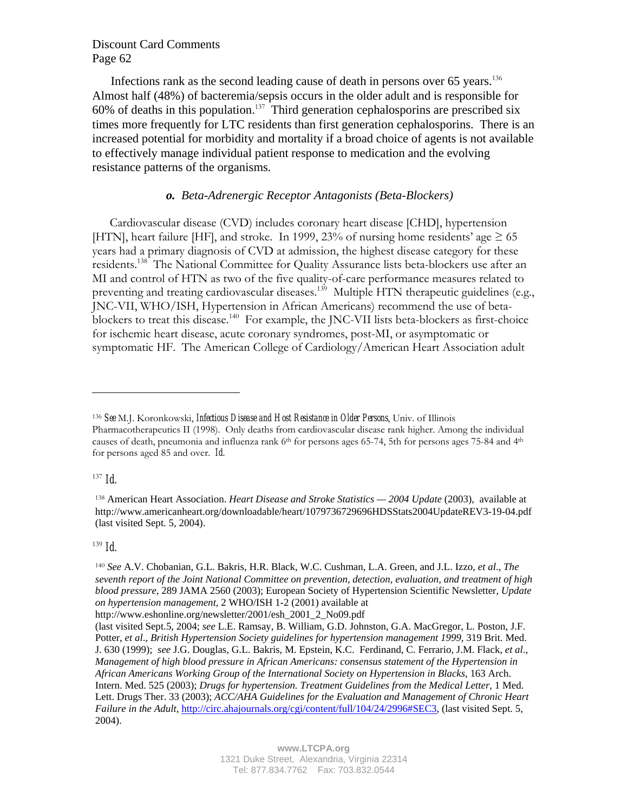Infections rank as the second leading cause of death in persons over  $65$  years.<sup>136</sup> Almost half (48%) of bacteremia/sepsis occurs in the older adult and is responsible for 60% of deaths in this population.<sup>137</sup> Third generation cephalosporins are prescribed six times more frequently for LTC residents than first generation cephalosporins. There is an increased potential for morbidity and mortality if a broad choice of agents is not available to effectively manage individual patient response to medication and the evolving resistance patterns of the organisms.

#### *o. Beta-Adrenergic Receptor Antagonists (Beta-Blockers)*

Cardiovascular disease (CVD) includes coronary heart disease [CHD], hypertension [HTN], heart failure [HF], and stroke. In 1999, 23% of nursing home residents' age  $\geq 65$ years had a primary diagnosis of CVD at admission, the highest disease category for these residents.<sup>138</sup> The National Committee for Quality Assurance lists beta-blockers use after an MI and control of HTN as two of the five quality-of-care performance measures related to preventing and treating cardiovascular diseases.<sup>139</sup> Multiple HTN therapeutic guidelines (e.g., JNC-VII, WHO/ISH, Hypertension in African Americans) recommend the use of betablockers to treat this disease.<sup>140</sup> For example, the JNC-VII lists beta-blockers as first-choice for ischemic heart disease, acute coronary syndromes, post-MI, or asymptomatic or symptomatic HF. The American College of Cardiology/American Heart Association adult

<sup>137</sup> *Id.* 

 $\overline{a}$ 

<sup>139</sup> *Id.* 

http://www.eshonline.org/newsletter/2001/esh\_2001\_2\_No09.pdf

<sup>136</sup> *See* M.J. Koronkowski, *Infectious Disease and Host Resistance in Older Persons*, Univ. of Illinois Pharmacotherapeutics II (1998). Only deaths from cardiovascular disease rank higher. Among the individual causes of death, pneumonia and influenza rank  $6<sup>th</sup>$  for persons ages 65-74, 5th for persons ages 75-84 and  $4<sup>th</sup>$ for persons aged 85 and over. *Id.*

<sup>138</sup> American Heart Association. *Heart Disease and Stroke Statistics — 2004 Update* (2003), available at http://www.americanheart.org/downloadable/heart/1079736729696HDSStats2004UpdateREV3-19-04.pdf (last visited Sept. 5, 2004).

<sup>140</sup> *See* A.V. Chobanian, G.L. Bakris, H.R. Black, W.C. Cushman, L.A. Green, and J.L. Izzo, *et al*., *The seventh report of the Joint National Committee on prevention, detection, evaluation, and treatment of high blood pressure*, 289 JAMA 2560 (2003); European Society of Hypertension Scientific Newsletter, *Update on hypertension management,* 2 WHO/ISH 1-2 (2001) available at

<sup>(</sup>last visited Sept.5, 2004; *see* L.E. Ramsay, B. William, G.D. Johnston, G.A. MacGregor, L. Poston, J.F. Potter, *et al*., *British Hypertension Society guidelines for hypertension management 1999,* 319 Brit. Med. J. 630 (1999); *see* J.G. Douglas, G.L. Bakris, M. Epstein, K.C. Ferdinand, C. Ferrario, J.M. Flack, *et al*., *Management of high blood pressure in African Americans: consensus statement of the Hypertension in African Americans Working Group of the International Society on Hypertension in Blacks*, 163 Arch. Intern. Med. 525 (2003); *Drugs for hypertension. Treatment Guidelines from the Medical Letter*, 1 Med. Lett. Drugs Ther. 33 (2003); *ACC/AHA Guidelines for the Evaluation and Management of Chronic Heart Failure in the Adult, http://circ.ahajournals.org/cgi/content/full/104/24/2996#SEC3, (last visited Sept. 5,*  $\frac{1}{2}$ *)* 2004).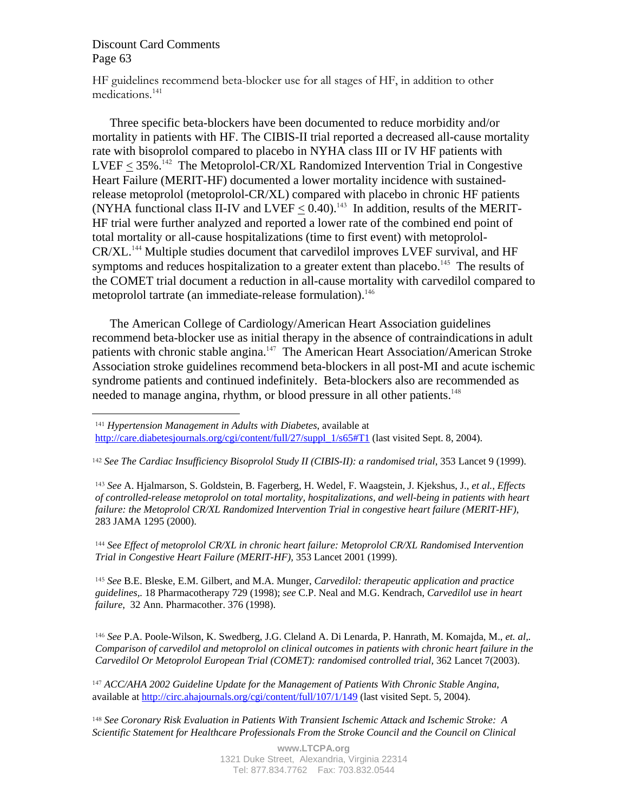$\overline{a}$ 

HF guidelines recommend beta-blocker use for all stages of HF, in addition to other medications.141

Three specific beta-blockers have been documented to reduce morbidity and/or mortality in patients with HF. The CIBIS-II trial reported a decreased all-cause mortality rate with bisoprolol compared to placebo in NYHA class III or IV HF patients with  $LVEF < 35\%$ .<sup>142</sup> The Metoprolol-CR/XL Randomized Intervention Trial in Congestive Heart Failure (MERIT-HF) documented a lower mortality incidence with sustainedrelease metoprolol (metoprolol-CR/XL) compared with placebo in chronic HF patients (NYHA functional class II-IV and LVEF  $< 0.40$ ).<sup>143</sup> In addition, results of the MERIT-HF trial were further analyzed and reported a lower rate of the combined end point of total mortality or all-cause hospitalizations (time to first event) with metoprolol-CR/XL.<sup>144</sup> Multiple studies document that carvedilol improves LVEF survival, and HF symptoms and reduces hospitalization to a greater extent than placebo.<sup>145</sup> The results of the COMET trial document a reduction in all-cause mortality with carvedilol compared to metoprolol tartrate (an immediate-release formulation).<sup>146</sup>

The American College of Cardiology/American Heart Association guidelines recommend beta-blocker use as initial therapy in the absence of contraindications in adult patients with chronic stable angina.<sup>147</sup> The American Heart Association/American Stroke Association stroke guidelines recommend beta-blockers in all post-MI and acute ischemic syndrome patients and continued indefinitely. Beta-blockers also are recommended as needed to manage angina, rhythm, or blood pressure in all other patients.<sup>148</sup>

<sup>143</sup> *See* A. Hjalmarson, S. Goldstein, B. Fagerberg, H. Wedel, F. Waagstein, J. Kjekshus, J., *et al., Effects of controlled-release metoprolol on total mortality, hospitalizations, and well-being in patients with heart failure: the Metoprolol CR/XL Randomized Intervention Trial in congestive heart failure (MERIT-HF)*, 283 JAMA 1295 (2000).

<sup>144</sup> *See Effect of metoprolol CR/XL in chronic heart failure: Metoprolol CR/XL Randomised Intervention Trial in Congestive Heart Failure (MERIT-HF),* 353 Lancet 2001 (1999).

<sup>145</sup> *See* B.E. Bleske, E.M. Gilbert, and M.A. Munger, *Carvedilol: therapeutic application and practice guidelines,.* 18 Pharmacotherapy 729 (1998); *see* C.P. Neal and M.G. Kendrach, *Carvedilol use in heart failure*, 32 Ann. Pharmacother. 376 (1998).

<sup>146</sup> *See* P.A. Poole-Wilson, K. Swedberg, J.G. Cleland A. Di Lenarda, P. Hanrath, M. Komajda, M., *et. al,. Comparison of carvedilol and metoprolol on clinical outcomes in patients with chronic heart failure in the Carvedilol Or Metoprolol European Trial (COMET): randomised controlled trial,* 362 Lancet 7(2003).

<sup>147</sup> *ACC/AHA 2002 Guideline Update for the Management of Patients With Chronic Stable Angina*, available at http://circ.ahajournals.org/cgi/content/full/107/1/149 (last visited Sept. 5, 2004).

<sup>148</sup> *See Coronary Risk Evaluation in Patients With Transient Ischemic Attack and Ischemic Stroke: A Scientific Statement for Healthcare Professionals From the Stroke Council and the Council on Clinical* 

<sup>141</sup> *Hypertension Management in Adults with Diabetes*, available at

http://care.diabetesjournals.org/cgi/content/full/27/suppl\_1/s65#T1 (last visited Sept. 8, 2004).

<sup>&</sup>lt;sup>142</sup> *See The Cardiac Insufficiency Bisoprolol Study II (CIBIS-II): a randomised trial*, 353 Lancet 9 (1999).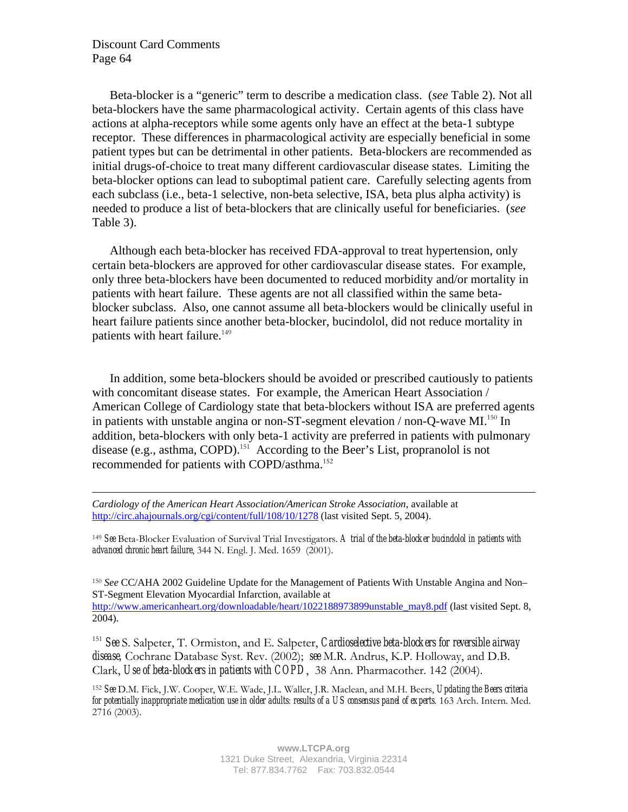$\overline{a}$ 

Beta-blocker is a "generic" term to describe a medication class. (*see* Table 2). Not all beta-blockers have the same pharmacological activity. Certain agents of this class have actions at alpha-receptors while some agents only have an effect at the beta-1 subtype receptor. These differences in pharmacological activity are especially beneficial in some patient types but can be detrimental in other patients. Beta-blockers are recommended as initial drugs-of-choice to treat many different cardiovascular disease states. Limiting the beta-blocker options can lead to suboptimal patient care. Carefully selecting agents from each subclass (i.e., beta-1 selective, non-beta selective, ISA, beta plus alpha activity) is needed to produce a list of beta-blockers that are clinically useful for beneficiaries. (*see*  Table 3).

Although each beta-blocker has received FDA-approval to treat hypertension, only certain beta-blockers are approved for other cardiovascular disease states. For example, only three beta-blockers have been documented to reduced morbidity and/or mortality in patients with heart failure. These agents are not all classified within the same betablocker subclass. Also, one cannot assume all beta-blockers would be clinically useful in heart failure patients since another beta-blocker, bucindolol, did not reduce mortality in patients with heart failure.<sup>149</sup>

In addition, some beta-blockers should be avoided or prescribed cautiously to patients with concomitant disease states. For example, the American Heart Association / American College of Cardiology state that beta-blockers without ISA are preferred agents in patients with unstable angina or non-ST-segment elevation / non-Q-wave MI.<sup>150</sup> In addition, beta-blockers with only beta-1 activity are preferred in patients with pulmonary disease (e.g., asthma, COPD).<sup>151</sup> According to the Beer's List, propranolol is not recommended for patients with COPD/asthma.<sup>152</sup>

*Cardiology of the American Heart Association/American Stroke Association*, available at http://circ.ahajournals.org/cgi/content/full/108/10/1278 (last visited Sept. 5, 2004).

<sup>149</sup> *See* Beta-Blocker Evaluation of Survival Trial Investigators. *A trial of the beta-blocker bucindolol in patients with advanced chronic heart failure*, 344 N. Engl. J. Med. 1659 (2001).

<sup>150</sup> *See* CC/AHA 2002 Guideline Update for the Management of Patients With Unstable Angina and Non– ST-Segment Elevation Myocardial Infarction, available at http://www.americanheart.org/downloadable/heart/1022188973899unstable\_may8.pdf (last visited Sept. 8, 2004).

<sup>151</sup> *See* S. Salpeter, T. Ormiston, and E. Salpeter, *Cardioselective beta-blockers for reversible airway disease,* Cochrane Database Syst. Rev. (2002); *see* M.R. Andrus, K.P. Holloway, and D.B. Clark, *Use of beta-blockers in patients with COPD*, 38 Ann. Pharmacother. 142 (2004).

<sup>152</sup> *See* D.M. Fick, J.W. Cooper, W.E. Wade, J.L. Waller, J.R. Maclean, and M.H. Beers, *Updating the Beers criteria for potentially inappropriate medication use in older adults: results of a US consensus panel of experts*. 163 Arch. Intern. Med. 2716 (2003).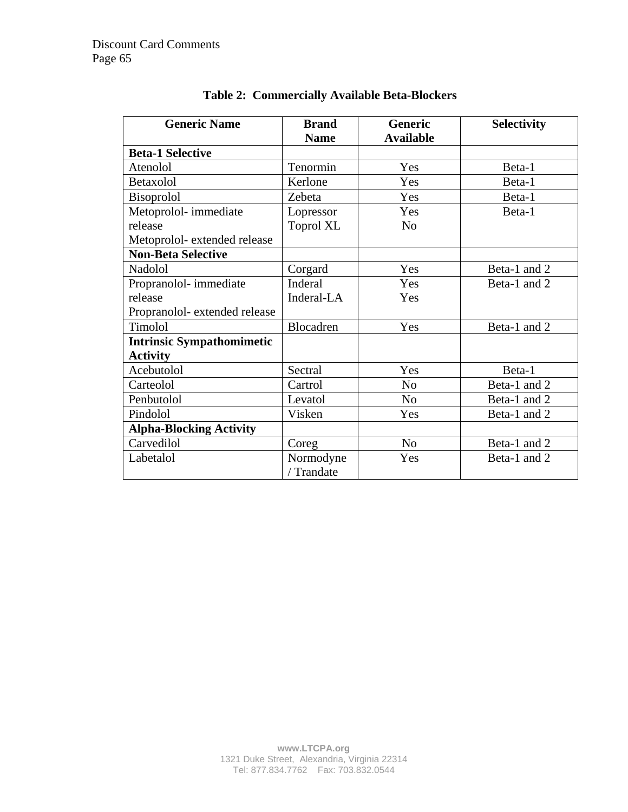| <b>Generic Name</b>              | <b>Brand</b>            | <b>Generic</b>   | <b>Selectivity</b> |
|----------------------------------|-------------------------|------------------|--------------------|
|                                  | <b>Name</b>             | <b>Available</b> |                    |
| <b>Beta-1 Selective</b>          |                         |                  |                    |
| Atenolol                         | Tenormin                | Yes              | Beta-1             |
| Betaxolol                        | Kerlone                 | Yes              | Beta-1             |
| <b>Bisoprolol</b>                | Zebeta                  | Yes              | Beta-1             |
| Metoprolol-immediate             | Lopressor               | Yes              | Beta-1             |
| release                          | <b>Toprol XL</b>        | N <sub>0</sub>   |                    |
| Metoprolol-extended release      |                         |                  |                    |
| <b>Non-Beta Selective</b>        |                         |                  |                    |
| Nadolol                          | Corgard                 | Yes              | Beta-1 and 2       |
| Propranolol-immediate            | Inderal                 | Yes              | Beta-1 and 2       |
| release                          | Inderal-LA              | Yes              |                    |
| Propranolol-extended release     |                         |                  |                    |
| Timolol                          | Blocadren               | Yes              | Beta-1 and 2       |
| <b>Intrinsic Sympathomimetic</b> |                         |                  |                    |
| <b>Activity</b>                  |                         |                  |                    |
| Acebutolol                       | Sectral                 | Yes              | Beta-1             |
| Carteolol                        | Cartrol                 | N <sub>0</sub>   | Beta-1 and 2       |
| Penbutolol                       | Levatol                 | No               | Beta-1 and 2       |
| Pindolol                         | Visken                  | Yes              | Beta-1 and 2       |
| <b>Alpha-Blocking Activity</b>   |                         |                  |                    |
| Carvedilol                       | Coreg                   | N <sub>o</sub>   | Beta-1 and 2       |
| Labetalol                        | Normodyne<br>/ Trandate | Yes              | Beta-1 and 2       |

# **Table 2: Commercially Available Beta-Blockers**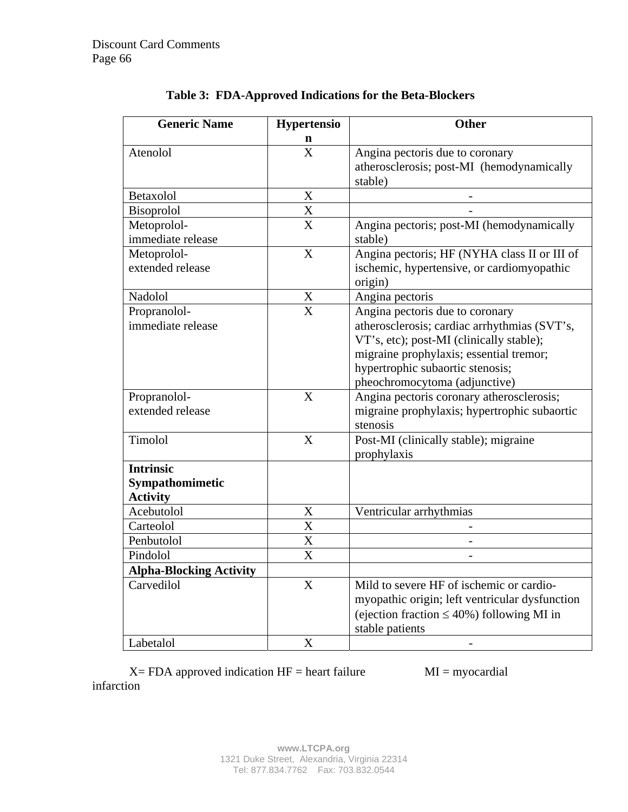| <b>Generic Name</b>            | <b>Hypertensio</b>        | <b>Other</b>                                         |  |
|--------------------------------|---------------------------|------------------------------------------------------|--|
| Atenolol                       | n<br>X                    |                                                      |  |
|                                |                           | Angina pectoris due to coronary                      |  |
|                                |                           | atherosclerosis; post-MI (hemodynamically<br>stable) |  |
| Betaxolol                      | $\mathbf X$               |                                                      |  |
| <b>Bisoprolol</b>              | X                         |                                                      |  |
| Metoprolol-                    | $\overline{X}$            | Angina pectoris; post-MI (hemodynamically            |  |
| immediate release              |                           | stable)                                              |  |
| Metoprolol-                    | X                         | Angina pectoris; HF (NYHA class II or III of         |  |
| extended release               |                           | ischemic, hypertensive, or cardiomyopathic           |  |
|                                |                           | origin)                                              |  |
| Nadolol                        | $\boldsymbol{\mathrm{X}}$ | Angina pectoris                                      |  |
| Propranolol-                   | $\overline{\text{X}}$     | Angina pectoris due to coronary                      |  |
| immediate release              |                           | atherosclerosis; cardiac arrhythmias (SVT's,         |  |
|                                |                           | VT's, etc); post-MI (clinically stable);             |  |
|                                |                           | migraine prophylaxis; essential tremor;              |  |
|                                |                           | hypertrophic subaortic stenosis;                     |  |
|                                |                           | pheochromocytoma (adjunctive)                        |  |
| Propranolol-                   | X                         | Angina pectoris coronary atherosclerosis;            |  |
| extended release               |                           | migraine prophylaxis; hypertrophic subaortic         |  |
|                                |                           | stenosis                                             |  |
| Timolol                        | X                         | Post-MI (clinically stable); migraine                |  |
|                                |                           | prophylaxis                                          |  |
| <b>Intrinsic</b>               |                           |                                                      |  |
| Sympathomimetic                |                           |                                                      |  |
| <b>Activity</b>                |                           |                                                      |  |
| Acebutolol                     | X                         | Ventricular arrhythmias                              |  |
| Carteolol                      | X                         |                                                      |  |
| Penbutolol                     | X                         |                                                      |  |
| Pindolol                       | X                         |                                                      |  |
| <b>Alpha-Blocking Activity</b> |                           |                                                      |  |
| Carvedilol                     | X                         | Mild to severe HF of ischemic or cardio-             |  |
|                                |                           | myopathic origin; left ventricular dysfunction       |  |
|                                |                           | (ejection fraction $\leq 40\%$ ) following MI in     |  |
|                                |                           | stable patients                                      |  |
| Labetalol                      | X                         |                                                      |  |

|  | Table 3: FDA-Approved Indications for the Beta-Blockers |  |  |  |
|--|---------------------------------------------------------|--|--|--|
|--|---------------------------------------------------------|--|--|--|

 $X = FDA$  approved indication  $HF =$  heart failure  $MI =$  myocardial infarction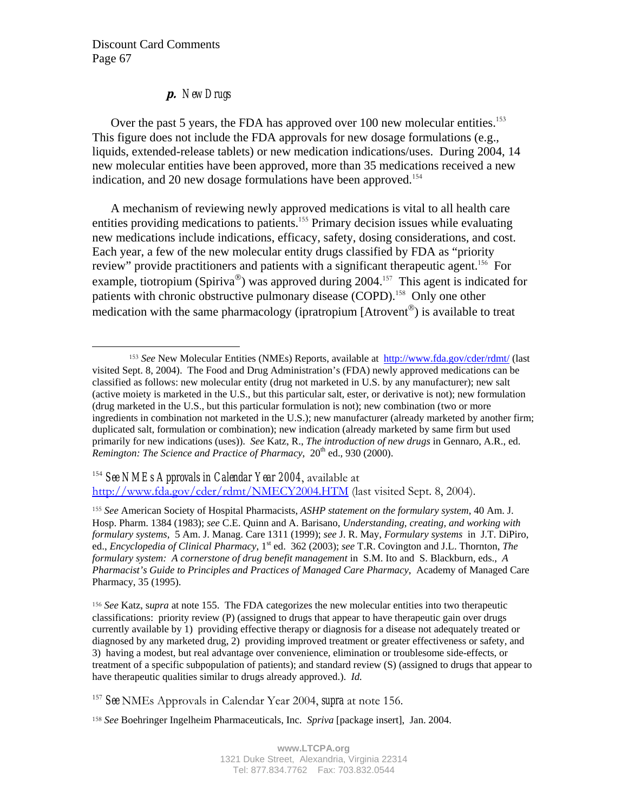$\overline{a}$ 

# **p.** *New Drugs*

Over the past 5 years, the FDA has approved over 100 new molecular entities.<sup>153</sup> This figure does not include the FDA approvals for new dosage formulations (e.g., liquids, extended-release tablets) or new medication indications/uses. During 2004, 14 new molecular entities have been approved, more than 35 medications received a new indication, and 20 new dosage formulations have been approved.<sup>154</sup>

A mechanism of reviewing newly approved medications is vital to all health care entities providing medications to patients.<sup>155</sup> Primary decision issues while evaluating new medications include indications, efficacy, safety, dosing considerations, and cost. Each year, a few of the new molecular entity drugs classified by FDA as "priority review" provide practitioners and patients with a significant therapeutic agent.<sup>156</sup> For example, tiotropium (Spiriva<sup>®</sup>) was approved during 2004.<sup>157</sup> This agent is indicated for patients with chronic obstructive pulmonary disease (COPD).<sup>158</sup> Only one other medication with the same pharmacology (ipratropium  $[Arrowent^{\circledR}]$ ) is available to treat

<sup>154</sup> *See NMEs Approvals in Calendar Year 2004*, available at http://www.fda.gov/cder/rdmt/NMECY2004.HTM (last visited Sept. 8, 2004).

<sup>155</sup> *See* American Society of Hospital Pharmacists, *ASHP statement on the formulary system*, 40 Am. J. Hosp. Pharm. 1384 (1983); *see* C.E. Quinn and A. Barisano, *Understanding, creating, and working with formulary systems*, 5 Am. J. Manag. Care 1311 (1999); *see* J. R. May, *Formulary systems* in J.T. DiPiro, ed., *Encyclopedia of Clinical Pharmacy*, 1st ed. 362 (2003); *see* T.R. Covington and J.L. Thornton, *The formulary system: A cornerstone of drug benefit management* in S.M. Ito and S. Blackburn, eds., *A Pharmacist's Guide to Principles and Practices of Managed Care Pharmacy*, Academy of Managed Care Pharmacy, 35 (1995).

<sup>156</sup> *See* Katz, s*upra* at note 155. The FDA categorizes the new molecular entities into two therapeutic classifications: priority review (P) (assigned to drugs that appear to have therapeutic gain over drugs currently available by 1) providing effective therapy or diagnosis for a disease not adequately treated or diagnosed by any marketed drug, 2) providing improved treatment or greater effectiveness or safety, and 3) having a modest, but real advantage over convenience, elimination or troublesome side-effects, or treatment of a specific subpopulation of patients); and standard review (S) (assigned to drugs that appear to have therapeutic qualities similar to drugs already approved.). *Id.* 

<sup>157</sup> *See* NMEs Approvals in Calendar Year 2004, *supra* at note 156.

<sup>158</sup> *See* Boehringer Ingelheim Pharmaceuticals, Inc. *Spriva* [package insert], Jan. 2004.

<sup>153</sup> *See* New Molecular Entities (NMEs) Reports, available at http://www.fda.gov/cder/rdmt/ (last visited Sept. 8, 2004). The Food and Drug Administration's (FDA) newly approved medications can be classified as follows: new molecular entity (drug not marketed in U.S. by any manufacturer); new salt (active moiety is marketed in the U.S., but this particular salt, ester, or derivative is not); new formulation (drug marketed in the U.S., but this particular formulation is not); new combination (two or more ingredients in combination not marketed in the U.S.); new manufacturer (already marketed by another firm; duplicated salt, formulation or combination); new indication (already marketed by same firm but used primarily for new indications (uses)). *See* Katz, R., *The introduction of new drugs* in Gennaro, A.R., ed. *Remington: The Science and Practice of Pharmacy*, 20th ed., 930 (2000).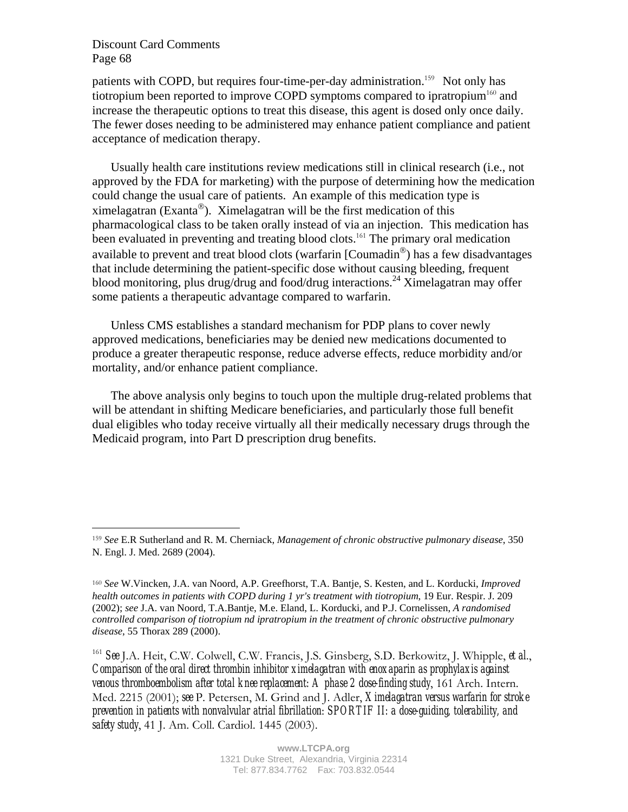$\overline{a}$ 

patients with COPD, but requires four-time-per-day administration.<sup>159</sup> Not only has tiotropium been reported to improve COPD symptoms compared to ipratropium $160$  and increase the therapeutic options to treat this disease, this agent is dosed only once daily. The fewer doses needing to be administered may enhance patient compliance and patient acceptance of medication therapy.

Usually health care institutions review medications still in clinical research (i.e., not approved by the FDA for marketing) with the purpose of determining how the medication could change the usual care of patients. An example of this medication type is ximelagatran (Exanta<sup>®</sup>). Ximelagatran will be the first medication of this pharmacological class to be taken orally instead of via an injection. This medication has been evaluated in preventing and treating blood clots.<sup>161</sup> The primary oral medication available to prevent and treat blood clots (warfarin  $[{\rm{Countadin}}^{\otimes})$  has a few disadvantages that include determining the patient-specific dose without causing bleeding, frequent blood monitoring, plus drug/drug and food/drug interactions.<sup>24</sup> Ximelagatran may offer some patients a therapeutic advantage compared to warfarin.

Unless CMS establishes a standard mechanism for PDP plans to cover newly approved medications, beneficiaries may be denied new medications documented to produce a greater therapeutic response, reduce adverse effects, reduce morbidity and/or mortality, and/or enhance patient compliance.

The above analysis only begins to touch upon the multiple drug-related problems that will be attendant in shifting Medicare beneficiaries, and particularly those full benefit dual eligibles who today receive virtually all their medically necessary drugs through the Medicaid program, into Part D prescription drug benefits.

<sup>159</sup> *See* E.R Sutherland and R. M. Cherniack, *Management of chronic obstructive pulmonary disease*, 350 N. Engl. J. Med. 2689 (2004).

<sup>160</sup> *See* W.Vincken, J.A. van Noord, A.P. Greefhorst, T.A. Bantje, S. Kesten, and L. Korducki, *Improved health outcomes in patients with COPD during 1 yr's treatment with tiotropium*, 19 Eur. Respir. J. 209 (2002); *see* J.A. van Noord, T.A.Bantje, M.e. Eland, L. Korducki, and P.J. Cornelissen, *A randomised controlled comparison of tiotropium nd ipratropium in the treatment of chronic obstructive pulmonary disease*, 55 Thorax 289 (2000).

<sup>161</sup> *See* J.A. Heit, C.W. Colwell, C.W. Francis, J.S. Ginsberg, S.D. Berkowitz, J. Whipple, *et al*., *Comparison of the oral direct thrombin inhibitor ximelagatran with enoxaparin as prophylaxis against venous thromboembolism after total knee replacement: A phase 2 dose-finding study*, 161 Arch. Intern. Med. 2215 (2001); *see* P. Petersen, M. Grind and J. Adler, *Ximelagatran versus warfarin for stroke prevention in patients with nonvalvular atrial fibrillation*: *SPORTIF II: a dose-guiding, tolerability, and safety study*, 41 J. Am. Coll. Cardiol. 1445 (2003).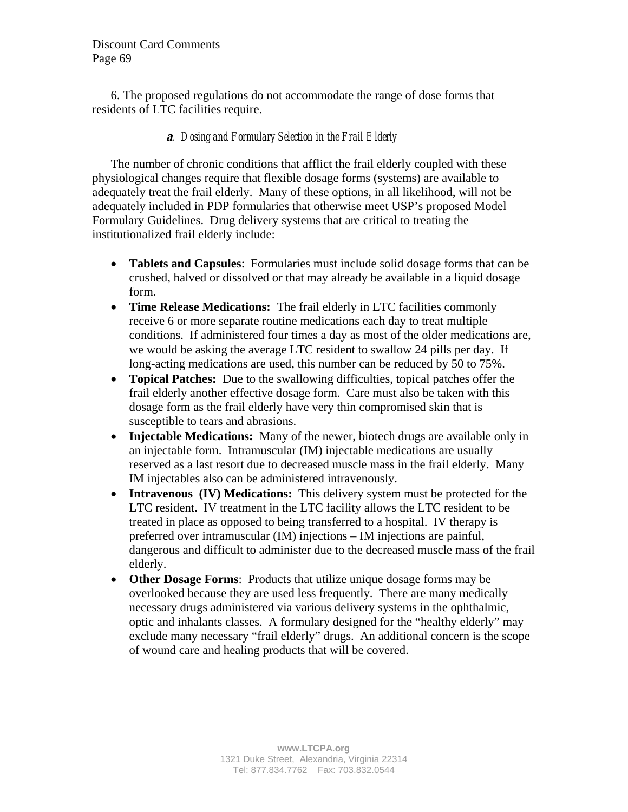6. The proposed regulations do not accommodate the range of dose forms that residents of LTC facilities require.

## **<sup>a</sup>***. Dosing and Formulary Selection in the Frail Elderly*

The number of chronic conditions that afflict the frail elderly coupled with these physiological changes require that flexible dosage forms (systems) are available to adequately treat the frail elderly. Many of these options, in all likelihood, will not be adequately included in PDP formularies that otherwise meet USP's proposed Model Formulary Guidelines. Drug delivery systems that are critical to treating the institutionalized frail elderly include:

- **Tablets and Capsules**: Formularies must include solid dosage forms that can be crushed, halved or dissolved or that may already be available in a liquid dosage form.
- **Time Release Medications:** The frail elderly in LTC facilities commonly receive 6 or more separate routine medications each day to treat multiple conditions. If administered four times a day as most of the older medications are, we would be asking the average LTC resident to swallow 24 pills per day. If long-acting medications are used, this number can be reduced by 50 to 75%.
- **Topical Patches:** Due to the swallowing difficulties, topical patches offer the frail elderly another effective dosage form. Care must also be taken with this dosage form as the frail elderly have very thin compromised skin that is susceptible to tears and abrasions.
- **Injectable Medications:** Many of the newer, biotech drugs are available only in an injectable form. Intramuscular (IM) injectable medications are usually reserved as a last resort due to decreased muscle mass in the frail elderly. Many IM injectables also can be administered intravenously.
- **Intravenous (IV) Medications:** This delivery system must be protected for the LTC resident. IV treatment in the LTC facility allows the LTC resident to be treated in place as opposed to being transferred to a hospital. IV therapy is preferred over intramuscular (IM) injections – IM injections are painful, dangerous and difficult to administer due to the decreased muscle mass of the frail elderly.
- **Other Dosage Forms**: Products that utilize unique dosage forms may be overlooked because they are used less frequently. There are many medically necessary drugs administered via various delivery systems in the ophthalmic, optic and inhalants classes. A formulary designed for the "healthy elderly" may exclude many necessary "frail elderly" drugs. An additional concern is the scope of wound care and healing products that will be covered.